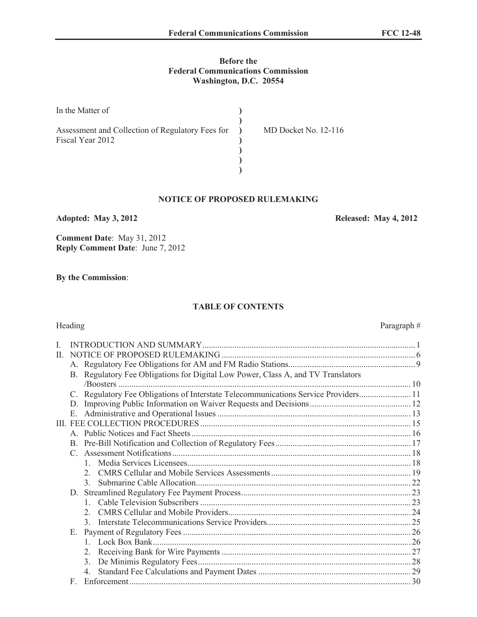#### **Before the Federal Communications Commission Washington, D.C. 20554**

| In the Matter of                                                     |                      |
|----------------------------------------------------------------------|----------------------|
| Assessment and Collection of Regulatory Fees for<br>Fiscal Year 2012 | MD Docket No. 12-116 |
|                                                                      |                      |
|                                                                      |                      |

### **NOTICE OF PROPOSED RULEMAKING**

**Adopted: May 3, 2012 Released: May 4, 2012**

**Comment Date**: May 31, 2012 **Reply Comment Date**: June 7, 2012

**By the Commission**:

#### **TABLE OF CONTENTS**

# Heading Paragraph #

| H. |    |                                                                                  |  |
|----|----|----------------------------------------------------------------------------------|--|
|    |    |                                                                                  |  |
|    |    | B. Regulatory Fee Obligations for Digital Low Power, Class A, and TV Translators |  |
|    |    |                                                                                  |  |
|    |    | Regulatory Fee Obligations of Interstate Telecommunications Service Providers 11 |  |
|    | D. |                                                                                  |  |
|    |    |                                                                                  |  |
|    |    |                                                                                  |  |
|    |    |                                                                                  |  |
|    |    |                                                                                  |  |
|    |    |                                                                                  |  |
|    |    |                                                                                  |  |
|    |    |                                                                                  |  |
|    |    | $\mathcal{E}$                                                                    |  |
|    |    |                                                                                  |  |
|    |    |                                                                                  |  |
|    |    | $\mathfrak{2}^-$                                                                 |  |
|    |    | $\mathcal{E}$                                                                    |  |
|    | Е. |                                                                                  |  |
|    |    |                                                                                  |  |
|    |    | $\mathfrak{L}$                                                                   |  |
|    |    | $\mathcal{E}$                                                                    |  |
|    |    |                                                                                  |  |
|    | F  |                                                                                  |  |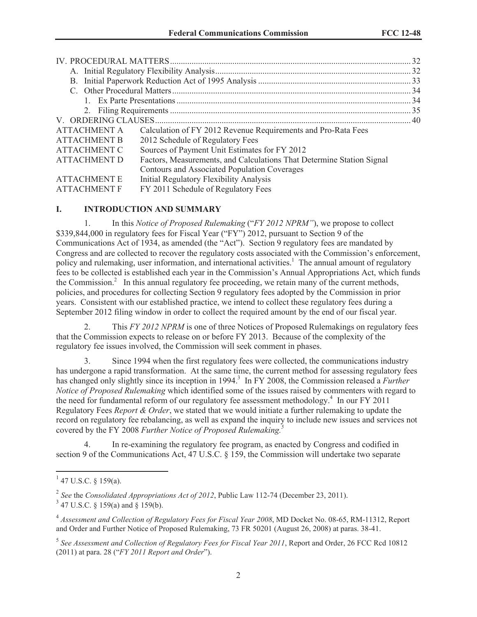|                     |                                                                       | . 32 |  |  |  |  |
|---------------------|-----------------------------------------------------------------------|------|--|--|--|--|
|                     |                                                                       |      |  |  |  |  |
|                     |                                                                       |      |  |  |  |  |
|                     |                                                                       |      |  |  |  |  |
|                     |                                                                       | . 34 |  |  |  |  |
|                     |                                                                       |      |  |  |  |  |
|                     |                                                                       |      |  |  |  |  |
| <b>ATTACHMENT A</b> | Calculation of FY 2012 Revenue Requirements and Pro-Rata Fees         |      |  |  |  |  |
| <b>ATTACHMENT B</b> | 2012 Schedule of Regulatory Fees                                      |      |  |  |  |  |
| ATTACHMENT C        | Sources of Payment Unit Estimates for FY 2012                         |      |  |  |  |  |
| <b>ATTACHMENT D</b> | Factors, Measurements, and Calculations That Determine Station Signal |      |  |  |  |  |
|                     | Contours and Associated Population Coverages                          |      |  |  |  |  |
| <b>ATTACHMENT E</b> | Initial Regulatory Flexibility Analysis                               |      |  |  |  |  |
| <b>ATTACHMENT F</b> | FY 2011 Schedule of Regulatory Fees                                   |      |  |  |  |  |

#### **I. INTRODUCTION AND SUMMARY**

1. In this *Notice of Proposed Rulemaking* ("*FY 2012 NPRM"*), we propose to collect \$339,844,000 in regulatory fees for Fiscal Year ("FY") 2012, pursuant to Section 9 of the Communications Act of 1934, as amended (the "Act"). Section 9 regulatory fees are mandated by Congress and are collected to recover the regulatory costs associated with the Commission's enforcement, policy and rulemaking, user information, and international activities.<sup>1</sup> The annual amount of regulatory fees to be collected is established each year in the Commission's Annual Appropriations Act, which funds the Commission.<sup>2</sup> In this annual regulatory fee proceeding, we retain many of the current methods, policies, and procedures for collecting Section 9 regulatory fees adopted by the Commission in prior years. Consistent with our established practice, we intend to collect these regulatory fees during a September 2012 filing window in order to collect the required amount by the end of our fiscal year.

2. This *FY 2012 NPRM* is one of three Notices of Proposed Rulemakings on regulatory fees that the Commission expects to release on or before FY 2013. Because of the complexity of the regulatory fee issues involved, the Commission will seek comment in phases.

3. Since 1994 when the first regulatory fees were collected, the communications industry has undergone a rapid transformation. At the same time, the current method for assessing regulatory fees has changed only slightly since its inception in 1994.<sup>3</sup> In FY 2008, the Commission released a *Further Notice of Proposed Rulemaking* which identified some of the issues raised by commenters with regard to the need for fundamental reform of our regulatory fee assessment methodology.<sup>4</sup> In our FY 2011 Regulatory Fees *Report & Order*, we stated that we would initiate a further rulemaking to update the record on regulatory fee rebalancing, as well as expand the inquiry to include new issues and services not covered by the FY 2008 *Further Notice of Proposed Rulemaking.<sup>5</sup>*

4. In re-examining the regulatory fee program, as enacted by Congress and codified in section 9 of the Communications Act, 47 U.S.C. § 159, the Commission will undertake two separate

 $1$  47 U.S.C. § 159(a).

<sup>2</sup> *See* the *Consolidated Appropriations Act of 2012*, Public Law 112-74 (December 23, 2011).

 $3$  47 U.S.C. § 159(a) and § 159(b).

<sup>4</sup> *Assessment and Collection of Regulatory Fees for Fiscal Year 2008*, MD Docket No. 08-65, RM-11312, Report and Order and Further Notice of Proposed Rulemaking, 73 FR 50201 (August 26, 2008) at paras. 38-41.

<sup>5</sup> *See Assessment and Collection of Regulatory Fees for Fiscal Year 2011*, Report and Order, 26 FCC Rcd 10812 (2011) at para. 28 ("*FY 2011 Report and Order*").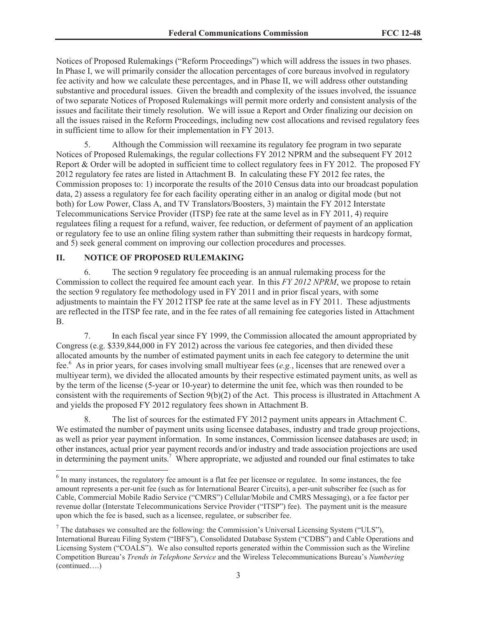Notices of Proposed Rulemakings ("Reform Proceedings") which will address the issues in two phases. In Phase I, we will primarily consider the allocation percentages of core bureaus involved in regulatory fee activity and how we calculate these percentages, and in Phase II, we will address other outstanding substantive and procedural issues. Given the breadth and complexity of the issues involved, the issuance of two separate Notices of Proposed Rulemakings will permit more orderly and consistent analysis of the issues and facilitate their timely resolution. We will issue a Report and Order finalizing our decision on all the issues raised in the Reform Proceedings, including new cost allocations and revised regulatory fees in sufficient time to allow for their implementation in FY 2013.

5. Although the Commission will reexamine its regulatory fee program in two separate Notices of Proposed Rulemakings, the regular collections FY 2012 NPRM and the subsequent FY 2012 Report & Order will be adopted in sufficient time to collect regulatory fees in FY 2012. The proposed FY 2012 regulatory fee rates are listed in Attachment B. In calculating these FY 2012 fee rates, the Commission proposes to: 1) incorporate the results of the 2010 Census data into our broadcast population data, 2) assess a regulatory fee for each facility operating either in an analog or digital mode (but not both) for Low Power, Class A, and TV Translators/Boosters, 3) maintain the FY 2012 Interstate Telecommunications Service Provider (ITSP) fee rate at the same level as in FY 2011, 4) require regulatees filing a request for a refund, waiver, fee reduction, or deferment of payment of an application or regulatory fee to use an online filing system rather than submitting their requests in hardcopy format, and 5) seek general comment on improving our collection procedures and processes.

### **II. NOTICE OF PROPOSED RULEMAKING**

6. The section 9 regulatory fee proceeding is an annual rulemaking process for the Commission to collect the required fee amount each year. In this *FY 2012 NPRM*, we propose to retain the section 9 regulatory fee methodology used in FY 2011 and in prior fiscal years, with some adjustments to maintain the FY 2012 ITSP fee rate at the same level as in FY 2011. These adjustments are reflected in the ITSP fee rate, and in the fee rates of all remaining fee categories listed in Attachment B.

7. In each fiscal year since FY 1999, the Commission allocated the amount appropriated by Congress (e.g. \$339,844,000 in FY 2012) across the various fee categories, and then divided these allocated amounts by the number of estimated payment units in each fee category to determine the unit fee.<sup>6</sup> As in prior years, for cases involving small multiyear fees (*e.g.*, licenses that are renewed over a multiyear term), we divided the allocated amounts by their respective estimated payment units, as well as by the term of the license (5-year or 10-year) to determine the unit fee, which was then rounded to be consistent with the requirements of Section 9(b)(2) of the Act. This process is illustrated in Attachment A and yields the proposed FY 2012 regulatory fees shown in Attachment B.

8. The list of sources for the estimated FY 2012 payment units appears in Attachment C. We estimated the number of payment units using licensee databases, industry and trade group projections, as well as prior year payment information. In some instances, Commission licensee databases are used; in other instances, actual prior year payment records and/or industry and trade association projections are used in determining the payment units.<sup>7</sup> Where appropriate, we adjusted and rounded our final estimates to take

 $6$  In many instances, the regulatory fee amount is a flat fee per licensee or regulatee. In some instances, the fee amount represents a per-unit fee (such as for International Bearer Circuits), a per-unit subscriber fee (such as for Cable, Commercial Mobile Radio Service ("CMRS") Cellular/Mobile and CMRS Messaging), or a fee factor per revenue dollar (Interstate Telecommunications Service Provider ("ITSP") fee). The payment unit is the measure upon which the fee is based, such as a licensee, regulatee, or subscriber fee.

<sup>&</sup>lt;sup>7</sup> The databases we consulted are the following: the Commission's Universal Licensing System ("ULS"), International Bureau Filing System ("IBFS"), Consolidated Database System ("CDBS") and Cable Operations and Licensing System ("COALS"). We also consulted reports generated within the Commission such as the Wireline Competition Bureau's *Trends in Telephone Service* and the Wireless Telecommunications Bureau's *Numbering*  (continued….)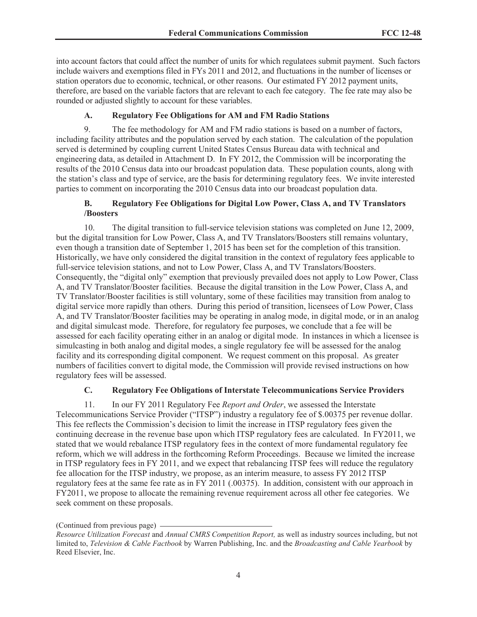into account factors that could affect the number of units for which regulatees submit payment. Such factors include waivers and exemptions filed in FYs 2011 and 2012, and fluctuations in the number of licenses or station operators due to economic, technical, or other reasons. Our estimated FY 2012 payment units, therefore, are based on the variable factors that are relevant to each fee category. The fee rate may also be rounded or adjusted slightly to account for these variables.

#### **A. Regulatory Fee Obligations for AM and FM Radio Stations**

9. The fee methodology for AM and FM radio stations is based on a number of factors, including facility attributes and the population served by each station. The calculation of the population served is determined by coupling current United States Census Bureau data with technical and engineering data, as detailed in Attachment D. In FY 2012, the Commission will be incorporating the results of the 2010 Census data into our broadcast population data. These population counts, along with the station's class and type of service, are the basis for determining regulatory fees. We invite interested parties to comment on incorporating the 2010 Census data into our broadcast population data.

### **B. Regulatory Fee Obligations for Digital Low Power, Class A, and TV Translators /Boosters**

10. The digital transition to full-service television stations was completed on June 12, 2009, but the digital transition for Low Power, Class A, and TV Translators/Boosters still remains voluntary, even though a transition date of September 1, 2015 has been set for the completion of this transition. Historically, we have only considered the digital transition in the context of regulatory fees applicable to full-service television stations, and not to Low Power, Class A, and TV Translators/Boosters. Consequently, the "digital only" exemption that previously prevailed does not apply to Low Power, Class A, and TV Translator/Booster facilities. Because the digital transition in the Low Power, Class A, and TV Translator/Booster facilities is still voluntary, some of these facilities may transition from analog to digital service more rapidly than others. During this period of transition, licensees of Low Power, Class A, and TV Translator/Booster facilities may be operating in analog mode, in digital mode, or in an analog and digital simulcast mode. Therefore, for regulatory fee purposes, we conclude that a fee will be assessed for each facility operating either in an analog or digital mode. In instances in which a licensee is simulcasting in both analog and digital modes, a single regulatory fee will be assessed for the analog facility and its corresponding digital component. We request comment on this proposal. As greater numbers of facilities convert to digital mode, the Commission will provide revised instructions on how regulatory fees will be assessed.

#### **C. Regulatory Fee Obligations of Interstate Telecommunications Service Providers**

11. In our FY 2011 Regulatory Fee *Report and Order*, we assessed the Interstate Telecommunications Service Provider ("ITSP") industry a regulatory fee of \$.00375 per revenue dollar. This fee reflects the Commission's decision to limit the increase in ITSP regulatory fees given the continuing decrease in the revenue base upon which ITSP regulatory fees are calculated. In FY2011, we stated that we would rebalance ITSP regulatory fees in the context of more fundamental regulatory fee reform, which we will address in the forthcoming Reform Proceedings. Because we limited the increase in ITSP regulatory fees in FY 2011, and we expect that rebalancing ITSP fees will reduce the regulatory fee allocation for the ITSP industry, we propose, as an interim measure, to assess FY 2012 ITSP regulatory fees at the same fee rate as in FY 2011 (.00375). In addition, consistent with our approach in FY2011, we propose to allocate the remaining revenue requirement across all other fee categories. We seek comment on these proposals.

<sup>(</sup>Continued from previous page)

*Resource Utilization Forecast* and *Annual CMRS Competition Report,* as well as industry sources including, but not limited to, *Television & Cable Factbook* by Warren Publishing, Inc. and the *Broadcasting and Cable Yearbook* by Reed Elsevier, Inc.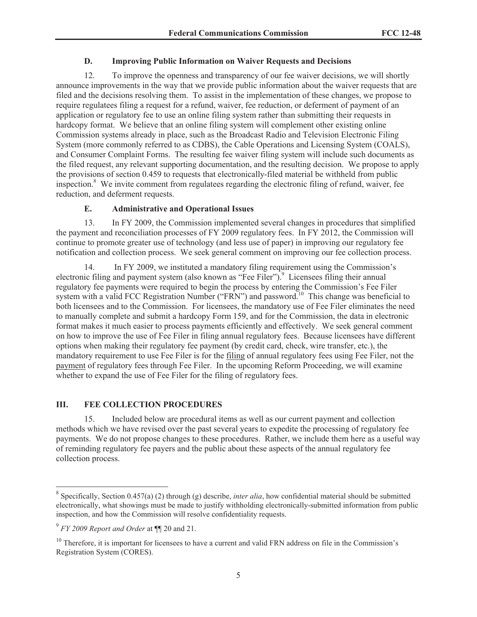#### **D. Improving Public Information on Waiver Requests and Decisions**

12. To improve the openness and transparency of our fee waiver decisions, we will shortly announce improvements in the way that we provide public information about the waiver requests that are filed and the decisions resolving them. To assist in the implementation of these changes, we propose to require regulatees filing a request for a refund, waiver, fee reduction, or deferment of payment of an application or regulatory fee to use an online filing system rather than submitting their requests in hardcopy format. We believe that an online filing system will complement other existing online Commission systems already in place, such as the Broadcast Radio and Television Electronic Filing System (more commonly referred to as CDBS), the Cable Operations and Licensing System (COALS), and Consumer Complaint Forms. The resulting fee waiver filing system will include such documents as the filed request, any relevant supporting documentation, and the resulting decision. We propose to apply the provisions of section 0.459 to requests that electronically-filed material be withheld from public inspection.<sup>8</sup> We invite comment from regulatees regarding the electronic filing of refund, waiver, fee reduction, and deferment requests.

### **E. Administrative and Operational Issues**

13. In FY 2009, the Commission implemented several changes in procedures that simplified the payment and reconciliation processes of FY 2009 regulatory fees. In FY 2012, the Commission will continue to promote greater use of technology (and less use of paper) in improving our regulatory fee notification and collection process. We seek general comment on improving our fee collection process.

14. In FY 2009, we instituted a mandatory filing requirement using the Commission's electronic filing and payment system (also known as "Fee Filer").<sup>9</sup> Licensees filing their annual regulatory fee payments were required to begin the process by entering the Commission's Fee Filer system with a valid FCC Registration Number ("FRN") and password.<sup>10</sup> This change was beneficial to both licensees and to the Commission. For licensees, the mandatory use of Fee Filer eliminates the need to manually complete and submit a hardcopy Form 159, and for the Commission, the data in electronic format makes it much easier to process payments efficiently and effectively. We seek general comment on how to improve the use of Fee Filer in filing annual regulatory fees. Because licensees have different options when making their regulatory fee payment (by credit card, check, wire transfer, etc.), the mandatory requirement to use Fee Filer is for the filing of annual regulatory fees using Fee Filer, not the payment of regulatory fees through Fee Filer. In the upcoming Reform Proceeding, we will examine whether to expand the use of Fee Filer for the filing of regulatory fees.

### **III. FEE COLLECTION PROCEDURES**

15. Included below are procedural items as well as our current payment and collection methods which we have revised over the past several years to expedite the processing of regulatory fee payments. We do not propose changes to these procedures. Rather, we include them here as a useful way of reminding regulatory fee payers and the public about these aspects of the annual regulatory fee collection process.

<sup>&</sup>lt;sup>8</sup> Specifically, Section 0.457(a) (2) through (g) describe, *inter alia*, how confidential material should be submitted electronically, what showings must be made to justify withholding electronically-submitted information from public inspection, and how the Commission will resolve confidentiality requests.

<sup>9</sup> *FY 2009 Report and Order* at ¶¶ 20 and 21.

<sup>&</sup>lt;sup>10</sup> Therefore, it is important for licensees to have a current and valid FRN address on file in the Commission's Registration System (CORES).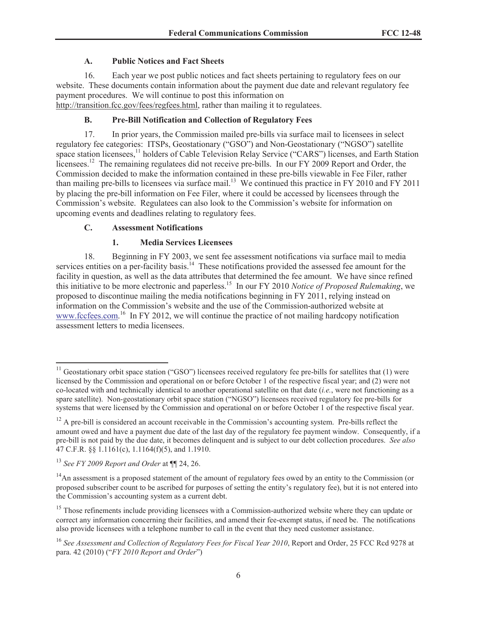### **A. Public Notices and Fact Sheets**

16. Each year we post public notices and fact sheets pertaining to regulatory fees on our website. These documents contain information about the payment due date and relevant regulatory fee payment procedures. We will continue to post this information on http://transition.fcc.gov/fees/regfees.html, rather than mailing it to regulatees.

# **B. Pre-Bill Notification and Collection of Regulatory Fees**

17. In prior years, the Commission mailed pre-bills via surface mail to licensees in select regulatory fee categories: ITSPs, Geostationary ("GSO") and Non-Geostationary ("NGSO") satellite space station licensees,<sup>11</sup> holders of Cable Television Relay Service ("CARS") licenses, and Earth Station licensees.<sup>12</sup> The remaining regulatees did not receive pre-bills. In our FY 2009 Report and Order, the Commission decided to make the information contained in these pre-bills viewable in Fee Filer, rather than mailing pre-bills to licensees via surface mail.<sup>13</sup> We continued this practice in FY 2010 and FY 2011 by placing the pre-bill information on Fee Filer, where it could be accessed by licensees through the Commission's website. Regulatees can also look to the Commission's website for information on upcoming events and deadlines relating to regulatory fees.

### **C. Assessment Notifications**

### **1. Media Services Licensees**

18. Beginning in FY 2003, we sent fee assessment notifications via surface mail to media services entities on a per-facility basis.<sup>14</sup> These notifications provided the assessed fee amount for the facility in question, as well as the data attributes that determined the fee amount. We have since refined this initiative to be more electronic and paperless.<sup>15</sup> In our FY 2010 *Notice of Proposed Rulemaking*, we proposed to discontinue mailing the media notifications beginning in FY 2011, relying instead on information on the Commission's website and the use of the Commission-authorized website at www.fccfees.com.<sup>16</sup> In FY 2012, we will continue the practice of not mailing hardcopy notification assessment letters to media licensees.

 $11$  Geostationary orbit space station ("GSO") licensees received regulatory fee pre-bills for satellites that (1) were licensed by the Commission and operational on or before October 1 of the respective fiscal year; and (2) were not co-located with and technically identical to another operational satellite on that date (*i.e.*, were not functioning as a spare satellite). Non-geostationary orbit space station ("NGSO") licensees received regulatory fee pre-bills for systems that were licensed by the Commission and operational on or before October 1 of the respective fiscal year.

 $12$  A pre-bill is considered an account receivable in the Commission's accounting system. Pre-bills reflect the amount owed and have a payment due date of the last day of the regulatory fee payment window. Consequently, if a pre-bill is not paid by the due date, it becomes delinquent and is subject to our debt collection procedures. *See also* 47 C.F.R. §§ 1.1161(c), 1.1164(f)(5), and 1.1910.

<sup>13</sup> *See FY 2009 Report and Order* at ¶¶ 24, 26.

<sup>&</sup>lt;sup>14</sup>An assessment is a proposed statement of the amount of regulatory fees owed by an entity to the Commission (or proposed subscriber count to be ascribed for purposes of setting the entity's regulatory fee), but it is not entered into the Commission's accounting system as a current debt.

<sup>&</sup>lt;sup>15</sup> Those refinements include providing licensees with a Commission-authorized website where they can update or correct any information concerning their facilities, and amend their fee-exempt status, if need be. The notifications also provide licensees with a telephone number to call in the event that they need customer assistance.

<sup>16</sup> *See Assessment and Collection of Regulatory Fees for Fiscal Year 2010*, Report and Order, 25 FCC Rcd 9278 at para. 42 (2010) ("*FY 2010 Report and Order*")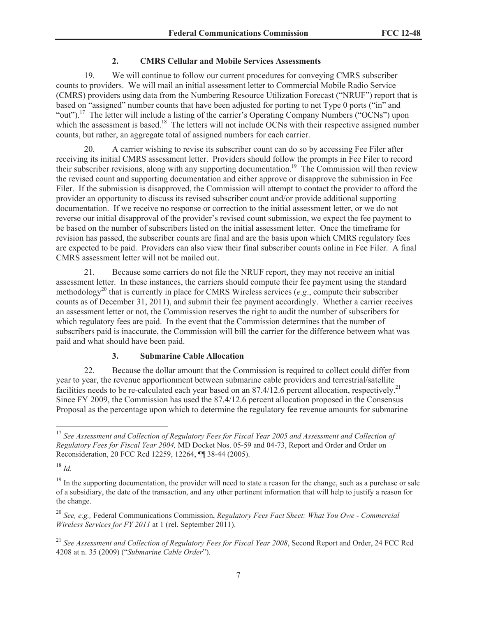### **2. CMRS Cellular and Mobile Services Assessments**

19. We will continue to follow our current procedures for conveying CMRS subscriber counts to providers. We will mail an initial assessment letter to Commercial Mobile Radio Service (CMRS) providers using data from the Numbering Resource Utilization Forecast ("NRUF") report that is based on "assigned" number counts that have been adjusted for porting to net Type 0 ports ("in" and "out").<sup>17</sup> The letter will include a listing of the carrier's Operating Company Numbers ("OCNs") upon which the assessment is based.<sup>18</sup> The letters will not include OCNs with their respective assigned number counts, but rather, an aggregate total of assigned numbers for each carrier.

20. A carrier wishing to revise its subscriber count can do so by accessing Fee Filer after receiving its initial CMRS assessment letter. Providers should follow the prompts in Fee Filer to record their subscriber revisions, along with any supporting documentation.<sup>19</sup> The Commission will then review the revised count and supporting documentation and either approve or disapprove the submission in Fee Filer. If the submission is disapproved, the Commission will attempt to contact the provider to afford the provider an opportunity to discuss its revised subscriber count and/or provide additional supporting documentation. If we receive no response or correction to the initial assessment letter, or we do not reverse our initial disapproval of the provider's revised count submission, we expect the fee payment to be based on the number of subscribers listed on the initial assessment letter. Once the timeframe for revision has passed, the subscriber counts are final and are the basis upon which CMRS regulatory fees are expected to be paid. Providers can also view their final subscriber counts online in Fee Filer. A final CMRS assessment letter will not be mailed out.

21. Because some carriers do not file the NRUF report, they may not receive an initial assessment letter. In these instances, the carriers should compute their fee payment using the standard methodology<sup>20</sup> that is currently in place for CMRS Wireless services (*e.g*., compute their subscriber counts as of December 31, 2011), and submit their fee payment accordingly. Whether a carrier receives an assessment letter or not, the Commission reserves the right to audit the number of subscribers for which regulatory fees are paid. In the event that the Commission determines that the number of subscribers paid is inaccurate, the Commission will bill the carrier for the difference between what was paid and what should have been paid.

### **3. Submarine Cable Allocation**

22. Because the dollar amount that the Commission is required to collect could differ from year to year, the revenue apportionment between submarine cable providers and terrestrial/satellite facilities needs to be re-calculated each year based on an  $87.4/12.6$  percent allocation, respectively.<sup>21</sup> Since FY 2009, the Commission has used the 87.4/12.6 percent allocation proposed in the Consensus Proposal as the percentage upon which to determine the regulatory fee revenue amounts for submarine

<sup>17</sup> *See Assessment and Collection of Regulatory Fees for Fiscal Year 2005 and Assessment and Collection of Regulatory Fees for Fiscal Year 2004,* MD Docket Nos. 05-59 and 04-73, Report and Order and Order on Reconsideration, 20 FCC Rcd 12259, 12264, ¶¶ 38-44 (2005).

<sup>18</sup> *Id.* 

 $19$  In the supporting documentation, the provider will need to state a reason for the change, such as a purchase or sale of a subsidiary, the date of the transaction, and any other pertinent information that will help to justify a reason for the change.

<sup>20</sup> *See, e.g.,* Federal Communications Commission, *Regulatory Fees Fact Sheet: What You Owe - Commercial Wireless Services for FY 2011* at 1 (rel. September 2011).

<sup>21</sup> *See Assessment and Collection of Regulatory Fees for Fiscal Year 2008*, Second Report and Order, 24 FCC Rcd 4208 at n. 35 (2009) ("*Submarine Cable Order*").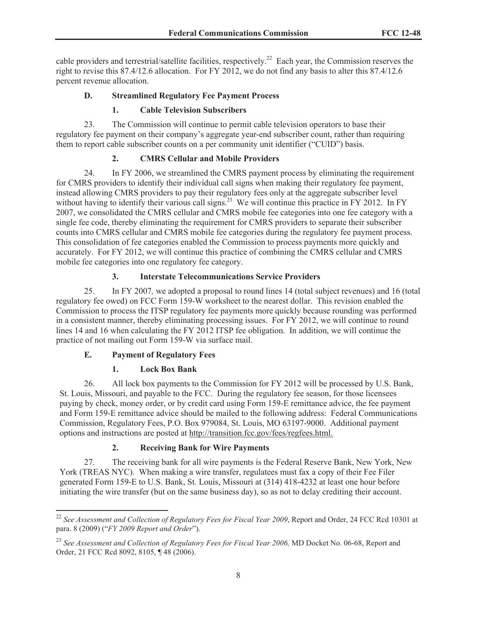cable providers and terrestrial/satellite facilities, respectively.<sup>22</sup> Each year, the Commission reserves the right to revise this 87.4/12.6 allocation. For FY 2012, we do not find any basis to alter this 87.4/12.6 percent revenue allocation.

# **D. Streamlined Regulatory Fee Payment Process**

# **1. Cable Television Subscribers**

23. The Commission will continue to permit cable television operators to base their regulatory fee payment on their company's aggregate year-end subscriber count, rather than requiring them to report cable subscriber counts on a per community unit identifier ("CUID") basis.

# **2. CMRS Cellular and Mobile Providers**

24. In FY 2006, we streamlined the CMRS payment process by eliminating the requirement for CMRS providers to identify their individual call signs when making their regulatory fee payment, instead allowing CMRS providers to pay their regulatory fees only at the aggregate subscriber level without having to identify their various call signs.<sup>23</sup> We will continue this practice in FY 2012. In FY 2007, we consolidated the CMRS cellular and CMRS mobile fee categories into one fee category with a single fee code, thereby eliminating the requirement for CMRS providers to separate their subscriber counts into CMRS cellular and CMRS mobile fee categories during the regulatory fee payment process. This consolidation of fee categories enabled the Commission to process payments more quickly and accurately. For FY 2012, we will continue this practice of combining the CMRS cellular and CMRS mobile fee categories into one regulatory fee category.

# **3. Interstate Telecommunications Service Providers**

25. In FY 2007*,* we adopted a proposal to round lines 14 (total subject revenues) and 16 (total regulatory fee owed) on FCC Form 159-W worksheet to the nearest dollar. This revision enabled the Commission to process the ITSP regulatory fee payments more quickly because rounding was performed in a consistent manner, thereby eliminating processing issues. For FY 2012, we will continue to round lines 14 and 16 when calculating the FY 2012 ITSP fee obligation. In addition, we will continue the practice of not mailing out Form 159-W via surface mail.

### **E. Payment of Regulatory Fees**

# **1. Lock Box Bank**

26. All lock box payments to the Commission for FY 2012 will be processed by U.S. Bank, St. Louis, Missouri, and payable to the FCC. During the regulatory fee season, for those licensees paying by check, money order, or by credit card using Form 159-E remittance advice, the fee payment and Form 159-E remittance advice should be mailed to the following address: Federal Communications Commission, Regulatory Fees, P.O. Box 979084, St. Louis, MO 63197-9000. Additional payment options and instructions are posted at http://transition.fcc.gov/fees/regfees.html.

### **2. Receiving Bank for Wire Payments**

27. The receiving bank for all wire payments is the Federal Reserve Bank, New York, New York (TREAS NYC). When making a wire transfer, regulatees must fax a copy of their Fee Filer generated Form 159-E to U.S. Bank, St. Louis, Missouri at (314) 418-4232 at least one hour before initiating the wire transfer (but on the same business day), so as not to delay crediting their account.

<sup>22</sup> *See Assessment and Collection of Regulatory Fees for Fiscal Year 2009*, Report and Order, 24 FCC Rcd 10301 at para. 8 (2009) ("*FY 2009 Report and Order*").

<sup>&</sup>lt;sup>23</sup> See Assessment and Collection of Regulatory Fees for Fiscal Year 2006, MD Docket No. 06-68, Report and Order, 21 FCC Rcd 8092, 8105, ¶ 48 (2006).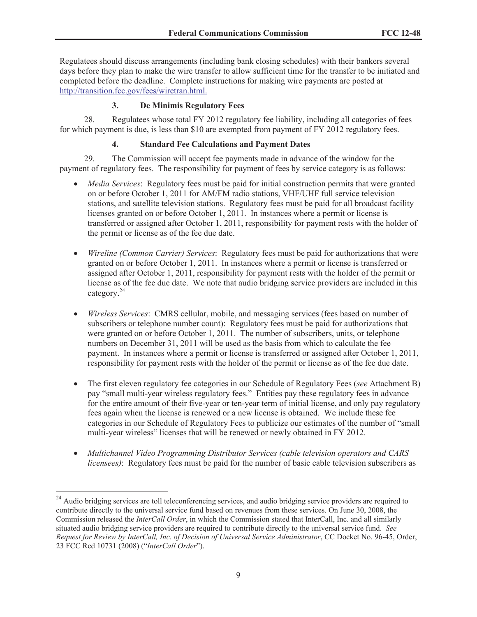Regulatees should discuss arrangements (including bank closing schedules) with their bankers several days before they plan to make the wire transfer to allow sufficient time for the transfer to be initiated and completed before the deadline. Complete instructions for making wire payments are posted at http://transition.fcc.gov/fees/wiretran.html.

### **3. De Minimis Regulatory Fees**

28. Regulatees whose total FY 2012 regulatory fee liability, including all categories of fees for which payment is due, is less than \$10 are exempted from payment of FY 2012 regulatory fees.

#### **4. Standard Fee Calculations and Payment Dates**

29. The Commission will accept fee payments made in advance of the window for the payment of regulatory fees. The responsibility for payment of fees by service category is as follows:

- · *Media Services*: Regulatory fees must be paid for initial construction permits that were granted on or before October 1, 2011 for AM/FM radio stations, VHF/UHF full service television stations, and satellite television stations. Regulatory fees must be paid for all broadcast facility licenses granted on or before October 1, 2011. In instances where a permit or license is transferred or assigned after October 1, 2011, responsibility for payment rests with the holder of the permit or license as of the fee due date.
- · *Wireline (Common Carrier) Services*: Regulatory fees must be paid for authorizations that were granted on or before October 1, 2011. In instances where a permit or license is transferred or assigned after October 1, 2011, responsibility for payment rests with the holder of the permit or license as of the fee due date. We note that audio bridging service providers are included in this category. 24
- · *Wireless Services*: CMRS cellular, mobile, and messaging services (fees based on number of subscribers or telephone number count): Regulatory fees must be paid for authorizations that were granted on or before October 1, 2011. The number of subscribers, units, or telephone numbers on December 31, 2011 will be used as the basis from which to calculate the fee payment. In instances where a permit or license is transferred or assigned after October 1, 2011, responsibility for payment rests with the holder of the permit or license as of the fee due date.
- · The first eleven regulatory fee categories in our Schedule of Regulatory Fees (*see* Attachment B) pay "small multi-year wireless regulatory fees." Entities pay these regulatory fees in advance for the entire amount of their five-year or ten-year term of initial license, and only pay regulatory fees again when the license is renewed or a new license is obtained. We include these fee categories in our Schedule of Regulatory Fees to publicize our estimates of the number of "small multi-year wireless" licenses that will be renewed or newly obtained in FY 2012.
- · *Multichannel Video Programming Distributor Services (cable television operators and CARS licensees)*: Regulatory fees must be paid for the number of basic cable television subscribers as

<sup>&</sup>lt;sup>24</sup> Audio bridging services are toll teleconferencing services, and audio bridging service providers are required to contribute directly to the universal service fund based on revenues from these services. On June 30, 2008, the Commission released the *InterCall Order*, in which the Commission stated that InterCall, Inc. and all similarly situated audio bridging service providers are required to contribute directly to the universal service fund. *See Request for Review by InterCall, Inc. of Decision of Universal Service Administrator*, CC Docket No. 96-45, Order, 23 FCC Rcd 10731 (2008) ("*InterCall Order*").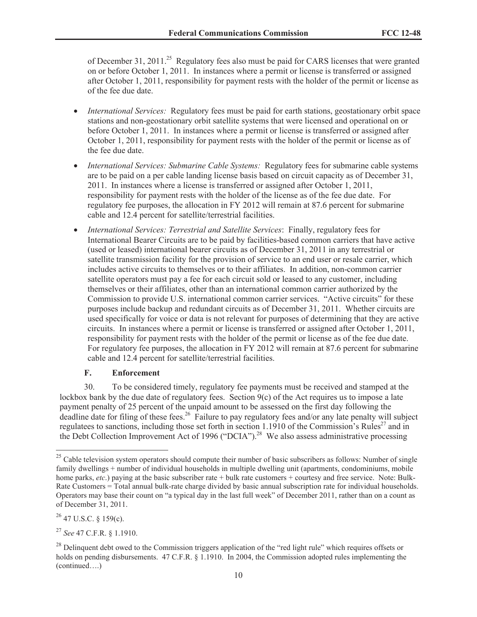of December 31, 2011.<sup>25</sup> Regulatory fees also must be paid for CARS licenses that were granted on or before October 1, 2011. In instances where a permit or license is transferred or assigned after October 1, 2011, responsibility for payment rests with the holder of the permit or license as of the fee due date.

- · *International Services:* Regulatory fees must be paid for earth stations, geostationary orbit space stations and non-geostationary orbit satellite systems that were licensed and operational on or before October 1, 2011. In instances where a permit or license is transferred or assigned after October 1, 2011, responsibility for payment rests with the holder of the permit or license as of the fee due date.
- · *International Services: Submarine Cable Systems:* Regulatory fees for submarine cable systems are to be paid on a per cable landing license basis based on circuit capacity as of December 31, 2011. In instances where a license is transferred or assigned after October 1, 2011, responsibility for payment rests with the holder of the license as of the fee due date. For regulatory fee purposes, the allocation in FY 2012 will remain at 87.6 percent for submarine cable and 12.4 percent for satellite/terrestrial facilities.
- · *International Services: Terrestrial and Satellite Services*: Finally, regulatory fees for International Bearer Circuits are to be paid by facilities-based common carriers that have active (used or leased) international bearer circuits as of December 31, 2011 in any terrestrial or satellite transmission facility for the provision of service to an end user or resale carrier, which includes active circuits to themselves or to their affiliates. In addition, non-common carrier satellite operators must pay a fee for each circuit sold or leased to any customer, including themselves or their affiliates, other than an international common carrier authorized by the Commission to provide U.S. international common carrier services. "Active circuits" for these purposes include backup and redundant circuits as of December 31, 2011. Whether circuits are used specifically for voice or data is not relevant for purposes of determining that they are active circuits. In instances where a permit or license is transferred or assigned after October 1, 2011, responsibility for payment rests with the holder of the permit or license as of the fee due date. For regulatory fee purposes, the allocation in FY 2012 will remain at 87.6 percent for submarine cable and 12.4 percent for satellite/terrestrial facilities.

#### **F. Enforcement**

30. To be considered timely, regulatory fee payments must be received and stamped at the lockbox bank by the due date of regulatory fees. Section  $9(c)$  of the Act requires us to impose a late payment penalty of 25 percent of the unpaid amount to be assessed on the first day following the deadline date for filing of these fees.<sup>26</sup> Failure to pay regulatory fees and/or any late penalty will subject regulatees to sanctions, including those set forth in section 1.1910 of the Commission's Rules<sup>27</sup> and in the Debt Collection Improvement Act of 1996 ("DCIA").<sup>28</sup> We also assess administrative processing

<sup>26</sup> 47 U.S.C. § 159(c).

<sup>&</sup>lt;sup>25</sup> Cable television system operators should compute their number of basic subscribers as follows: Number of single family dwellings + number of individual households in multiple dwelling unit (apartments, condominiums, mobile home parks, *etc*.) paying at the basic subscriber rate + bulk rate customers + courtesy and free service. Note: Bulk-Rate Customers = Total annual bulk-rate charge divided by basic annual subscription rate for individual households. Operators may base their count on "a typical day in the last full week" of December 2011, rather than on a count as of December 31, 2011.

<sup>27</sup> *See* 47 C.F.R. § 1.1910.

<sup>&</sup>lt;sup>28</sup> Delinquent debt owed to the Commission triggers application of the "red light rule" which requires offsets or holds on pending disbursements. 47 C.F.R. § 1.1910. In 2004, the Commission adopted rules implementing the (continued….)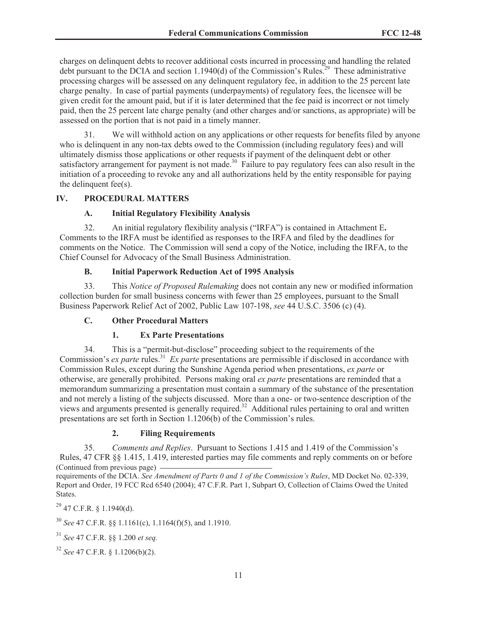charges on delinquent debts to recover additional costs incurred in processing and handling the related debt pursuant to the DCIA and section 1.1940(d) of the Commission's Rules.<sup>29</sup> These administrative processing charges will be assessed on any delinquent regulatory fee, in addition to the 25 percent late charge penalty. In case of partial payments (underpayments) of regulatory fees, the licensee will be given credit for the amount paid, but if it is later determined that the fee paid is incorrect or not timely paid, then the 25 percent late charge penalty (and other charges and/or sanctions, as appropriate) will be assessed on the portion that is not paid in a timely manner.

31. We will withhold action on any applications or other requests for benefits filed by anyone who is delinquent in any non-tax debts owed to the Commission (including regulatory fees) and will ultimately dismiss those applications or other requests if payment of the delinquent debt or other satisfactory arrangement for payment is not made.<sup>30</sup> Failure to pay regulatory fees can also result in the initiation of a proceeding to revoke any and all authorizations held by the entity responsible for paying the delinquent fee(s).

### **IV. PROCEDURAL MATTERS**

#### **A. Initial Regulatory Flexibility Analysis**

32. An initial regulatory flexibility analysis ("IRFA") is contained in Attachment E**.** Comments to the IRFA must be identified as responses to the IRFA and filed by the deadlines for comments on the Notice. The Commission will send a copy of the Notice, including the IRFA, to the Chief Counsel for Advocacy of the Small Business Administration.

#### **B. Initial Paperwork Reduction Act of 1995 Analysis**

33. This *Notice of Proposed Rulemaking* does not contain any new or modified information collection burden for small business concerns with fewer than 25 employees, pursuant to the Small Business Paperwork Relief Act of 2002, Public Law 107-198, *see* 44 U.S.C. 3506 (c) (4).

### **C. Other Procedural Matters**

### **1. Ex Parte Presentations**

34. This is a "permit-but-disclose" proceeding subject to the requirements of the Commission's *ex parte* rules.<sup>31</sup> *Ex parte* presentations are permissible if disclosed in accordance with Commission Rules, except during the Sunshine Agenda period when presentations, *ex parte* or otherwise, are generally prohibited. Persons making oral *ex parte* presentations are reminded that a memorandum summarizing a presentation must contain a summary of the substance of the presentation and not merely a listing of the subjects discussed. More than a one- or two-sentence description of the views and arguments presented is generally required.<sup>32</sup> Additional rules pertaining to oral and written presentations are set forth in Section 1.1206(b) of the Commission's rules.

### **2. Filing Requirements**

35. *Comments and Replies*. Pursuant to Sections 1.415 and 1.419 of the Commission's Rules, 47 CFR §§ 1.415, 1.419, interested parties may file comments and reply comments on or before (Continued from previous page)

requirements of the DCIA. *See Amendment of Parts 0 and 1 of the Commission's Rules*, MD Docket No. 02-339, Report and Order, 19 FCC Rcd 6540 (2004); 47 C.F.R. Part 1, Subpart O, Collection of Claims Owed the United States.

 $^{29}$  47 C.F.R. § 1.1940(d).

<sup>30</sup> *See* 47 C.F.R. §§ 1.1161(c), 1.1164(f)(5), and 1.1910.

<sup>31</sup> *See* 47 C.F.R. §§ 1.200 *et seq.*

<sup>32</sup> *See* 47 C.F.R. § 1.1206(b)(2).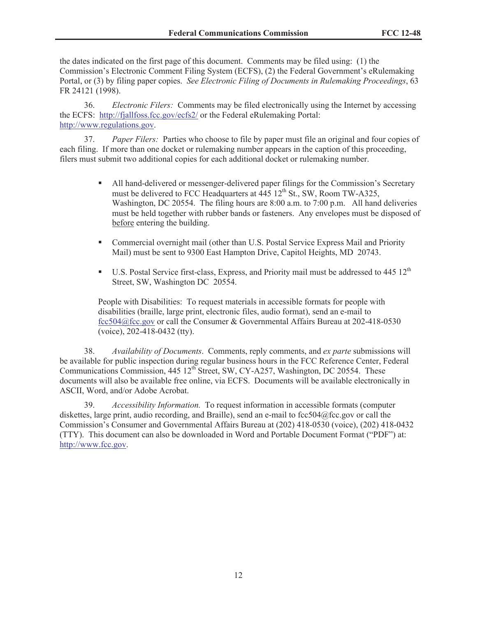the dates indicated on the first page of this document. Comments may be filed using: (1) the Commission's Electronic Comment Filing System (ECFS), (2) the Federal Government's eRulemaking Portal, or (3) by filing paper copies. *See Electronic Filing of Documents in Rulemaking Proceedings*, 63 FR 24121 (1998).

36. *Electronic Filers:* Comments may be filed electronically using the Internet by accessing the ECFS: http://fjallfoss.fcc.gov/ecfs2/ or the Federal eRulemaking Portal: http://www.regulations.gov.

37. *Paper Filers:* Parties who choose to file by paper must file an original and four copies of each filing. If more than one docket or rulemaking number appears in the caption of this proceeding, filers must submit two additional copies for each additional docket or rulemaking number.

- § All hand-delivered or messenger-delivered paper filings for the Commission's Secretary must be delivered to FCC Headquarters at  $\frac{445}{12}$ th St., SW, Room TW-A325, Washington, DC 20554. The filing hours are 8:00 a.m. to 7:00 p.m. All hand deliveries must be held together with rubber bands or fasteners. Any envelopes must be disposed of before entering the building.
- Commercial overnight mail (other than U.S. Postal Service Express Mail and Priority Mail) must be sent to 9300 East Hampton Drive, Capitol Heights, MD 20743.
- **•** U.S. Postal Service first-class, Express, and Priority mail must be addressed to  $445 \times 12^{th}$ Street, SW, Washington DC 20554.

People with Disabilities: To request materials in accessible formats for people with disabilities (braille, large print, electronic files, audio format), send an e-mail to fcc504@fcc.gov or call the Consumer & Governmental Affairs Bureau at 202-418-0530 (voice), 202-418-0432 (tty).

38. *Availability of Documents*. Comments, reply comments, and *ex parte* submissions will be available for public inspection during regular business hours in the FCC Reference Center, Federal Communications Commission,  $445 \times 12^{th}$  Street, SW, CY-A257, Washington, DC 20554. These documents will also be available free online, via ECFS. Documents will be available electronically in ASCII, Word, and/or Adobe Acrobat.

39. *Accessibility Information.* To request information in accessible formats (computer diskettes, large print, audio recording, and Braille), send an e-mail to fcc504@fcc.gov or call the Commission's Consumer and Governmental Affairs Bureau at (202) 418-0530 (voice), (202) 418-0432 (TTY). This document can also be downloaded in Word and Portable Document Format ("PDF") at: http://www.fcc.gov.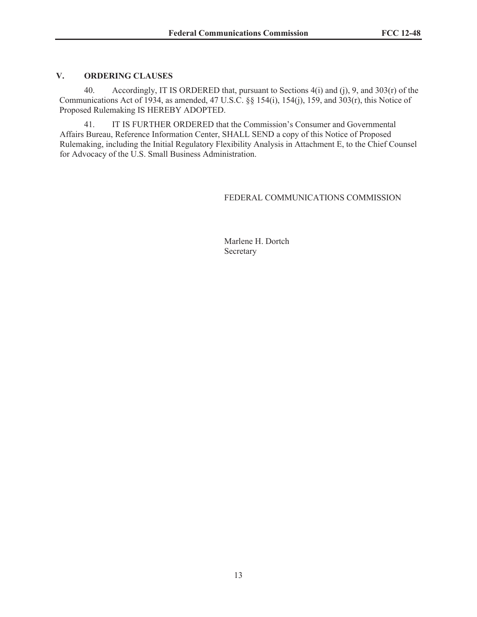#### **V. ORDERING CLAUSES**

40. Accordingly, IT IS ORDERED that, pursuant to Sections 4(i) and (j), 9, and 303(r) of the Communications Act of 1934, as amended, 47 U.S.C. §§ 154(i), 154(j), 159, and 303(r), this Notice of Proposed Rulemaking IS HEREBY ADOPTED.

41. IT IS FURTHER ORDERED that the Commission's Consumer and Governmental Affairs Bureau, Reference Information Center, SHALL SEND a copy of this Notice of Proposed Rulemaking, including the Initial Regulatory Flexibility Analysis in Attachment E, to the Chief Counsel for Advocacy of the U.S. Small Business Administration.

#### FEDERAL COMMUNICATIONS COMMISSION

Marlene H. Dortch Secretary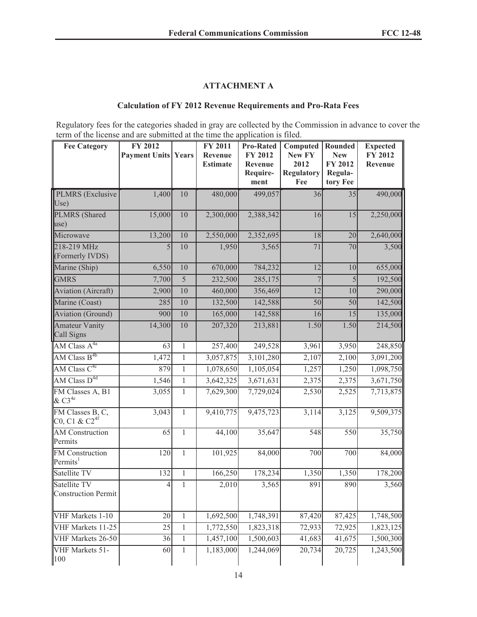# **ATTACHMENT A**

#### **Calculation of FY 2012 Revenue Requirements and Pro-Rata Fees**

Regulatory fees for the categories shaded in gray are collected by the Commission in advance to cover the term of the license and are submitted at the time the application is filed.

| <b>Fee Category</b>                                                                | FY 2012<br><b>Payment Units Years</b> |                 | FY 2011<br>Revenue<br><b>Estimate</b> | <b>Pro-Rated</b><br>FY 2012<br>Revenue<br>Require-<br>ment | Computed<br>New FY<br>2012<br><b>Regulatory</b><br>Fee | <b>Rounded</b><br><b>New</b><br>FY 2012<br>Regula-<br>tory Fee | <b>Expected</b><br><b>FY 2012</b><br>Revenue |
|------------------------------------------------------------------------------------|---------------------------------------|-----------------|---------------------------------------|------------------------------------------------------------|--------------------------------------------------------|----------------------------------------------------------------|----------------------------------------------|
| <b>PLMRS</b> (Exclusive                                                            | 1,400                                 | 10              | 480,000                               | 499,057                                                    | 36                                                     | 35                                                             | 490,000                                      |
| Use)                                                                               |                                       |                 |                                       |                                                            |                                                        |                                                                |                                              |
| <b>PLMRS</b> (Shared<br>use)                                                       | 15,000                                | 10              | 2,300,000                             | 2,388,342                                                  | 16                                                     | $\overline{15}$                                                | 2,250,000                                    |
| Microwave                                                                          | 13,200                                | 10              | 2,550,000                             | 2,352,695                                                  | 18                                                     | 20                                                             | 2,640,000                                    |
| 218-219 MHz<br>(Formerly IVDS)                                                     | 5                                     | $\overline{10}$ | 1,950                                 | 3,565                                                      | 71                                                     | 70                                                             | 3,500                                        |
| Marine (Ship)                                                                      | 6,550                                 | 10              | 670,000                               | 784,232                                                    | 12                                                     | 10                                                             | 655,000                                      |
| <b>GMRS</b>                                                                        | 7,700                                 | $\overline{5}$  | 232,500                               | 285,175                                                    | $\overline{7}$                                         | $\overline{5}$                                                 | 192,500                                      |
| <b>Aviation</b> (Aircraft)                                                         | 2,900                                 | 10              | 460,000                               | 356,469                                                    | $\overline{12}$                                        | 10                                                             | 290,000                                      |
| Marine (Coast)                                                                     | 285                                   | 10              | 132,500                               | 142,588                                                    | 50                                                     | 50                                                             | 142,500                                      |
| <b>Aviation</b> (Ground)                                                           | 900                                   | 10              | 165,000                               | 142,588                                                    | 16                                                     | 15                                                             | 135,000                                      |
| <b>Amateur Vanity</b><br>Call Signs                                                | 14,300                                | 10              | 207,320                               | 213,881                                                    | 1.50                                                   | 1.50                                                           | 214,500                                      |
| $AM Class A^{4a}$                                                                  | 63                                    | $\mathbf{1}$    | 257,400                               | 249,528                                                    | 3,961                                                  | 3,950                                                          | 248,850                                      |
| AM Class $B^{4b}$                                                                  | 1,472                                 | $\mathbf{1}$    | 3,057,875                             | 3,101,280                                                  | 2,107                                                  | 2,100                                                          | 3,091,200                                    |
| AM Class $C^{4c}$                                                                  | 879                                   | $\mathbf{1}$    | 1,078,650                             | 1,105,054                                                  | 1,257                                                  | 1,250                                                          | 1,098,750                                    |
| AM Class $D^{4d}$                                                                  | 1,546                                 | $\mathbf{1}$    | 3,642,325                             | 3,671,631                                                  | 2,375                                                  | 2,375                                                          | 3,671,750                                    |
| FM Classes A, B1<br>$&C3^{4e}$                                                     | 3,055                                 | $\mathbf{1}$    | 7,629,300                             | 7,729,024                                                  | 2,530                                                  | 2,525                                                          | 7,713,875                                    |
| FM Classes B, C,<br>C <sub>0</sub> , C <sub>1</sub> & C <sub>2</sub> <sup>4f</sup> | 3,043                                 | $\mathbf{1}$    | 9,410,775                             | 9,475,723                                                  | 3,114                                                  | 3,125                                                          | 9,509,375                                    |
| <b>AM</b> Construction<br>Permits                                                  | 65                                    | $\mathbf{1}$    | 44,100                                | 35,647                                                     | 548                                                    | 550                                                            | 35,750                                       |
| <b>FM</b> Construction<br>Permits <sup>1</sup>                                     | $\overline{120}$                      | $\mathbf{1}$    | 101,925                               | 84,000                                                     | 700                                                    | 700                                                            | 84,000                                       |
| Satellite TV                                                                       | 132                                   | $\,1$           | 166,250                               | 178,234                                                    | 1,350                                                  | 1,350                                                          | 178,200                                      |
| Satellite TV<br><b>Construction Permit</b>                                         | $\overline{4}$                        | $\,1$           | 2,010                                 | 3,565                                                      | 891                                                    | 890                                                            | 3,560                                        |
| VHF Markets 1-10                                                                   | 20                                    | $\mathbf{1}$    | 1,692,500                             | 1,748,391                                                  | 87,420                                                 | 87,425                                                         | 1,748,500                                    |
| VHF Markets 11-25                                                                  | 25                                    | $\mathbf{1}$    | 1,772,550                             | 1,823,318                                                  | 72,933                                                 | 72,925                                                         | 1,823,125                                    |
| VHF Markets 26-50                                                                  | 36                                    | $\mathbf{1}$    | 1,457,100                             | 1,500,603                                                  | 41,683                                                 | 41,675                                                         | 1,500,300                                    |
| VHF Markets 51-<br>100                                                             | 60                                    | 1               | 1,183,000                             | 1,244,069                                                  | 20,734                                                 | 20,725                                                         | 1,243,500                                    |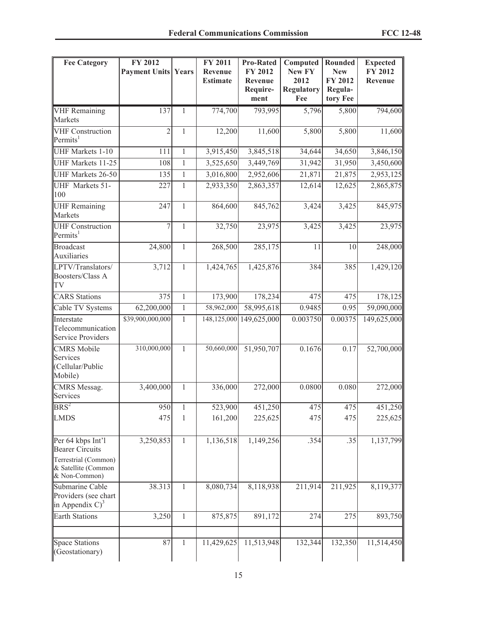| <b>Fee Category</b>                                                                                         | FY 2012<br><b>Payment Units Years</b> |              | FY 2011<br>Revenue<br><b>Estimate</b> | <b>Pro-Rated</b><br><b>FY 2012</b><br>Revenue<br>Require-<br>ment | Computed<br><b>New FY</b><br>2012<br><b>Regulatory</b><br>Fee | Rounded<br><b>New</b><br>FY 2012<br>Regula-<br>tory Fee | <b>Expected</b><br><b>FY 2012</b><br>Revenue |
|-------------------------------------------------------------------------------------------------------------|---------------------------------------|--------------|---------------------------------------|-------------------------------------------------------------------|---------------------------------------------------------------|---------------------------------------------------------|----------------------------------------------|
| <b>VHF</b> Remaining<br>Markets                                                                             | 137                                   | 1            | 774,700                               | 793,995                                                           | 5,796                                                         | 5,800                                                   | 794,600                                      |
| <b>VHF</b> Construction<br>Permits <sup>1</sup>                                                             | $\overline{2}$                        | $\mathbf{1}$ | 12,200                                | 11,600                                                            | 5,800                                                         | 5,800                                                   | 11,600                                       |
| <b>UHF Markets 1-10</b>                                                                                     | 111                                   | $\mathbf{1}$ | 3,915,450                             | 3,845,518                                                         | 34,644                                                        | 34,650                                                  | 3,846,150                                    |
| <b>UHF Markets 11-25</b>                                                                                    | 108                                   | $\mathbf{1}$ | 3,525,650                             | 3,449,769                                                         | 31,942                                                        | 31,950                                                  | 3,450,600                                    |
| <b>UHF Markets 26-50</b>                                                                                    | 135                                   | $\mathbf{1}$ | 3,016,800                             | 2,952,606                                                         | 21,871                                                        | 21,875                                                  | 2,953,125                                    |
| <b>UHF</b> Markets 51-<br>100                                                                               | 227                                   | $\mathbf{1}$ | 2,933,350                             | 2,863,357                                                         | 12,614                                                        | 12,625                                                  | 2,865,875                                    |
| <b>UHF</b> Remaining<br>Markets                                                                             | 247                                   | $\mathbf{1}$ | 864,600                               | 845,762                                                           | 3,424                                                         | 3,425                                                   | 845,975                                      |
| <b>UHF</b> Construction<br>Permits <sup>1</sup>                                                             | 7                                     | $\mathbf{1}$ | 32,750                                | 23,975                                                            | 3,425                                                         | 3,425                                                   | 23,975                                       |
| <b>Broadcast</b><br><b>Auxiliaries</b>                                                                      | 24,800                                | $\mathbf{1}$ | 268,500                               | 285,175                                                           | 11                                                            | 10                                                      | 248,000                                      |
| LPTV/Translators/<br>Boosters/Class A<br>TV                                                                 | 3,712                                 | $\mathbf{1}$ | 1,424,765                             | 1,425,876                                                         | 384                                                           | 385                                                     | 1,429,120                                    |
| <b>CARS</b> Stations                                                                                        | 375                                   | $\mathbf{1}$ | 173,900                               | 178,234                                                           | $\overline{475}$                                              | 475                                                     | 178,125                                      |
| Cable TV Systems                                                                                            | 62,200,000                            | $\mathbf{1}$ | 58,962,000                            | 58,995,618                                                        | 0.9485                                                        | 0.95                                                    | 59,090,000                                   |
| Interstate<br>Telecommunication<br><b>Service Providers</b>                                                 | \$39,900,000,000                      | $\mathbf{1}$ | 148, 125, 000                         | 149,625,000                                                       | 0.003750                                                      | 0.00375                                                 | 149,625,000                                  |
| <b>CMRS</b> Mobile<br>Services<br>(Cellular/Public<br>Mobile)                                               | 310,000,000                           | $\mathbf{1}$ | 50,660,000                            | 51,950,707                                                        | 0.1676                                                        | 0.17                                                    | 52,700,000                                   |
| CMRS Messag.<br>Services                                                                                    | 3,400,000                             | $\mathbf{1}$ | 336,000                               | 272,000                                                           | 0.0800                                                        | 0.080                                                   | 272,000                                      |
| $BRS^2$                                                                                                     | 950                                   | 1            | 523,900                               | 451,250                                                           | 475                                                           | 475                                                     | 451,250                                      |
| <b>LMDS</b>                                                                                                 | 475                                   | $\mathbf{1}$ | 161,200                               | 225,625                                                           | 475                                                           | 475                                                     | 225,625                                      |
| Per 64 kbps Int'l<br><b>Bearer Circuits</b><br>Terrestrial (Common)<br>& Satellite (Common<br>& Non-Common) | 3,250,853                             | 1            | 1,136,518                             | 1,149,256                                                         | .354                                                          | .35                                                     | 1,137,799                                    |
| Submarine Cable<br>Providers (see chart<br>in Appendix $C$ <sup>3</sup>                                     | 38.313                                | 1            | 8,080,734                             | 8,118,938                                                         | 211,914                                                       | 211,925                                                 | 8,119,377                                    |
| <b>Earth Stations</b>                                                                                       | 3,250                                 | $\mathbf{1}$ | 875,875                               | 891,172                                                           | 274                                                           | 275                                                     | 893,750                                      |
| <b>Space Stations</b><br>(Geostationary)                                                                    | 87                                    | 1            | 11,429,625                            | 11,513,948                                                        | 132,344                                                       | 132,350                                                 | 11,514,450                                   |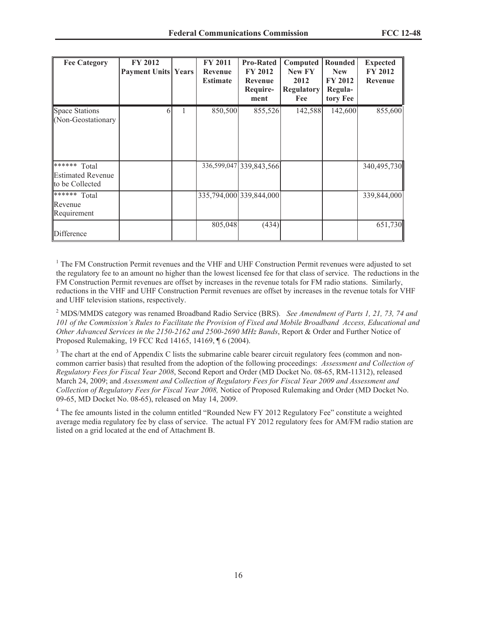| <b>Fee Category</b>                                         | <b>FY 2012</b><br><b>Payment Units Years</b> | <b>FY 2011</b><br>Revenue<br><b>Estimate</b> | <b>Pro-Rated</b><br><b>FY 2012</b><br>Revenue<br>Require-<br>ment | Computed<br><b>New FY</b><br>2012<br><b>Regulatory</b><br>Fee | Rounded<br><b>New</b><br><b>FY 2012</b><br>Regula-<br>tory Fee | <b>Expected</b><br><b>FY 2012</b><br>Revenue |
|-------------------------------------------------------------|----------------------------------------------|----------------------------------------------|-------------------------------------------------------------------|---------------------------------------------------------------|----------------------------------------------------------------|----------------------------------------------|
| <b>Space Stations</b><br>(Non-Geostationary                 | b                                            | 850,500                                      | 855,526                                                           | 142,588                                                       | 142,600                                                        | 855,600                                      |
| ****** Total<br><b>Estimated Revenue</b><br>to be Collected |                                              |                                              | 336,599,047 339,843,566                                           |                                                               |                                                                | 340,495,730                                  |
| $*****$ Total<br>Revenue<br>Requirement                     |                                              |                                              | 335,794,000 339,844,000                                           |                                                               |                                                                | 339,844,000                                  |
| Difference                                                  |                                              | 805,048                                      | (434)                                                             |                                                               |                                                                | 651,730                                      |

<sup>1</sup> The FM Construction Permit revenues and the VHF and UHF Construction Permit revenues were adjusted to set the regulatory fee to an amount no higher than the lowest licensed fee for that class of service. The reductions in the FM Construction Permit revenues are offset by increases in the revenue totals for FM radio stations. Similarly, reductions in the VHF and UHF Construction Permit revenues are offset by increases in the revenue totals for VHF and UHF television stations, respectively.

<sup>2</sup> MDS/MMDS category was renamed Broadband Radio Service (BRS). *See Amendment of Parts 1, 21, 73, 74 and 101 of the Commission's Rules to Facilitate the Provision of Fixed and Mobile Broadband Access, Educational and Other Advanced Services in the 2150-2162 and 2500-2690 MHz Bands*, Report & Order and Further Notice of Proposed Rulemaking, 19 FCC Rcd 14165, 14169, ¶ 6 (2004).

<sup>3</sup> The chart at the end of Appendix C lists the submarine cable bearer circuit regulatory fees (common and noncommon carrier basis) that resulted from the adoption of the following proceedings: *Assessment and Collection of Regulatory Fees for Fiscal Year 2008*, Second Report and Order (MD Docket No. 08-65, RM-11312), released March 24, 2009; and *Assessment and Collection of Regulatory Fees for Fiscal Year 2009 and Assessment and Collection of Regulatory Fees for Fiscal Year 2008,* Notice of Proposed Rulemaking and Order (MD Docket No. 09-65, MD Docket No. 08-65), released on May 14, 2009.

<sup>4</sup> The fee amounts listed in the column entitled "Rounded New FY 2012 Regulatory Fee" constitute a weighted average media regulatory fee by class of service. The actual FY 2012 regulatory fees for AM/FM radio station are listed on a grid located at the end of Attachment B.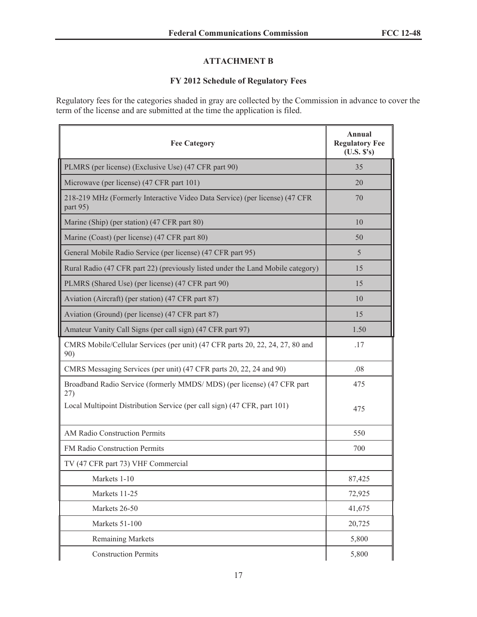# **ATTACHMENT B**

### **FY 2012 Schedule of Regulatory Fees**

Regulatory fees for the categories shaded in gray are collected by the Commission in advance to cover the term of the license and are submitted at the time the application is filed.

| <b>Fee Category</b>                                                                     | <b>Annual</b><br><b>Regulatory Fee</b><br>(U.S. S's) |
|-----------------------------------------------------------------------------------------|------------------------------------------------------|
| PLMRS (per license) (Exclusive Use) (47 CFR part 90)                                    | 35                                                   |
| Microwave (per license) (47 CFR part 101)                                               | 20                                                   |
| 218-219 MHz (Formerly Interactive Video Data Service) (per license) (47 CFR<br>part 95) | 70                                                   |
| Marine (Ship) (per station) (47 CFR part 80)                                            | 10                                                   |
| Marine (Coast) (per license) (47 CFR part 80)                                           | 50                                                   |
| General Mobile Radio Service (per license) (47 CFR part 95)                             | 5                                                    |
| Rural Radio (47 CFR part 22) (previously listed under the Land Mobile category)         | 15                                                   |
| PLMRS (Shared Use) (per license) (47 CFR part 90)                                       | 15                                                   |
| Aviation (Aircraft) (per station) (47 CFR part 87)                                      | 10                                                   |
| Aviation (Ground) (per license) (47 CFR part 87)                                        | 15                                                   |
| Amateur Vanity Call Signs (per call sign) (47 CFR part 97)                              | 1.50                                                 |
| CMRS Mobile/Cellular Services (per unit) (47 CFR parts 20, 22, 24, 27, 80 and<br>90)    | .17                                                  |
| CMRS Messaging Services (per unit) (47 CFR parts 20, 22, 24 and 90)                     | .08                                                  |
| Broadband Radio Service (formerly MMDS/MDS) (per license) (47 CFR part<br>27)           | 475                                                  |
| Local Multipoint Distribution Service (per call sign) (47 CFR, part 101)                | 475                                                  |
| AM Radio Construction Permits                                                           | 550                                                  |
| <b>FM Radio Construction Permits</b>                                                    | 700                                                  |
| TV (47 CFR part 73) VHF Commercial                                                      |                                                      |
| Markets 1-10                                                                            | 87,425                                               |
| Markets 11-25                                                                           | 72,925                                               |
| Markets 26-50                                                                           | 41,675                                               |
| Markets 51-100                                                                          | 20,725                                               |
| <b>Remaining Markets</b>                                                                | 5,800                                                |
| <b>Construction Permits</b>                                                             | 5,800                                                |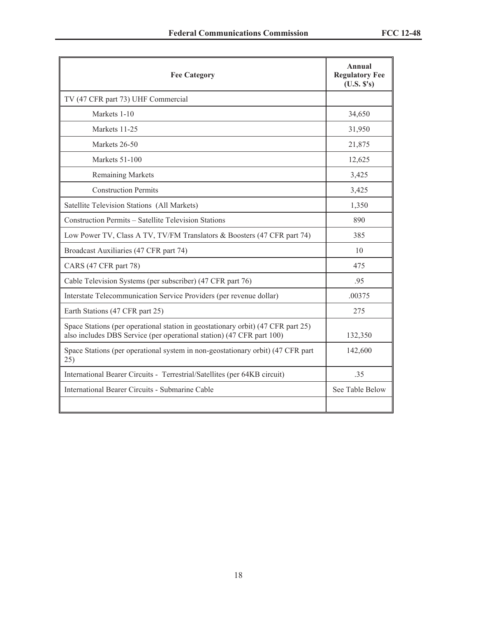| <b>Fee Category</b>                                                                                                                                       | Annual<br><b>Regulatory Fee</b><br>(U.S. S's) |
|-----------------------------------------------------------------------------------------------------------------------------------------------------------|-----------------------------------------------|
| TV (47 CFR part 73) UHF Commercial                                                                                                                        |                                               |
| Markets 1-10                                                                                                                                              | 34,650                                        |
| Markets 11-25                                                                                                                                             | 31,950                                        |
| Markets 26-50                                                                                                                                             | 21,875                                        |
| Markets 51-100                                                                                                                                            | 12,625                                        |
| <b>Remaining Markets</b>                                                                                                                                  | 3,425                                         |
| <b>Construction Permits</b>                                                                                                                               | 3,425                                         |
| Satellite Television Stations (All Markets)                                                                                                               | 1,350                                         |
| Construction Permits - Satellite Television Stations                                                                                                      | 890                                           |
| Low Power TV, Class A TV, TV/FM Translators & Boosters (47 CFR part 74)                                                                                   | 385                                           |
| Broadcast Auxiliaries (47 CFR part 74)                                                                                                                    | 10                                            |
| CARS (47 CFR part 78)                                                                                                                                     | 475                                           |
| Cable Television Systems (per subscriber) (47 CFR part 76)                                                                                                | .95                                           |
| Interstate Telecommunication Service Providers (per revenue dollar)                                                                                       | .00375                                        |
| Earth Stations (47 CFR part 25)                                                                                                                           | 275                                           |
| Space Stations (per operational station in geostationary orbit) (47 CFR part 25)<br>also includes DBS Service (per operational station) (47 CFR part 100) | 132,350                                       |
| Space Stations (per operational system in non-geostationary orbit) (47 CFR part<br>25)                                                                    | 142,600                                       |
| International Bearer Circuits - Terrestrial/Satellites (per 64KB circuit)                                                                                 | 35                                            |
| International Bearer Circuits - Submarine Cable                                                                                                           | See Table Below                               |
|                                                                                                                                                           |                                               |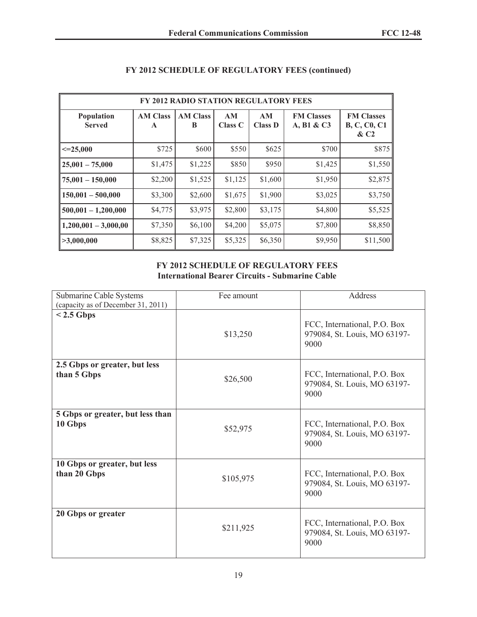| FY 2012 RADIO STATION REGULATORY FEES |                                 |                      |                      |                      |                                 |                                                    |
|---------------------------------------|---------------------------------|----------------------|----------------------|----------------------|---------------------------------|----------------------------------------------------|
| Population<br><b>Served</b>           | <b>AM Class</b><br>$\mathbf{A}$ | <b>AM Class</b><br>B | AM<br><b>Class C</b> | AM<br><b>Class D</b> | <b>FM Classes</b><br>A, B1 & C3 | <b>FM Classes</b><br><b>B, C, C0, C1</b><br>$\&C2$ |
| $\leq 25,000$                         | \$725                           | \$600                | \$550                | \$625                | \$700                           | \$875                                              |
| $25,001 - 75,000$                     | \$1,475                         | \$1,225              | \$850                | \$950                | \$1,425                         | \$1,550                                            |
| $75,001 - 150,000$                    | \$2,200                         | \$1,525              | \$1,125              | \$1,600              | \$1,950                         | \$2,875                                            |
| $150,001 - 500,000$                   | \$3,300                         | \$2,600              | \$1,675              | \$1,900              | \$3,025                         | \$3,750                                            |
| $500,001 - 1,200,000$                 | \$4,775                         | \$3,975              | \$2,800              | \$3,175              | \$4,800                         | \$5,525                                            |
| $1,200,001 - 3,000,00$                | \$7,350                         | \$6,100              | \$4,200              | \$5,075              | \$7,800                         | \$8,850                                            |
| >3,000,000                            | \$8,825                         | \$7,325              | \$5,325              | \$6,350              | \$9,950                         | \$11,500                                           |

# **FY 2012 SCHEDULE OF REGULATORY FEES (continued)**

#### **FY 2012 SCHEDULE OF REGULATORY FEES International Bearer Circuits - Submarine Cable**

| Submarine Cable Systems<br>(capacity as of December 31, 2011) | Fee amount | Address                                                              |
|---------------------------------------------------------------|------------|----------------------------------------------------------------------|
| $< 2.5$ Gbps                                                  | \$13,250   | FCC, International, P.O. Box<br>979084, St. Louis, MO 63197-<br>9000 |
| 2.5 Gbps or greater, but less<br>than 5 Gbps                  | \$26,500   | FCC, International, P.O. Box<br>979084, St. Louis, MO 63197-<br>9000 |
| 5 Gbps or greater, but less than<br>10 Gbps                   | \$52,975   | FCC, International, P.O. Box<br>979084, St. Louis, MO 63197-<br>9000 |
| 10 Gbps or greater, but less<br>than 20 Gbps                  | \$105,975  | FCC, International, P.O. Box<br>979084, St. Louis, MO 63197-<br>9000 |
| 20 Gbps or greater                                            | \$211,925  | FCC, International, P.O. Box<br>979084, St. Louis, MO 63197-<br>9000 |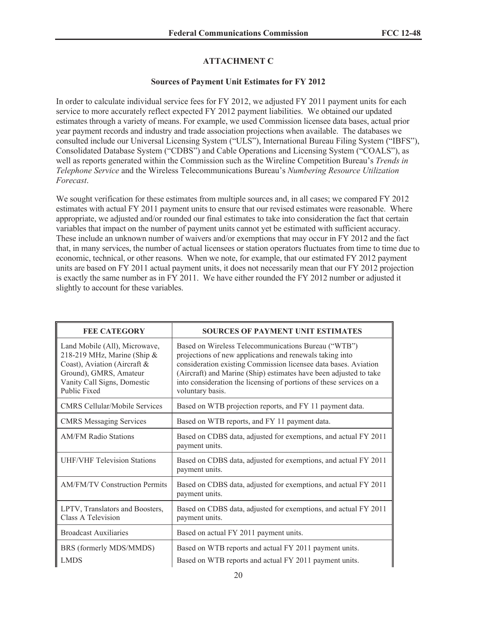# **ATTACHMENT C**

#### **Sources of Payment Unit Estimates for FY 2012**

In order to calculate individual service fees for FY 2012, we adjusted FY 2011 payment units for each service to more accurately reflect expected FY 2012 payment liabilities. We obtained our updated estimates through a variety of means. For example, we used Commission licensee data bases, actual prior year payment records and industry and trade association projections when available. The databases we consulted include our Universal Licensing System ("ULS"), International Bureau Filing System ("IBFS"), Consolidated Database System ("CDBS") and Cable Operations and Licensing System ("COALS"), as well as reports generated within the Commission such as the Wireline Competition Bureau's *Trends in Telephone Service* and the Wireless Telecommunications Bureau's *Numbering Resource Utilization Forecast*.

We sought verification for these estimates from multiple sources and, in all cases; we compared FY 2012 estimates with actual FY 2011 payment units to ensure that our revised estimates were reasonable. Where appropriate, we adjusted and/or rounded our final estimates to take into consideration the fact that certain variables that impact on the number of payment units cannot yet be estimated with sufficient accuracy. These include an unknown number of waivers and/or exemptions that may occur in FY 2012 and the fact that, in many services, the number of actual licensees or station operators fluctuates from time to time due to economic, technical, or other reasons. When we note, for example, that our estimated FY 2012 payment units are based on FY 2011 actual payment units, it does not necessarily mean that our FY 2012 projection is exactly the same number as in FY 2011. We have either rounded the FY 2012 number or adjusted it slightly to account for these variables.

| <b>FEE CATEGORY</b>                                                                                                                                                             | <b>SOURCES OF PAYMENT UNIT ESTIMATES</b>                                                                                                                                                                                                                                                                                                           |
|---------------------------------------------------------------------------------------------------------------------------------------------------------------------------------|----------------------------------------------------------------------------------------------------------------------------------------------------------------------------------------------------------------------------------------------------------------------------------------------------------------------------------------------------|
| Land Mobile (All), Microwave,<br>218-219 MHz, Marine (Ship $\&$<br>Coast), Aviation (Aircraft &<br>Ground), GMRS, Amateur<br>Vanity Call Signs, Domestic<br><b>Public Fixed</b> | Based on Wireless Telecommunications Bureau ("WTB")<br>projections of new applications and renewals taking into<br>consideration existing Commission licensee data bases. Aviation<br>(Aircraft) and Marine (Ship) estimates have been adjusted to take<br>into consideration the licensing of portions of these services on a<br>voluntary basis. |
| <b>CMRS Cellular/Mobile Services</b>                                                                                                                                            | Based on WTB projection reports, and FY 11 payment data.                                                                                                                                                                                                                                                                                           |
| <b>CMRS Messaging Services</b>                                                                                                                                                  | Based on WTB reports, and FY 11 payment data.                                                                                                                                                                                                                                                                                                      |
| <b>AM/FM Radio Stations</b>                                                                                                                                                     | Based on CDBS data, adjusted for exemptions, and actual FY 2011<br>payment units.                                                                                                                                                                                                                                                                  |
| <b>UHF/VHF Television Stations</b>                                                                                                                                              | Based on CDBS data, adjusted for exemptions, and actual FY 2011<br>payment units.                                                                                                                                                                                                                                                                  |
| <b>AM/FM/TV Construction Permits</b>                                                                                                                                            | Based on CDBS data, adjusted for exemptions, and actual FY 2011<br>payment units.                                                                                                                                                                                                                                                                  |
| LPTV, Translators and Boosters,<br>Class A Television                                                                                                                           | Based on CDBS data, adjusted for exemptions, and actual FY 2011<br>payment units.                                                                                                                                                                                                                                                                  |
| <b>Broadcast Auxiliaries</b>                                                                                                                                                    | Based on actual FY 2011 payment units.                                                                                                                                                                                                                                                                                                             |
| BRS (formerly MDS/MMDS)                                                                                                                                                         | Based on WTB reports and actual FY 2011 payment units.                                                                                                                                                                                                                                                                                             |
| <b>LMDS</b>                                                                                                                                                                     | Based on WTB reports and actual FY 2011 payment units.                                                                                                                                                                                                                                                                                             |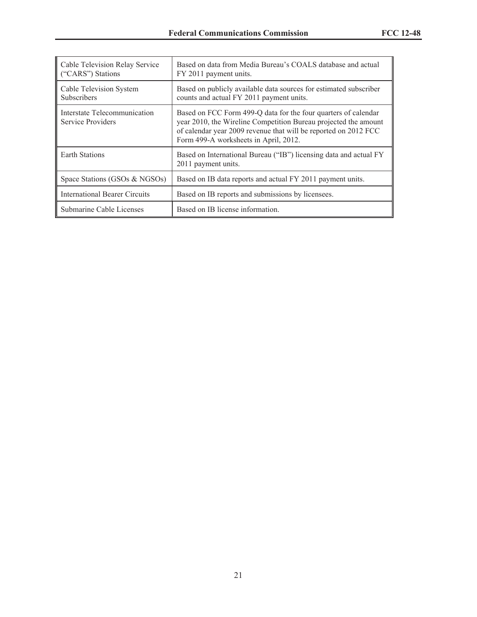| Cable Television Relay Service<br>("CARS") Stations | Based on data from Media Bureau's COALS database and actual<br>FY 2011 payment units.                                                                                                                                                         |
|-----------------------------------------------------|-----------------------------------------------------------------------------------------------------------------------------------------------------------------------------------------------------------------------------------------------|
| Cable Television System<br><b>Subscribers</b>       | Based on publicly available data sources for estimated subscriber<br>counts and actual FY 2011 payment units.                                                                                                                                 |
| Interstate Telecommunication<br>Service Providers   | Based on FCC Form 499-Q data for the four quarters of calendar<br>year 2010, the Wireline Competition Bureau projected the amount<br>of calendar year 2009 revenue that will be reported on 2012 FCC<br>Form 499-A worksheets in April, 2012. |
| Earth Stations                                      | Based on International Bureau ("IB") licensing data and actual FY<br>2011 payment units.                                                                                                                                                      |
| Space Stations (GSOs & NGSOs)                       | Based on IB data reports and actual FY 2011 payment units.                                                                                                                                                                                    |
| International Bearer Circuits                       | Based on IB reports and submissions by licensees.                                                                                                                                                                                             |
| Submarine Cable Licenses                            | Based on IB license information.                                                                                                                                                                                                              |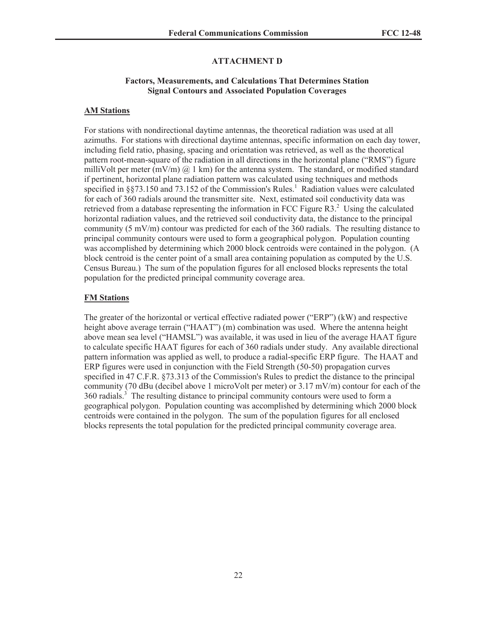#### **ATTACHMENT D**

#### **Factors, Measurements, and Calculations That Determines Station Signal Contours and Associated Population Coverages**

#### **AM Stations**

For stations with nondirectional daytime antennas, the theoretical radiation was used at all azimuths. For stations with directional daytime antennas, specific information on each day tower, including field ratio, phasing, spacing and orientation was retrieved, as well as the theoretical pattern root-mean-square of the radiation in all directions in the horizontal plane ("RMS") figure milliVolt per meter  $(mV/m)$  @ 1 km) for the antenna system. The standard, or modified standard if pertinent, horizontal plane radiation pattern was calculated using techniques and methods specified in §§73.150 and 73.152 of the Commission's Rules.<sup>1</sup> Radiation values were calculated for each of 360 radials around the transmitter site. Next, estimated soil conductivity data was retrieved from a database representing the information in FCC Figure  $R3<sup>2</sup>$ . Using the calculated horizontal radiation values, and the retrieved soil conductivity data, the distance to the principal community (5 mV/m) contour was predicted for each of the 360 radials. The resulting distance to principal community contours were used to form a geographical polygon. Population counting was accomplished by determining which 2000 block centroids were contained in the polygon. (A block centroid is the center point of a small area containing population as computed by the U.S. Census Bureau.) The sum of the population figures for all enclosed blocks represents the total population for the predicted principal community coverage area.

#### **FM Stations**

The greater of the horizontal or vertical effective radiated power ("ERP") (kW) and respective height above average terrain ("HAAT") (m) combination was used. Where the antenna height above mean sea level ("HAMSL") was available, it was used in lieu of the average HAAT figure to calculate specific HAAT figures for each of 360 radials under study. Any available directional pattern information was applied as well, to produce a radial-specific ERP figure. The HAAT and ERP figures were used in conjunction with the Field Strength (50-50) propagation curves specified in 47 C.F.R. §73.313 of the Commission's Rules to predict the distance to the principal community (70 dBu (decibel above 1 microVolt per meter) or 3.17 mV/m) contour for each of the  $360$  radials.<sup>3</sup> The resulting distance to principal community contours were used to form a geographical polygon. Population counting was accomplished by determining which 2000 block centroids were contained in the polygon. The sum of the population figures for all enclosed blocks represents the total population for the predicted principal community coverage area.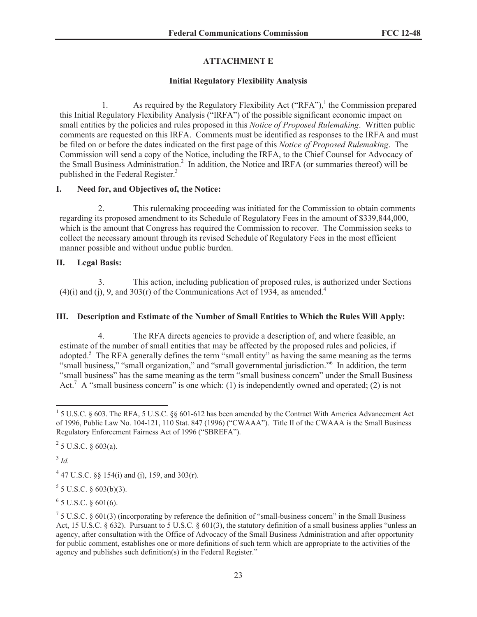# **ATTACHMENT E**

### **Initial Regulatory Flexibility Analysis**

1. As required by the Regulatory Flexibility Act ("RFA"),<sup>1</sup> the Commission prepared this Initial Regulatory Flexibility Analysis ("IRFA") of the possible significant economic impact on small entities by the policies and rules proposed in this *Notice of Proposed Rulemaking*. Written public comments are requested on this IRFA. Comments must be identified as responses to the IRFA and must be filed on or before the dates indicated on the first page of this *Notice of Proposed Rulemaking*. The Commission will send a copy of the Notice, including the IRFA, to the Chief Counsel for Advocacy of the Small Business Administration.<sup>2</sup> In addition, the Notice and IRFA (or summaries thereof) will be published in the Federal Register.<sup>3</sup>

### **I. Need for, and Objectives of, the Notice:**

2. This rulemaking proceeding was initiated for the Commission to obtain comments regarding its proposed amendment to its Schedule of Regulatory Fees in the amount of \$339,844,000, which is the amount that Congress has required the Commission to recover. The Commission seeks to collect the necessary amount through its revised Schedule of Regulatory Fees in the most efficient manner possible and without undue public burden.

### **II. Legal Basis:**

3. This action, including publication of proposed rules, is authorized under Sections  $(4)(i)$  and  $(i)$ , 9, and 303(r) of the Communications Act of 1934, as amended.<sup>4</sup>

### **III. Description and Estimate of the Number of Small Entities to Which the Rules Will Apply:**

4. The RFA directs agencies to provide a description of, and where feasible, an estimate of the number of small entities that may be affected by the proposed rules and policies, if adopted.<sup>5</sup> The RFA generally defines the term "small entity" as having the same meaning as the terms "small business," "small organization," and "small governmental jurisdiction."<sup>6</sup> In addition, the term "small business" has the same meaning as the term "small business concern" under the Small Business Act.<sup>7</sup> A "small business concern" is one which: (1) is independently owned and operated; (2) is not

 $^{2}$  5 U.S.C. § 603(a).

3 *Id.*

<sup>4</sup> 47 U.S.C. §§ 154(i) and (j), 159, and 303(r).

 $5$  5 U.S.C. § 603(b)(3).

 $6$  5 U.S.C. § 601(6).

<sup>&</sup>lt;sup>1</sup> 5 U.S.C. § 603. The RFA, 5 U.S.C. §§ 601-612 has been amended by the Contract With America Advancement Act of 1996, Public Law No. 104-121, 110 Stat. 847 (1996) ("CWAAA"). Title II of the CWAAA is the Small Business Regulatory Enforcement Fairness Act of 1996 ("SBREFA").

 $75$  U.S.C. § 601(3) (incorporating by reference the definition of "small-business concern" in the Small Business Act, 15 U.S.C. § 632). Pursuant to 5 U.S.C. § 601(3), the statutory definition of a small business applies "unless an agency, after consultation with the Office of Advocacy of the Small Business Administration and after opportunity for public comment, establishes one or more definitions of such term which are appropriate to the activities of the agency and publishes such definition(s) in the Federal Register."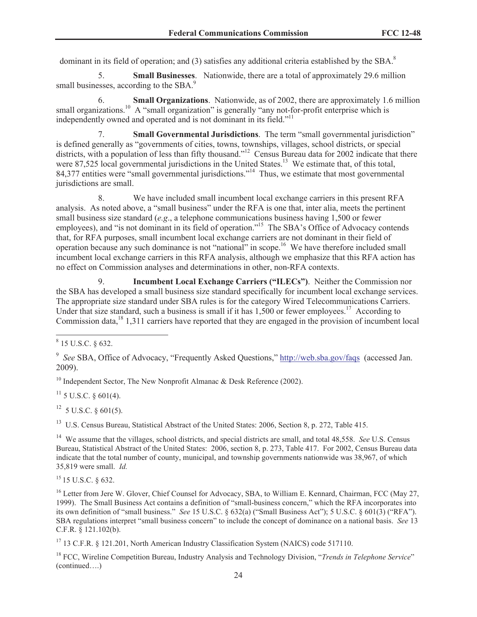dominant in its field of operation; and (3) satisfies any additional criteria established by the SBA.<sup>8</sup>

5. **Small Businesses**. Nationwide, there are a total of approximately 29.6 million small businesses, according to the SBA.<sup>9</sup>

6. **Small Organizations**. Nationwide, as of 2002, there are approximately 1.6 million small organizations.<sup>10</sup> A "small organization" is generally "any not-for-profit enterprise which is independently owned and operated and is not dominant in its field."<sup>11</sup>

7. **Small Governmental Jurisdictions**. The term "small governmental jurisdiction" is defined generally as "governments of cities, towns, townships, villages, school districts, or special districts, with a population of less than fifty thousand."<sup>12</sup> Census Bureau data for 2002 indicate that there were 87,525 local governmental jurisdictions in the United States.<sup>13</sup> We estimate that, of this total, 84,377 entities were "small governmental jurisdictions."<sup>14</sup> Thus, we estimate that most governmental jurisdictions are small.

8. We have included small incumbent local exchange carriers in this present RFA analysis. As noted above, a "small business" under the RFA is one that, inter alia, meets the pertinent small business size standard (*e.g*., a telephone communications business having 1,500 or fewer employees), and "is not dominant in its field of operation."<sup>15</sup> The SBA's Office of Advocacy contends that, for RFA purposes, small incumbent local exchange carriers are not dominant in their field of operation because any such dominance is not "national" in scope.<sup>16</sup> We have therefore included small incumbent local exchange carriers in this RFA analysis, although we emphasize that this RFA action has no effect on Commission analyses and determinations in other, non-RFA contexts.

9. **Incumbent Local Exchange Carriers ("ILECs")**. Neither the Commission nor the SBA has developed a small business size standard specifically for incumbent local exchange services. The appropriate size standard under SBA rules is for the category Wired Telecommunications Carriers. Under that size standard, such a business is small if it has 1,500 or fewer employees.<sup>17</sup> According to Commission data,<sup>18</sup> 1,311 carriers have reported that they are engaged in the provision of incumbent local

<sup>10</sup> Independent Sector, The New Nonprofit Almanac  $\&$  Desk Reference (2002).

 $11$  5 U.S.C. § 601(4).

 $12$  5 U.S.C. § 601(5).

<sup>13</sup> U.S. Census Bureau, Statistical Abstract of the United States: 2006, Section 8, p. 272, Table 415.

<sup>14</sup> We assume that the villages, school districts, and special districts are small, and total 48,558. *See* U.S. Census Bureau, Statistical Abstract of the United States: 2006, section 8, p. 273, Table 417. For 2002, Census Bureau data indicate that the total number of county, municipal, and township governments nationwide was 38,967, of which 35,819 were small. *Id.*

<sup>15</sup> 15 U.S.C. § 632.

<sup>16</sup> Letter from Jere W. Glover, Chief Counsel for Advocacy, SBA, to William E. Kennard, Chairman, FCC (May 27, 1999). The Small Business Act contains a definition of "small-business concern," which the RFA incorporates into its own definition of "small business." *See* 15 U.S.C. § 632(a) ("Small Business Act"); 5 U.S.C. § 601(3) ("RFA"). SBA regulations interpret "small business concern" to include the concept of dominance on a national basis. *See* 13 C.F.R. § 121.102(b).

<sup>17</sup> 13 C.F.R. § 121.201, North American Industry Classification System (NAICS) code 517110.

<sup>18</sup> FCC, Wireline Competition Bureau, Industry Analysis and Technology Division, "*Trends in Telephone Service*" (continued….)

 $8$  15 U.S.C. § 632.

<sup>&</sup>lt;sup>9</sup> See SBA, Office of Advocacy, "Frequently Asked Questions," http://web.sba.gov/faqs (accessed Jan. 2009).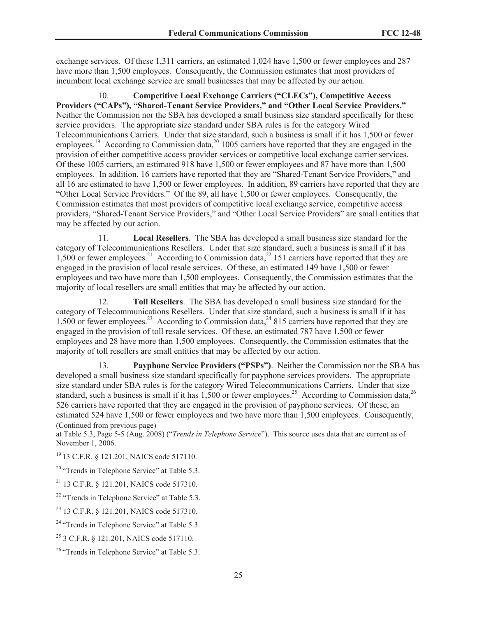exchange services. Of these 1,311 carriers, an estimated 1,024 have 1,500 or fewer employees and 287 have more than 1,500 employees. Consequently, the Commission estimates that most providers of incumbent local exchange service are small businesses that may be affected by our action.

10. **Competitive Local Exchange Carriers ("CLECs"), Competitive Access Providers ("CAPs"), "Shared-Tenant Service Providers," and "Other Local Service Providers."** Neither the Commission nor the SBA has developed a small business size standard specifically for these service providers. The appropriate size standard under SBA rules is for the category Wired Telecommunications Carriers. Under that size standard, such a business is small if it has 1,500 or fewer employees.<sup>19</sup> According to Commission data,<sup>20</sup> 1005 carriers have reported that they are engaged in the provision of either competitive access provider services or competitive local exchange carrier services. Of these 1005 carriers, an estimated 918 have 1,500 or fewer employees and 87 have more than 1,500 employees. In addition, 16 carriers have reported that they are "Shared-Tenant Service Providers," and all 16 are estimated to have 1,500 or fewer employees. In addition, 89 carriers have reported that they are "Other Local Service Providers." Of the 89, all have 1,500 or fewer employees. Consequently, the Commission estimates that most providers of competitive local exchange service, competitive access providers, "Shared-Tenant Service Providers," and "Other Local Service Providers" are small entities that may be affected by our action.

11. **Local Resellers**. The SBA has developed a small business size standard for the category of Telecommunications Resellers. Under that size standard, such a business is small if it has 1,500 or fewer employees.<sup>21</sup> According to Commission data,<sup>22</sup> 151 carriers have reported that they are engaged in the provision of local resale services. Of these, an estimated 149 have 1,500 or fewer employees and two have more than 1,500 employees. Consequently, the Commission estimates that the majority of local resellers are small entities that may be affected by our action.

12. **Toll Resellers**. The SBA has developed a small business size standard for the category of Telecommunications Resellers. Under that size standard, such a business is small if it has 1,500 or fewer employees.<sup>23</sup> According to Commission data,<sup>24</sup> 815 carriers have reported that they are engaged in the provision of toll resale services. Of these, an estimated 787 have 1,500 or fewer employees and 28 have more than 1,500 employees. Consequently, the Commission estimates that the majority of toll resellers are small entities that may be affected by our action.

13. **Payphone Service Providers ("PSPs")**. Neither the Commission nor the SBA has developed a small business size standard specifically for payphone services providers. The appropriate size standard under SBA rules is for the category Wired Telecommunications Carriers. Under that size standard, such a business is small if it has  $1,500$  or fewer employees.<sup>25</sup> According to Commission data,<sup>26</sup> 526 carriers have reported that they are engaged in the provision of payphone services. Of these, an estimated 524 have 1,500 or fewer employees and two have more than 1,500 employees. Consequently, (Continued from previous page)

at Table 5.3, Page 5-5 (Aug. 2008) ("*Trends in Telephone Service*"). This source uses data that are current as of November 1, 2006.

<sup>19</sup> 13 C.F.R. § 121.201, NAICS code 517110.

 $20$  "Trends in Telephone Service" at Table 5.3.

<sup>21</sup> 13 C.F.R. § 121.201, NAICS code 517310.

<sup>&</sup>lt;sup>22</sup> "Trends in Telephone Service" at Table 5.3.

<sup>23</sup> 13 C.F.R. § 121.201, NAICS code 517310.

<sup>&</sup>lt;sup>24</sup> "Trends in Telephone Service" at Table 5.3.

<sup>25</sup> 3 C.F.R. § 121.201, NAICS code 517110.

<sup>&</sup>lt;sup>26</sup> "Trends in Telephone Service" at Table 5.3.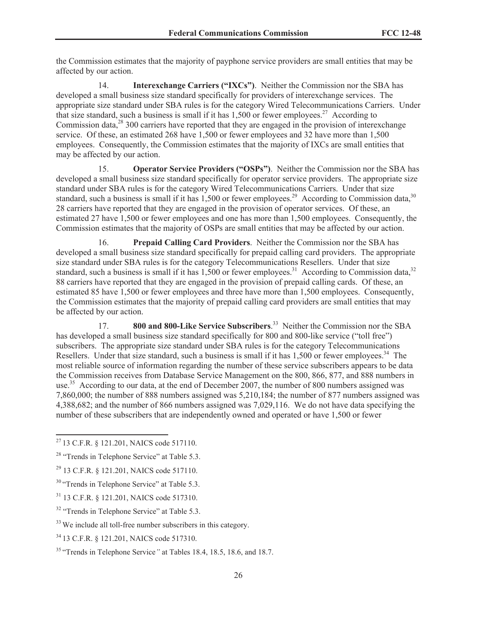the Commission estimates that the majority of payphone service providers are small entities that may be affected by our action.

14. **Interexchange Carriers ("IXCs")**. Neither the Commission nor the SBA has developed a small business size standard specifically for providers of interexchange services. The appropriate size standard under SBA rules is for the category Wired Telecommunications Carriers. Under that size standard, such a business is small if it has  $1,500$  or fewer employees.<sup>27</sup> According to Commission data, $^{28}$  300 carriers have reported that they are engaged in the provision of interexchange service. Of these, an estimated 268 have 1,500 or fewer employees and 32 have more than 1,500 employees. Consequently, the Commission estimates that the majority of IXCs are small entities that may be affected by our action.

15. **Operator Service Providers ("OSPs")**. Neither the Commission nor the SBA has developed a small business size standard specifically for operator service providers. The appropriate size standard under SBA rules is for the category Wired Telecommunications Carriers. Under that size standard, such a business is small if it has  $1,500$  or fewer employees.<sup>29</sup> According to Commission data,<sup>30</sup> 28 carriers have reported that they are engaged in the provision of operator services. Of these, an estimated 27 have 1,500 or fewer employees and one has more than 1,500 employees. Consequently, the Commission estimates that the majority of OSPs are small entities that may be affected by our action.

16. **Prepaid Calling Card Providers**. Neither the Commission nor the SBA has developed a small business size standard specifically for prepaid calling card providers. The appropriate size standard under SBA rules is for the category Telecommunications Resellers. Under that size standard, such a business is small if it has 1,500 or fewer employees.<sup>31</sup> According to Commission data,<sup>32</sup> 88 carriers have reported that they are engaged in the provision of prepaid calling cards. Of these, an estimated 85 have 1,500 or fewer employees and three have more than 1,500 employees. Consequently, the Commission estimates that the majority of prepaid calling card providers are small entities that may be affected by our action.

17. **800 and 800-Like Service Subscribers**. <sup>33</sup> Neither the Commission nor the SBA has developed a small business size standard specifically for 800 and 800-like service ("toll free") subscribers. The appropriate size standard under SBA rules is for the category Telecommunications Resellers. Under that size standard, such a business is small if it has  $1,500$  or fewer employees.<sup>34</sup> The most reliable source of information regarding the number of these service subscribers appears to be data the Commission receives from Database Service Management on the 800, 866, 877, and 888 numbers in use.<sup>35</sup> According to our data, at the end of December 2007, the number of 800 numbers assigned was 7,860,000; the number of 888 numbers assigned was 5,210,184; the number of 877 numbers assigned was 4,388,682; and the number of 866 numbers assigned was 7,029,116. We do not have data specifying the number of these subscribers that are independently owned and operated or have 1,500 or fewer

<sup>27</sup> 13 C.F.R. § 121.201, NAICS code 517110.

<sup>&</sup>lt;sup>28</sup> "Trends in Telephone Service" at Table 5.3.

<sup>29</sup> 13 C.F.R. § 121.201, NAICS code 517110.

<sup>&</sup>lt;sup>30</sup> "Trends in Telephone Service" at Table 5.3.

<sup>31</sup> 13 C.F.R. § 121.201, NAICS code 517310.

<sup>&</sup>lt;sup>32</sup> "Trends in Telephone Service" at Table 5.3.

<sup>&</sup>lt;sup>33</sup> We include all toll-free number subscribers in this category.

<sup>34</sup> 13 C.F.R. § 121.201, NAICS code 517310.

<sup>35</sup> "Trends in Telephone Service*"* at Tables 18.4, 18.5, 18.6, and 18.7.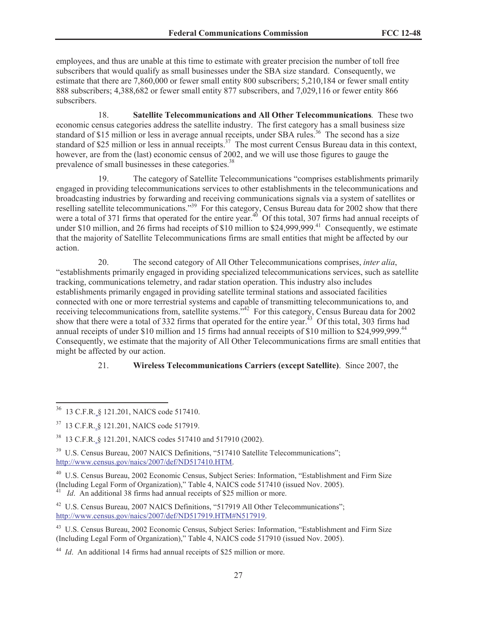employees, and thus are unable at this time to estimate with greater precision the number of toll free subscribers that would qualify as small businesses under the SBA size standard. Consequently, we estimate that there are 7,860,000 or fewer small entity 800 subscribers; 5,210,184 or fewer small entity 888 subscribers; 4,388,682 or fewer small entity 877 subscribers, and 7,029,116 or fewer entity 866 subscribers.

18. **Satellite Telecommunications and All Other Telecommunications***.* These two economic census categories address the satellite industry. The first category has a small business size standard of \$15 million or less in average annual receipts, under SBA rules.<sup>36</sup> The second has a size standard of \$25 million or less in annual receipts.<sup>37</sup> The most current Census Bureau data in this context, however, are from the (last) economic census of 2002, and we will use those figures to gauge the prevalence of small businesses in these categories.<sup>38</sup>

19. The category of Satellite Telecommunications "comprises establishments primarily engaged in providing telecommunications services to other establishments in the telecommunications and broadcasting industries by forwarding and receiving communications signals via a system of satellites or reselling satellite telecommunications."<sup>39</sup> For this category, Census Bureau data for 2002 show that there were a total of 371 firms that operated for the entire year.<sup>40</sup> Of this total, 307 firms had annual receipts of under \$10 million, and 26 firms had receipts of \$10 million to \$24,999,999.<sup>41</sup> Consequently, we estimate that the majority of Satellite Telecommunications firms are small entities that might be affected by our action.

20. The second category of All Other Telecommunications comprises, *inter alia*, "establishments primarily engaged in providing specialized telecommunications services, such as satellite tracking, communications telemetry, and radar station operation. This industry also includes establishments primarily engaged in providing satellite terminal stations and associated facilities connected with one or more terrestrial systems and capable of transmitting telecommunications to, and receiving telecommunications from, satellite systems.<sup>5,42</sup> For this category, Census Bureau data for 2002 show that there were a total of 332 firms that operated for the entire year.<sup>43</sup> Of this total, 303 firms had annual receipts of under \$10 million and 15 firms had annual receipts of \$10 million to \$24,999,999.<sup>44</sup> Consequently, we estimate that the majority of All Other Telecommunications firms are small entities that might be affected by our action.

#### 21. **Wireless Telecommunications Carriers (except Satellite)**. Since 2007, the

<sup>36</sup> 13 C.F.R. § 121.201, NAICS code 517410.

<sup>37</sup> 13 C.F.R. § 121.201, NAICS code 517919.

<sup>38</sup> 13 C.F.R. § 121.201, NAICS codes 517410 and 517910 (2002).

<sup>&</sup>lt;sup>39</sup> U.S. Census Bureau, 2007 NAICS Definitions, "517410 Satellite Telecommunications"; http://www.census.gov/naics/2007/def/ND517410.HTM.

<sup>40</sup> U.S. Census Bureau, 2002 Economic Census, Subject Series: Information, "Establishment and Firm Size (Including Legal Form of Organization)," Table 4, NAICS code 517410 (issued Nov. 2005).

*Id.* An additional 38 firms had annual receipts of \$25 million or more.

<sup>&</sup>lt;sup>42</sup> U.S. Census Bureau, 2007 NAICS Definitions, "517919 All Other Telecommunications"; http://www.census.gov/naics/2007/def/ND517919.HTM#N517919.

<sup>43</sup> U.S. Census Bureau, 2002 Economic Census, Subject Series: Information, "Establishment and Firm Size (Including Legal Form of Organization)," Table 4, NAICS code 517910 (issued Nov. 2005).

<sup>&</sup>lt;sup>44</sup> *Id.* An additional 14 firms had annual receipts of \$25 million or more.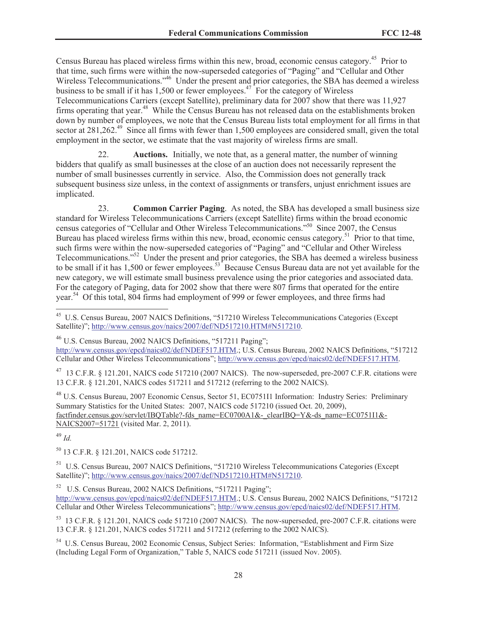Census Bureau has placed wireless firms within this new, broad, economic census category.<sup>45</sup> Prior to that time, such firms were within the now-superseded categories of "Paging" and "Cellular and Other Wireless Telecommunications.<sup>346</sup> Under the present and prior categories, the SBA has deemed a wireless business to be small if it has  $1,500$  or fewer employees.<sup>47</sup> For the category of Wireless Telecommunications Carriers (except Satellite), preliminary data for 2007 show that there was 11,927 firms operating that year.<sup>48</sup> While the Census Bureau has not released data on the establishments broken down by number of employees, we note that the Census Bureau lists total employment for all firms in that sector at 281,262<sup>49</sup> Since all firms with fewer than 1,500 employees are considered small, given the total employment in the sector, we estimate that the vast majority of wireless firms are small.

22. **Auctions.** Initially, we note that, as a general matter, the number of winning bidders that qualify as small businesses at the close of an auction does not necessarily represent the number of small businesses currently in service. Also, the Commission does not generally track subsequent business size unless, in the context of assignments or transfers, unjust enrichment issues are implicated.

23. **Common Carrier Paging**. As noted, the SBA has developed a small business size standard for Wireless Telecommunications Carriers (except Satellite) firms within the broad economic census categories of "Cellular and Other Wireless Telecommunications."<sup>50</sup> Since 2007, the Census Bureau has placed wireless firms within this new, broad, economic census category.<sup>51</sup> Prior to that time, such firms were within the now-superseded categories of "Paging" and "Cellular and Other Wireless Telecommunications."<sup>52</sup> Under the present and prior categories, the SBA has deemed a wireless business to be small if it has 1,500 or fewer employees.<sup>53</sup> Because Census Bureau data are not yet available for the new category, we will estimate small business prevalence using the prior categories and associated data. For the category of Paging, data for 2002 show that there were 807 firms that operated for the entire year.<sup>54</sup> Of this total, 804 firms had employment of 999 or fewer employees, and three firms had

http://www.census.gov/epcd/naics02/def/NDEF517.HTM.; U.S. Census Bureau, 2002 NAICS Definitions, "517212 Cellular and Other Wireless Telecommunications"; http://www.census.gov/epcd/naics02/def/NDEF517.HTM.

 $^{47}$  13 C.F.R. § 121.201, NAICS code 517210 (2007 NAICS). The now-superseded, pre-2007 C.F.R. citations were 13 C.F.R. § 121.201, NAICS codes 517211 and 517212 (referring to the 2002 NAICS).

<sup>48</sup> U.S. Census Bureau, 2007 Economic Census, Sector 51, EC0751I1 Information: Industry Series: Preliminary Summary Statistics for the United States: 2007, NAICS code 517210 (issued Oct. 20, 2009), factfinder.census.gov/servlet/IBQTable?-fds\_name=EC0700A1&-\_clearIBQ=Y&-ds\_name=EC0751I1&-NAICS2007=51721 (visited Mar. 2, 2011).

<sup>49</sup> *Id.*

<sup>50</sup> 13 C.F.R. § 121.201, NAICS code 517212.

<sup>51</sup> U.S. Census Bureau, 2007 NAICS Definitions, "517210 Wireless Telecommunications Categories (Except Satellite)"; http://www.census.gov/naics/2007/def/ND517210.HTM#N517210.

<sup>52</sup> U.S. Census Bureau, 2002 NAICS Definitions, "517211 Paging";

http://www.census.gov/epcd/naics02/def/NDEF517.HTM.; U.S. Census Bureau, 2002 NAICS Definitions, "517212 Cellular and Other Wireless Telecommunications"; http://www.census.gov/epcd/naics02/def/NDEF517.HTM.

<sup>53</sup> 13 C.F.R. § 121.201, NAICS code 517210 (2007 NAICS). The now-superseded, pre-2007 C.F.R. citations were 13 C.F.R. § 121.201, NAICS codes 517211 and 517212 (referring to the 2002 NAICS).

<sup>54</sup> U.S. Census Bureau, 2002 Economic Census, Subject Series: Information, "Establishment and Firm Size (Including Legal Form of Organization," Table 5, NAICS code 517211 (issued Nov. 2005).

<sup>45</sup> U.S. Census Bureau, 2007 NAICS Definitions, "517210 Wireless Telecommunications Categories (Except Satellite)"; http://www.census.gov/naics/2007/def/ND517210.HTM#N517210.

<sup>&</sup>lt;sup>46</sup> U.S. Census Bureau, 2002 NAICS Definitions, "517211 Paging";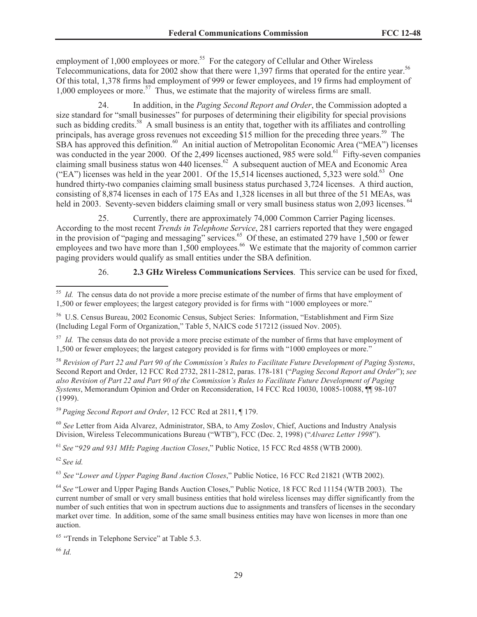employment of  $1,000$  employees or more.<sup>55</sup> For the category of Cellular and Other Wireless Telecommunications, data for 2002 show that there were 1,397 firms that operated for the entire year.<sup>56</sup> Of this total, 1,378 firms had employment of 999 or fewer employees, and 19 firms had employment of  $1,000$  employees or more.<sup>57</sup> Thus, we estimate that the majority of wireless firms are small.

24. In addition, in the *Paging Second Report and Order*, the Commission adopted a size standard for "small businesses" for purposes of determining their eligibility for special provisions such as bidding credits.<sup>58</sup> A small business is an entity that, together with its affiliates and controlling principals, has average gross revenues not exceeding \$15 million for the preceding three years.<sup>59</sup> The SBA has approved this definition.<sup>60</sup> An initial auction of Metropolitan Economic Area ("MEA") licenses was conducted in the year 2000. Of the 2,499 licenses auctioned, 985 were sold.<sup>61</sup> Fifty-seven companies claiming small business status won 440 licenses.<sup>62</sup> A subsequent auction of MEA and Economic Area ("EA") licenses was held in the year 2001. Of the 15,514 licenses auctioned, 5,323 were sold.<sup>63</sup> One hundred thirty-two companies claiming small business status purchased 3,724 licenses. A third auction, consisting of 8,874 licenses in each of 175 EAs and 1,328 licenses in all but three of the 51 MEAs, was held in 2003. Seventy-seven bidders claiming small or very small business status won 2,093 licenses. <sup>64</sup>

25. Currently, there are approximately 74,000 Common Carrier Paging licenses. According to the most recent *Trends in Telephone Service*, 281 carriers reported that they were engaged in the provision of "paging and messaging" services.<sup>65</sup> Of these, an estimated 279 have 1,500 or fewer employees and two have more than  $1,500$  employees.<sup>66</sup> We estimate that the majority of common carrier paging providers would qualify as small entities under the SBA definition.

26. **2.3 GHz Wireless Communications Services**. This service can be used for fixed,

<sup>59</sup> *Paging Second Report and Order*, 12 FCC Rcd at 2811, ¶ 179.

<sup>60</sup> *See* Letter from Aida Alvarez, Administrator, SBA, to Amy Zoslov, Chief, Auctions and Industry Analysis Division, Wireless Telecommunications Bureau ("WTB"), FCC (Dec. 2, 1998) ("*Alvarez Letter 1998*").

<sup>61</sup> *See* "*929 and 931 MHz Paging Auction Closes*," Public Notice, 15 FCC Rcd 4858 (WTB 2000).

<sup>62</sup> *See id.*

<sup>63</sup> *See* "*Lower and Upper Paging Band Auction Closes*," Public Notice, 16 FCC Rcd 21821 (WTB 2002).

<sup>64</sup> *See* "Lower and Upper Paging Bands Auction Closes," Public Notice, 18 FCC Rcd 11154 (WTB 2003). The current number of small or very small business entities that hold wireless licenses may differ significantly from the number of such entities that won in spectrum auctions due to assignments and transfers of licenses in the secondary market over time. In addition, some of the same small business entities may have won licenses in more than one auction.

<sup>65</sup> "Trends in Telephone Service" at Table 5.3.

<sup>66</sup> *Id.*

<sup>&</sup>lt;sup>55</sup> *Id.* The census data do not provide a more precise estimate of the number of firms that have employment of 1,500 or fewer employees; the largest category provided is for firms with "1000 employees or more."

<sup>56</sup> U.S. Census Bureau, 2002 Economic Census, Subject Series: Information, "Establishment and Firm Size (Including Legal Form of Organization," Table 5, NAICS code 517212 (issued Nov. 2005).

<sup>&</sup>lt;sup>57</sup> *Id.* The census data do not provide a more precise estimate of the number of firms that have employment of 1,500 or fewer employees; the largest category provided is for firms with "1000 employees or more."

<sup>58</sup> *Revision of Part 22 and Part 90 of the Commission's Rules to Facilitate Future Development of Paging Systems*, Second Report and Order, 12 FCC Rcd 2732, 2811-2812, paras. 178-181 ("*Paging Second Report and Order*"); *see also Revision of Part 22 and Part 90 of the Commission's Rules to Facilitate Future Development of Paging Systems*, Memorandum Opinion and Order on Reconsideration, 14 FCC Rcd 10030, 10085-10088, ¶¶ 98-107 (1999).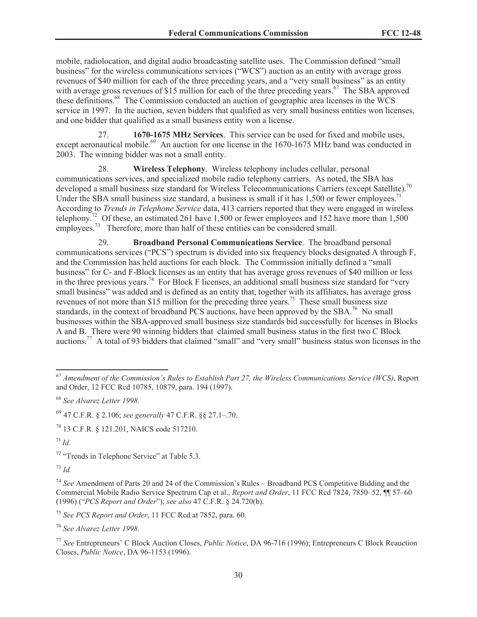mobile, radiolocation, and digital audio broadcasting satellite uses. The Commission defined "small business" for the wireless communications services ("WCS") auction as an entity with average gross revenues of \$40 million for each of the three preceding years, and a "very small business" as an entity with average gross revenues of \$15 million for each of the three preceding years.<sup>67</sup> The SBA approved these definitions.<sup>68</sup> The Commission conducted an auction of geographic area licenses in the WCS service in 1997. In the auction, seven bidders that qualified as very small business entities won licenses, and one bidder that qualified as a small business entity won a license.

27. **1670-1675 MHz Services**. This service can be used for fixed and mobile uses, except aeronautical mobile.<sup>69</sup> An auction for one license in the 1670-1675 MHz band was conducted in 2003. The winning bidder was not a small entity.

28. **Wireless Telephony**. Wireless telephony includes cellular, personal communications services, and specialized mobile radio telephony carriers. As noted, the SBA has developed a small business size standard for Wireless Telecommunications Carriers (except Satellite).<sup>70</sup> Under the SBA small business size standard, a business is small if it has 1,500 or fewer employees.<sup>7</sup> According to *Trends in Telephone Service* data, 413 carriers reported that they were engaged in wireless telephony.<sup>72</sup> Of these, an estimated 261 have 1,500 or fewer employees and 152 have more than 1,500 employees.<sup>73</sup> Therefore, more than half of these entities can be considered small.

29. **Broadband Personal Communications Service**. The broadband personal communications services ("PCS") spectrum is divided into six frequency blocks designated A through F, and the Commission has held auctions for each block. The Commission initially defined a "small business" for C- and F-Block licenses as an entity that has average gross revenues of \$40 million or less in the three previous years.<sup>74</sup> For Block F licenses, an additional small business size standard for "very" small business" was added and is defined as an entity that, together with its affiliates, has average gross revenues of not more than \$15 million for the preceding three years.<sup>75</sup> These small business size standards, in the context of broadband PCS auctions, have been approved by the  $SBA.^{76}$  No small businesses within the SBA-approved small business size standards bid successfully for licenses in Blocks A and B. There were 90 winning bidders that claimed small business status in the first two C Block auctions.<sup>77</sup> A total of 93 bidders that claimed "small" and "very small" business status won licenses in the

 $17^{1}$  *Id.* 

<sup>73</sup> *Id.*

<sup>74</sup> *See* Amendment of Parts 20 and 24 of the Commission's Rules – Broadband PCS Competitive Bidding and the Commercial Mobile Radio Service Spectrum Cap et al., *Report and Order*, 11 FCC Rcd 7824, 7850–52, ¶¶ 57–60 (1996) ("*PCS Report and Order*"); *see also* 47 C.F.R. § 24.720(b).

<sup>75</sup> *See PCS Report and Order*, 11 FCC Rcd at 7852, para. 60.

<sup>76</sup> *See Alvarez Letter 1998*.

<sup>67</sup> *Amendment of the Commission's Rules to Establish Part 27, the Wireless Communications Service (WCS)*, Report and Order, 12 FCC Rcd 10785, 10879, para. 194 (1997).

<sup>68</sup> *See Alvarez Letter 1998*.

<sup>69</sup> 47 C.F.R. § 2.106; *see generally* 47 C.F.R. §§ 27.1–.70.

<sup>70</sup> 13 C.F.R. § 121.201, NAICS code 517210.

<sup>72</sup> "Trends in Telephone Service" at Table 5.3.

<sup>77</sup> *See* Entrepreneurs' C Block Auction Closes, *Public Notice*, DA 96-716 (1996); Entrepreneurs C Block Reauction Closes, *Public Notice*, DA 96-1153 (1996).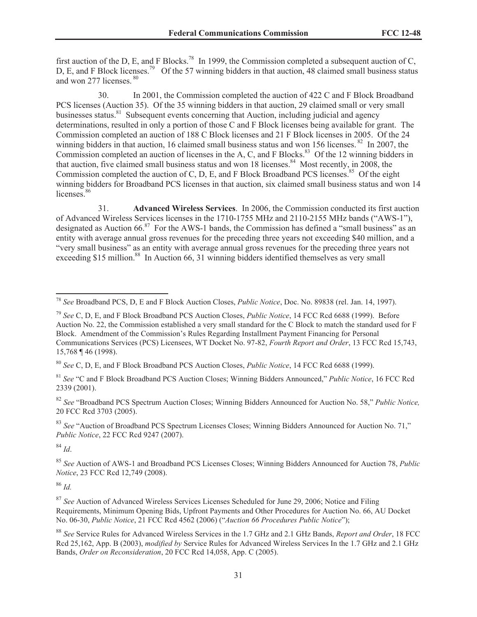first auction of the D, E, and F Blocks.<sup>78</sup> In 1999, the Commission completed a subsequent auction of C, D, E, and F Block licenses.<sup>79</sup> Of the 57 winning bidders in that auction, 48 claimed small business status and won 277 licenses. <sup>80</sup>

30. In 2001, the Commission completed the auction of 422 C and F Block Broadband PCS licenses (Auction 35). Of the 35 winning bidders in that auction, 29 claimed small or very small businesses status.<sup>81</sup> Subsequent events concerning that Auction, including judicial and agency determinations, resulted in only a portion of those C and F Block licenses being available for grant. The Commission completed an auction of 188 C Block licenses and 21 F Block licenses in 2005. Of the 24 winning bidders in that auction, 16 claimed small business status and won 156 licenses. <sup>82</sup> In 2007, the Commission completed an auction of licenses in the A, C, and F Blocks.<sup>83</sup> Of the 12 winning bidders in that auction, five claimed small business status and won 18 licenses.<sup>84</sup> Most recently, in 2008, the Commission completed the auction of C, D, E, and F Block Broadband PCS licenses.<sup>85</sup> Of the eight winning bidders for Broadband PCS licenses in that auction, six claimed small business status and won 14 licenses.<sup>86</sup>

31. **Advanced Wireless Services**. In 2006, the Commission conducted its first auction of Advanced Wireless Services licenses in the 1710-1755 MHz and 2110-2155 MHz bands ("AWS-1"), designated as Auction  $66.8^7$  For the AWS-1 bands, the Commission has defined a "small business" as an entity with average annual gross revenues for the preceding three years not exceeding \$40 million, and a "very small business" as an entity with average annual gross revenues for the preceding three years not exceeding \$15 million.<sup>88</sup> In Auction 66, 31 winning bidders identified themselves as very small

<sup>81</sup> *See* "C and F Block Broadband PCS Auction Closes; Winning Bidders Announced," *Public Notice*, 16 FCC Rcd 2339 (2001).

<sup>82</sup> *See* "Broadband PCS Spectrum Auction Closes; Winning Bidders Announced for Auction No. 58," *Public Notice,*  20 FCC Rcd 3703 (2005).

<sup>83</sup> *See* "Auction of Broadband PCS Spectrum Licenses Closes; Winning Bidders Announced for Auction No. 71," *Public Notice*, 22 FCC Rcd 9247 (2007).

<sup>84</sup> *Id*.

<sup>85</sup> *See* Auction of AWS-1 and Broadband PCS Licenses Closes; Winning Bidders Announced for Auction 78, *Public Notice*, 23 FCC Rcd 12,749 (2008).

<sup>86</sup> *Id.*

<sup>87</sup> *See* Auction of Advanced Wireless Services Licenses Scheduled for June 29, 2006; Notice and Filing Requirements, Minimum Opening Bids, Upfront Payments and Other Procedures for Auction No. 66, AU Docket No. 06-30, *Public Notice*, 21 FCC Rcd 4562 (2006) ("*Auction 66 Procedures Public Notice*");

<sup>78</sup> *See* Broadband PCS, D, E and F Block Auction Closes, *Public Notice*, Doc. No. 89838 (rel. Jan. 14, 1997).

<sup>79</sup> *See* C, D, E, and F Block Broadband PCS Auction Closes, *Public Notice*, 14 FCC Rcd 6688 (1999). Before Auction No. 22, the Commission established a very small standard for the C Block to match the standard used for F Block. Amendment of the Commission's Rules Regarding Installment Payment Financing for Personal Communications Services (PCS) Licensees, WT Docket No. 97-82, *Fourth Report and Order*, 13 FCC Rcd 15,743, 15,768 ¶ 46 (1998).

<sup>80</sup> *See* C, D, E, and F Block Broadband PCS Auction Closes, *Public Notice*, 14 FCC Rcd 6688 (1999).

<sup>88</sup> *See* Service Rules for Advanced Wireless Services in the 1.7 GHz and 2.1 GHz Bands, *Report and Order*, 18 FCC Rcd 25,162, App. B (2003), *modified by* Service Rules for Advanced Wireless Services In the 1.7 GHz and 2.1 GHz Bands, *Order on Reconsideration*, 20 FCC Rcd 14,058, App. C (2005).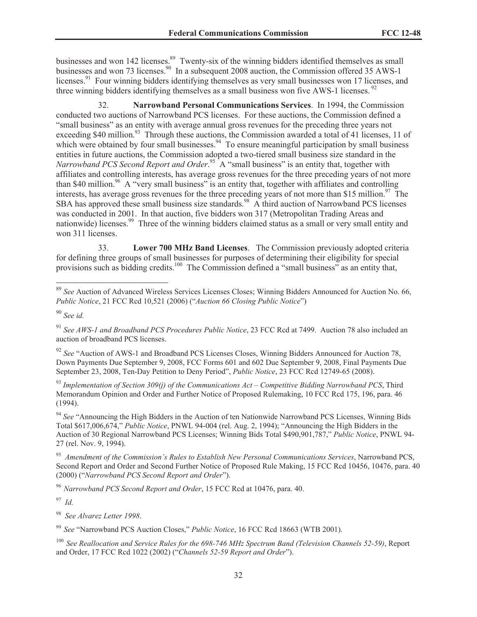businesses and won 142 licenses.<sup>89</sup> Twenty-six of the winning bidders identified themselves as small businesses and won 73 licenses.<sup>90</sup> In a subsequent 2008 auction, the Commission offered 35 AWS-1 licenses.<sup>91</sup> Four winning bidders identifying themselves as very small businesses won 17 licenses, and three winning bidders identifying themselves as a small business won five AWS-1 licenses.<sup>92</sup>

32. **Narrowband Personal Communications Services**. In 1994, the Commission conducted two auctions of Narrowband PCS licenses. For these auctions, the Commission defined a "small business" as an entity with average annual gross revenues for the preceding three years not exceeding \$40 million.<sup>93</sup> Through these auctions, the Commission awarded a total of 41 licenses, 11 of which were obtained by four small businesses.  $94$  To ensure meaningful participation by small business entities in future auctions, the Commission adopted a two-tiered small business size standard in the Narrowband PCS Second Report and Order.<sup>95</sup> A "small business" is an entity that, together with affiliates and controlling interests, has average gross revenues for the three preceding years of not more than \$40 million.<sup>96</sup> A "very small business" is an entity that, together with affiliates and controlling interests, has average gross revenues for the three preceding years of not more than \$15 million.<sup>97</sup> The SBA has approved these small business size standards.<sup>98</sup> A third auction of Narrowband PCS licenses was conducted in 2001. In that auction, five bidders won 317 (Metropolitan Trading Areas and nationwide) licenses.<sup>99</sup> Three of the winning bidders claimed status as a small or very small entity and won 311 licenses.

33. **Lower 700 MHz Band Licenses**. The Commission previously adopted criteria for defining three groups of small businesses for purposes of determining their eligibility for special provisions such as bidding credits.<sup>100</sup> The Commission defined a "small business" as an entity that,

<sup>91</sup> *See AWS-1 and Broadband PCS Procedures Public Notice*, 23 FCC Rcd at 7499. Auction 78 also included an auction of broadband PCS licenses.

<sup>92</sup> *See* "Auction of AWS-1 and Broadband PCS Licenses Closes, Winning Bidders Announced for Auction 78, Down Payments Due September 9, 2008, FCC Forms 601 and 602 Due September 9, 2008, Final Payments Due September 23, 2008, Ten-Day Petition to Deny Period", *Public Notice*, 23 FCC Rcd 12749-65 (2008).

<sup>93</sup> *Implementation of Section 309(j) of the Communications Act – Competitive Bidding Narrowband PCS*, Third Memorandum Opinion and Order and Further Notice of Proposed Rulemaking, 10 FCC Rcd 175, 196, para. 46 (1994).

<sup>94</sup> See "Announcing the High Bidders in the Auction of ten Nationwide Narrowband PCS Licenses, Winning Bids Total \$617,006,674," *Public Notice*, PNWL 94-004 (rel. Aug. 2, 1994); "Announcing the High Bidders in the Auction of 30 Regional Narrowband PCS Licenses; Winning Bids Total \$490,901,787," *Public Notice*, PNWL 94- 27 (rel. Nov. 9, 1994).

<sup>95</sup> *Amendment of the Commission's Rules to Establish New Personal Communications Services*, Narrowband PCS, Second Report and Order and Second Further Notice of Proposed Rule Making, 15 FCC Rcd 10456, 10476, para. 40 (2000) ("*Narrowband PCS Second Report and Order*").

<sup>96</sup> *Narrowband PCS Second Report and Order*, 15 FCC Rcd at 10476, para. 40.

<sup>97</sup> *Id.*

<sup>98</sup> *See Alvarez Letter 1998*.

<sup>99</sup> *See* "Narrowband PCS Auction Closes," *Public Notice*, 16 FCC Rcd 18663 (WTB 2001).

<sup>100</sup> *See Reallocation and Service Rules for the 698-746 MHz Spectrum Band (Television Channels 52-59)*, Report and Order, 17 FCC Rcd 1022 (2002) ("*Channels 52-59 Report and Order*").

<sup>89</sup> *See* Auction of Advanced Wireless Services Licenses Closes; Winning Bidders Announced for Auction No. 66, *Public Notice*, 21 FCC Rcd 10,521 (2006) ("*Auction 66 Closing Public Notice*")

<sup>90</sup> *See id.*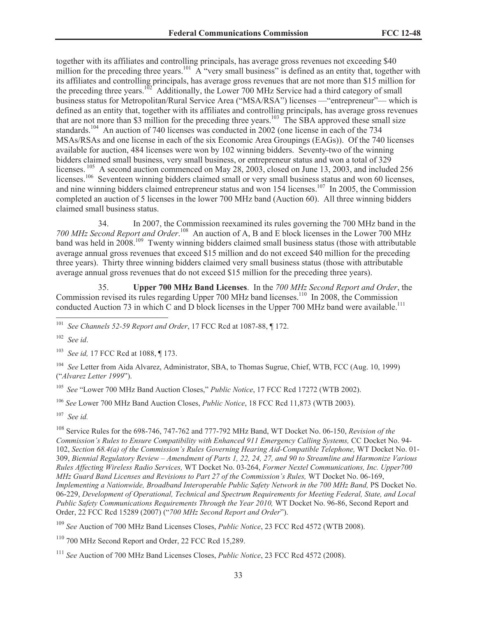together with its affiliates and controlling principals, has average gross revenues not exceeding \$40 million for the preceding three years.<sup>101</sup> A "very small business" is defined as an entity that, together with its affiliates and controlling principals, has average gross revenues that are not more than \$15 million for the preceding three years.<sup>102</sup> Additionally, the Lower 700 MHz Service had a third category of small business status for Metropolitan/Rural Service Area ("MSA/RSA") licenses —"entrepreneur"— which is defined as an entity that, together with its affiliates and controlling principals, has average gross revenues that are not more than \$3 million for the preceding three years.<sup>103</sup> The SBA approved these small size standards.<sup>104</sup> An auction of 740 licenses was conducted in 2002 (one license in each of the 734 MSAs/RSAs and one license in each of the six Economic Area Groupings (EAGs)). Of the 740 licenses available for auction, 484 licenses were won by 102 winning bidders. Seventy-two of the winning bidders claimed small business, very small business, or entrepreneur status and won a total of 329 licenses.<sup>105</sup> A second auction commenced on May 28, 2003, closed on June 13, 2003, and included 256 licenses.<sup>106</sup> Seventeen winning bidders claimed small or very small business status and won 60 licenses, and nine winning bidders claimed entrepreneur status and won 154 licenses.<sup>107</sup> In 2005, the Commission completed an auction of 5 licenses in the lower 700 MHz band (Auction 60). All three winning bidders claimed small business status.

34. In 2007, the Commission reexamined its rules governing the 700 MHz band in the 700 MHz Second Report and Order.<sup>108</sup> An auction of A, B and E block licenses in the Lower 700 MHz band was held in 2008.<sup>109</sup> Twenty winning bidders claimed small business status (those with attributable average annual gross revenues that exceed \$15 million and do not exceed \$40 million for the preceding three years). Thirty three winning bidders claimed very small business status (those with attributable average annual gross revenues that do not exceed \$15 million for the preceding three years).

35. **Upper 700 MHz Band Licenses**. In the *700 MHz Second Report and Order*, the Commission revised its rules regarding Upper 700 MHz band licenses.<sup>110</sup> In 2008, the Commission conducted Auction 73 in which C and D block licenses in the Upper 700 MHz band were available.<sup>111</sup>

<sup>101</sup> *See Channels 52-59 Report and Order*, 17 FCC Rcd at 1087-88, ¶ 172.

<sup>102</sup> *See id*.

<sup>103</sup> *See id,* 17 FCC Rcd at 1088, ¶ 173.

<sup>104</sup> *See* Letter from Aida Alvarez, Administrator, SBA, to Thomas Sugrue, Chief, WTB, FCC (Aug. 10, 1999) ("*Alvarez Letter 1999*").

<sup>105</sup> *See* "Lower 700 MHz Band Auction Closes," *Public Notice*, 17 FCC Rcd 17272 (WTB 2002).

<sup>106</sup> *See* Lower 700 MHz Band Auction Closes, *Public Notice*, 18 FCC Rcd 11,873 (WTB 2003).

<sup>107</sup> *See id.*

<sup>108</sup> Service Rules for the 698-746, 747-762 and 777-792 MHz Band, WT Docket No. 06-150, *Revision of the Commission's Rules to Ensure Compatibility with Enhanced 911 Emergency Calling Systems,* CC Docket No. 94- 102, *Section 68.4(a) of the Commission's Rules Governing Hearing Aid-Compatible Telephone,* WT Docket No. 01- 309, *Biennial Regulatory Review – Amendment of Parts 1, 22, 24, 27, and 90 to Streamline and Harmonize Various Rules Affecting Wireless Radio Services,* WT Docket No. 03-264, *Former Nextel Communications, Inc. Upper700 MHz Guard Band Licenses and Revisions to Part 27 of the Commission's Rules,* WT Docket No. 06-169, *Implementing a Nationwide, Broadband Interoperable Public Safety Network in the 700 MHz Band,* PS Docket No. 06-229, *Development of Operational, Technical and Spectrum Requirements for Meeting Federal, State, and Local Public Safety Communications Requirements Through the Year 2010, WT Docket No. 96-86, Second Report and* Order, 22 FCC Rcd 15289 (2007) ("*700 MHz Second Report and Order*").

<sup>109</sup> *See* Auction of 700 MHz Band Licenses Closes, *Public Notice*, 23 FCC Rcd 4572 (WTB 2008).

<sup>110</sup> 700 MHz Second Report and Order, 22 FCC Rcd 15,289.

<sup>111</sup> *See* Auction of 700 MHz Band Licenses Closes, *Public Notice*, 23 FCC Rcd 4572 (2008).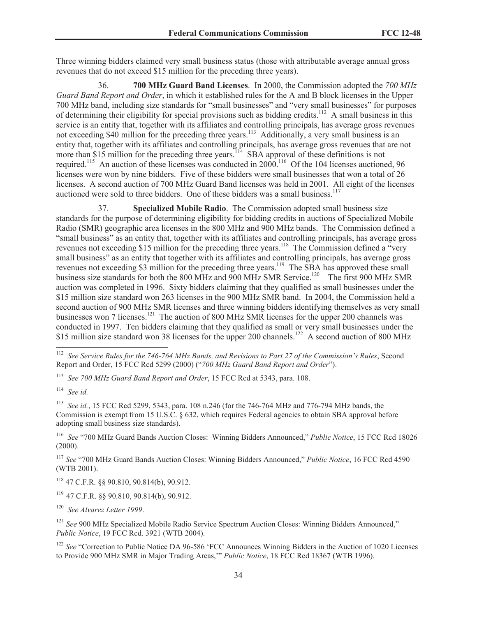Three winning bidders claimed very small business status (those with attributable average annual gross revenues that do not exceed \$15 million for the preceding three years).

36. **700 MHz Guard Band Licenses**. In 2000, the Commission adopted the *700 MHz Guard Band Report and Order*, in which it established rules for the A and B block licenses in the Upper 700 MHz band, including size standards for "small businesses" and "very small businesses" for purposes of determining their eligibility for special provisions such as bidding credits.<sup>112</sup> A small business in this service is an entity that, together with its affiliates and controlling principals, has average gross revenues not exceeding \$40 million for the preceding three years.<sup>113</sup> Additionally, a very small business is an entity that, together with its affiliates and controlling principals, has average gross revenues that are not more than \$15 million for the preceding three years.<sup>114</sup> SBA approval of these definitions is not required.<sup>115</sup> An auction of these licenses was conducted in 2000.<sup>116</sup> Of the 104 licenses auctioned, 96 licenses were won by nine bidders. Five of these bidders were small businesses that won a total of 26 licenses. A second auction of 700 MHz Guard Band licenses was held in 2001. All eight of the licenses auctioned were sold to three bidders. One of these bidders was a small business.<sup>117</sup>

37. **Specialized Mobile Radio**. The Commission adopted small business size standards for the purpose of determining eligibility for bidding credits in auctions of Specialized Mobile Radio (SMR) geographic area licenses in the 800 MHz and 900 MHz bands. The Commission defined a "small business" as an entity that, together with its affiliates and controlling principals, has average gross revenues not exceeding \$15 million for the preceding three years.<sup>118</sup> The Commission defined a "very" small business" as an entity that together with its affiliates and controlling principals, has average gross revenues not exceeding \$3 million for the preceding three years.<sup>119</sup> The SBA has approved these small business size standards for both the 800 MHz and 900 MHz SMR Service.<sup>120</sup> The first 900 MHz SMR auction was completed in 1996. Sixty bidders claiming that they qualified as small businesses under the \$15 million size standard won 263 licenses in the 900 MHz SMR band. In 2004, the Commission held a second auction of 900 MHz SMR licenses and three winning bidders identifying themselves as very small businesses won 7 licenses.<sup>121</sup> The auction of 800 MHz SMR licenses for the upper 200 channels was conducted in 1997. Ten bidders claiming that they qualified as small or very small businesses under the \$15 million size standard won 38 licenses for the upper 200 channels.<sup>122</sup> A second auction of 800 MHz

<sup>115</sup> *See id.*, 15 FCC Rcd 5299, 5343, para. 108 n.246 (for the 746-764 MHz and 776-794 MHz bands, the Commission is exempt from 15 U.S.C. § 632, which requires Federal agencies to obtain SBA approval before adopting small business size standards).

<sup>116</sup> *See* "700 MHz Guard Bands Auction Closes: Winning Bidders Announced," *Public Notice*, 15 FCC Rcd 18026 (2000).

<sup>117</sup> *See* "700 MHz Guard Bands Auction Closes: Winning Bidders Announced," *Public Notice*, 16 FCC Rcd 4590 (WTB 2001).

<sup>118</sup> 47 C.F.R. §§ 90.810, 90.814(b), 90.912.

<sup>119</sup> 47 C.F.R. §§ 90.810, 90.814(b), 90.912.

<sup>120</sup> *See Alvarez Letter 1999*.

<sup>121</sup> See 900 MHz Specialized Mobile Radio Service Spectrum Auction Closes: Winning Bidders Announced." *Public Notice*, 19 FCC Rcd. 3921 (WTB 2004).

<sup>122</sup> *See* "Correction to Public Notice DA 96-586 'FCC Announces Winning Bidders in the Auction of 1020 Licenses to Provide 900 MHz SMR in Major Trading Areas,'" *Public Notice*, 18 FCC Rcd 18367 (WTB 1996).

<sup>112</sup> *See Service Rules for the 746-764 MHz Bands, and Revisions to Part 27 of the Commission's Rules*, Second Report and Order, 15 FCC Rcd 5299 (2000) ("*700 MHz Guard Band Report and Order*").

<sup>113</sup> *See 700 MHz Guard Band Report and Order*, 15 FCC Rcd at 5343, para. 108.

<sup>114</sup> *See id.*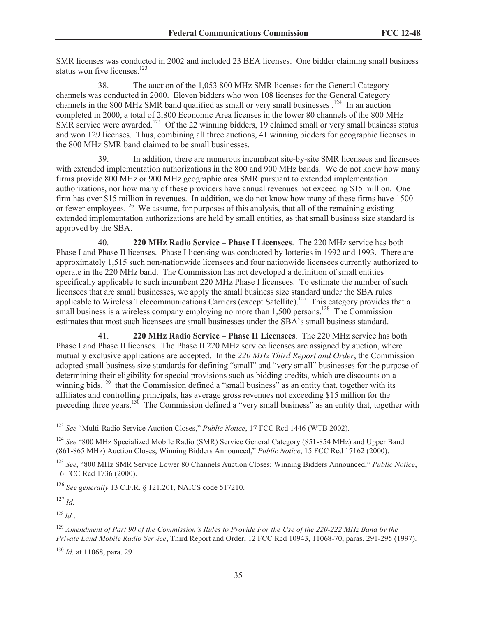SMR licenses was conducted in 2002 and included 23 BEA licenses. One bidder claiming small business status won five licenses.<sup>123</sup>

38. The auction of the 1,053 800 MHz SMR licenses for the General Category channels was conducted in 2000. Eleven bidders who won 108 licenses for the General Category channels in the 800 MHz SMR band qualified as small or very small businesses  $.124$  In an auction completed in 2000, a total of 2,800 Economic Area licenses in the lower 80 channels of the 800 MHz SMR service were awarded.<sup>125</sup> Of the 22 winning bidders, 19 claimed small or very small business status and won 129 licenses. Thus, combining all three auctions, 41 winning bidders for geographic licenses in the 800 MHz SMR band claimed to be small businesses.

39. In addition, there are numerous incumbent site-by-site SMR licensees and licensees with extended implementation authorizations in the 800 and 900 MHz bands. We do not know how many firms provide 800 MHz or 900 MHz geographic area SMR pursuant to extended implementation authorizations, nor how many of these providers have annual revenues not exceeding \$15 million. One firm has over \$15 million in revenues. In addition, we do not know how many of these firms have 1500 or fewer employees.<sup>126</sup> We assume, for purposes of this analysis, that all of the remaining existing extended implementation authorizations are held by small entities, as that small business size standard is approved by the SBA.

40. **220 MHz Radio Service – Phase I Licensees**. The 220 MHz service has both Phase I and Phase II licenses. Phase I licensing was conducted by lotteries in 1992 and 1993. There are approximately 1,515 such non-nationwide licensees and four nationwide licensees currently authorized to operate in the 220 MHz band. The Commission has not developed a definition of small entities specifically applicable to such incumbent 220 MHz Phase I licensees. To estimate the number of such licensees that are small businesses, we apply the small business size standard under the SBA rules applicable to Wireless Telecommunications Carriers (except Satellite).<sup>127</sup> This category provides that a small business is a wireless company employing no more than  $1,500$  persons.<sup>128</sup> The Commission estimates that most such licensees are small businesses under the SBA's small business standard.

41. **220 MHz Radio Service – Phase II Licensees**. The 220 MHz service has both Phase I and Phase II licenses. The Phase II 220 MHz service licenses are assigned by auction, where mutually exclusive applications are accepted. In the *220 MHz Third Report and Order*, the Commission adopted small business size standards for defining "small" and "very small" businesses for the purpose of determining their eligibility for special provisions such as bidding credits, which are discounts on a winning bids.<sup>129</sup> that the Commission defined a "small business" as an entity that, together with its affiliates and controlling principals, has average gross revenues not exceeding \$15 million for the preceding three years.<sup>130</sup> The Commission defined a "very small business" as an entity that, together with

<sup>126</sup> *See generally* 13 C.F.R. § 121.201, NAICS code 517210.

<sup>127</sup> *Id.*

<sup>128</sup> *Id.*.

<sup>130</sup> *Id.* at 11068, para. 291.

<sup>123</sup> *See* "Multi-Radio Service Auction Closes," *Public Notice*, 17 FCC Rcd 1446 (WTB 2002).

<sup>124</sup> *See* "800 MHz Specialized Mobile Radio (SMR) Service General Category (851-854 MHz) and Upper Band (861-865 MHz) Auction Closes; Winning Bidders Announced," *Public Notice*, 15 FCC Rcd 17162 (2000).

<sup>125</sup> *See*, "800 MHz SMR Service Lower 80 Channels Auction Closes; Winning Bidders Announced," *Public Notice*, 16 FCC Rcd 1736 (2000).

<sup>129</sup> *Amendment of Part 90 of the Commission's Rules to Provide For the Use of the 220-222 MHz Band by the Private Land Mobile Radio Service*, Third Report and Order, 12 FCC Rcd 10943, 11068-70, paras. 291-295 (1997).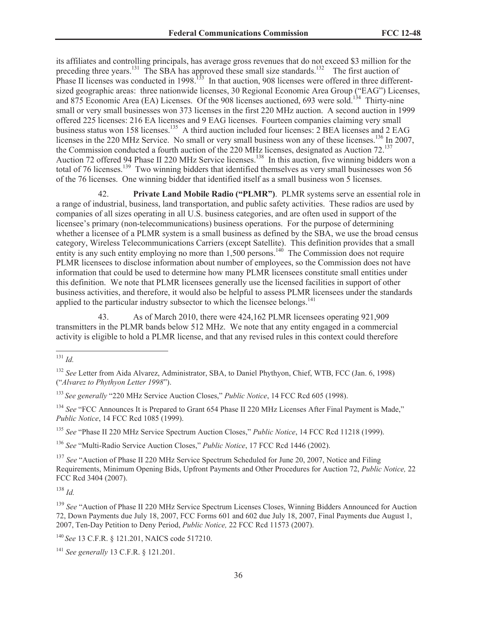its affiliates and controlling principals, has average gross revenues that do not exceed \$3 million for the preceding three years.<sup>131</sup> The SBA has approved these small size standards.<sup>132</sup> The first auction of Phase II licenses was conducted in 1998.<sup>133</sup> In that auction, 908 licenses were offered in three differentsized geographic areas: three nationwide licenses, 30 Regional Economic Area Group ("EAG") Licenses, and 875 Economic Area (EA) Licenses. Of the 908 licenses auctioned, 693 were sold.<sup>134</sup> Thirty-nine small or very small businesses won 373 licenses in the first 220 MHz auction. A second auction in 1999 offered 225 licenses: 216 EA licenses and 9 EAG licenses. Fourteen companies claiming very small business status won 158 licenses.<sup>135</sup> A third auction included four licenses: 2 BEA licenses and 2 EAG licenses in the 220 MHz Service. No small or very small business won any of these licenses.<sup>136</sup> In 2007, the Commission conducted a fourth auction of the 220 MHz licenses, designated as Auction 72.<sup>137</sup> Auction 72 offered 94 Phase II 220 MHz Service licenses.<sup>138</sup> In this auction, five winning bidders won a total of 76 licenses.<sup>139</sup> Two winning bidders that identified themselves as very small businesses won 56 of the 76 licenses. One winning bidder that identified itself as a small business won 5 licenses.

42. **Private Land Mobile Radio ("PLMR")**. PLMR systems serve an essential role in a range of industrial, business, land transportation, and public safety activities. These radios are used by companies of all sizes operating in all U.S. business categories, and are often used in support of the licensee's primary (non-telecommunications) business operations. For the purpose of determining whether a licensee of a PLMR system is a small business as defined by the SBA, we use the broad census category, Wireless Telecommunications Carriers (except Satellite). This definition provides that a small entity is any such entity employing no more than  $1,500$  persons.<sup>140</sup> The Commission does not require PLMR licensees to disclose information about number of employees, so the Commission does not have information that could be used to determine how many PLMR licensees constitute small entities under this definition. We note that PLMR licensees generally use the licensed facilities in support of other business activities, and therefore, it would also be helpful to assess PLMR licensees under the standards applied to the particular industry subsector to which the licensee belongs.<sup>141</sup>

43. As of March 2010, there were 424,162 PLMR licensees operating 921,909 transmitters in the PLMR bands below 512 MHz. We note that any entity engaged in a commercial activity is eligible to hold a PLMR license, and that any revised rules in this context could therefore

<sup>134</sup> See "FCC Announces It is Prepared to Grant 654 Phase II 220 MHz Licenses After Final Payment is Made." *Public Notice*, 14 FCC Rcd 1085 (1999).

<sup>135</sup> *See* "Phase II 220 MHz Service Spectrum Auction Closes," *Public Notice*, 14 FCC Rcd 11218 (1999).

<sup>136</sup> *See* "Multi-Radio Service Auction Closes," *Public Notice*, 17 FCC Rcd 1446 (2002).

<sup>137</sup> *See* "Auction of Phase II 220 MHz Service Spectrum Scheduled for June 20, 2007, Notice and Filing Requirements, Minimum Opening Bids, Upfront Payments and Other Procedures for Auction 72, *Public Notice,* 22 FCC Rcd 3404 (2007).

<sup>138</sup> *Id.*

<sup>139</sup> *See* "Auction of Phase II 220 MHz Service Spectrum Licenses Closes, Winning Bidders Announced for Auction 72, Down Payments due July 18, 2007, FCC Forms 601 and 602 due July 18, 2007, Final Payments due August 1, 2007, Ten-Day Petition to Deny Period, *Public Notice,* 22 FCC Rcd 11573 (2007).

<sup>140</sup> *See* 13 C.F.R. § 121.201, NAICS code 517210.

<sup>141</sup> *See generally* 13 C.F.R. § 121.201.

<sup>131</sup> *Id.*

<sup>&</sup>lt;sup>132</sup> See Letter from Aida Alvarez, Administrator, SBA, to Daniel Phythyon, Chief, WTB, FCC (Jan. 6, 1998) ("*Alvarez to Phythyon Letter 1998*").

<sup>133</sup> *See generally* "220 MHz Service Auction Closes," *Public Notice*, 14 FCC Rcd 605 (1998).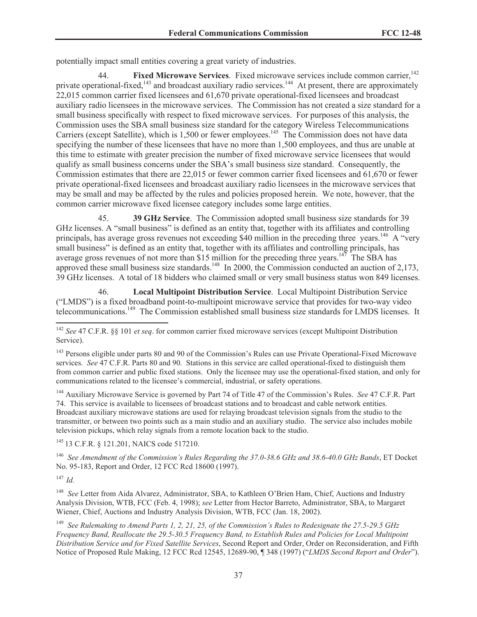potentially impact small entities covering a great variety of industries.

44. **Fixed Microwave Services**. Fixed microwave services include common carrier,<sup>142</sup> private operational-fixed,<sup>143</sup> and broadcast auxiliary radio services.<sup>144</sup> At present, there are approximately 22,015 common carrier fixed licensees and 61,670 private operational-fixed licensees and broadcast auxiliary radio licensees in the microwave services. The Commission has not created a size standard for a small business specifically with respect to fixed microwave services. For purposes of this analysis, the Commission uses the SBA small business size standard for the category Wireless Telecommunications Carriers (except Satellite), which is 1,500 or fewer employees.<sup>145</sup> The Commission does not have data specifying the number of these licensees that have no more than 1,500 employees, and thus are unable at this time to estimate with greater precision the number of fixed microwave service licensees that would qualify as small business concerns under the SBA's small business size standard. Consequently, the Commission estimates that there are 22,015 or fewer common carrier fixed licensees and 61,670 or fewer private operational-fixed licensees and broadcast auxiliary radio licensees in the microwave services that may be small and may be affected by the rules and policies proposed herein. We note, however, that the common carrier microwave fixed licensee category includes some large entities.

45. **39 GHz Service**. The Commission adopted small business size standards for 39 GHz licenses. A "small business" is defined as an entity that, together with its affiliates and controlling principals, has average gross revenues not exceeding \$40 million in the preceding three years.<sup>146</sup> A "very small business" is defined as an entity that, together with its affiliates and controlling principals, has average gross revenues of not more than \$15 million for the preceding three years.<sup>147</sup> The SBA has approved these small business size standards.<sup>148</sup> In 2000, the Commission conducted an auction of 2,173, 39 GHz licenses. A total of 18 bidders who claimed small or very small business status won 849 licenses.

46. **Local Multipoint Distribution Service**. Local Multipoint Distribution Service ("LMDS") is a fixed broadband point-to-multipoint microwave service that provides for two-way video telecommunications.<sup>149</sup> The Commission established small business size standards for LMDS licenses. It

<sup>144</sup> Auxiliary Microwave Service is governed by Part 74 of Title 47 of the Commission's Rules. *See* 47 C.F.R. Part 74. This service is available to licensees of broadcast stations and to broadcast and cable network entities. Broadcast auxiliary microwave stations are used for relaying broadcast television signals from the studio to the transmitter, or between two points such as a main studio and an auxiliary studio. The service also includes mobile television pickups, which relay signals from a remote location back to the studio.

<sup>145</sup> 13 C.F.R. § 121.201, NAICS code 517210.

<sup>146</sup> *See Amendment of the Commission's Rules Regarding the 37.0-38.6 GHz and 38.6-40.0 GHz Bands*, ET Docket No. 95-183, Report and Order, 12 FCC Rcd 18600 (1997).

<sup>147</sup> *Id.*

<sup>148</sup> *See* Letter from Aida Alvarez, Administrator, SBA, to Kathleen O'Brien Ham, Chief, Auctions and Industry Analysis Division, WTB, FCC (Feb. 4, 1998); *see* Letter from Hector Barreto, Administrator, SBA, to Margaret Wiener, Chief, Auctions and Industry Analysis Division, WTB, FCC (Jan. 18, 2002).

<sup>149</sup> *See Rulemaking to Amend Parts 1, 2, 21, 25, of the Commission's Rules to Redesignate the 27.5-29.5 GHz Frequency Band, Reallocate the 29.5-30.5 Frequency Band, to Establish Rules and Policies for Local Multipoint Distribution Service and for Fixed Satellite Services*, Second Report and Order, Order on Reconsideration, and Fifth Notice of Proposed Rule Making, 12 FCC Rcd 12545, 12689-90, ¶ 348 (1997) ("*LMDS Second Report and Order*").

<sup>142</sup> *See* 47 C.F.R. §§ 101 *et seq*. for common carrier fixed microwave services (except Multipoint Distribution Service).

<sup>&</sup>lt;sup>143</sup> Persons eligible under parts 80 and 90 of the Commission's Rules can use Private Operational-Fixed Microwave services. *See* 47 C.F.R. Parts 80 and 90. Stations in this service are called operational-fixed to distinguish them from common carrier and public fixed stations. Only the licensee may use the operational-fixed station, and only for communications related to the licensee's commercial, industrial, or safety operations.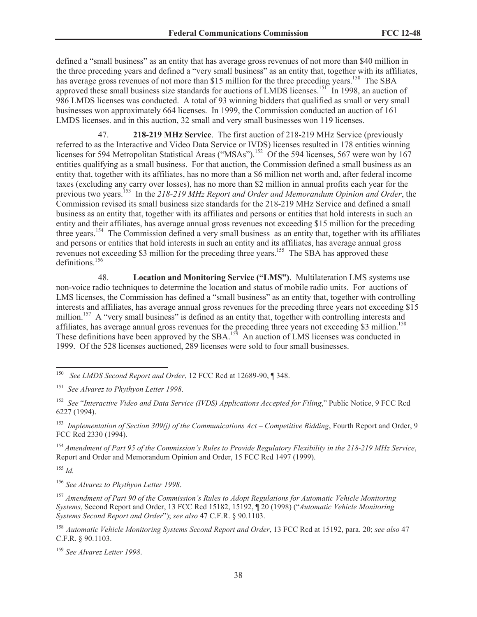defined a "small business" as an entity that has average gross revenues of not more than \$40 million in the three preceding years and defined a "very small business" as an entity that, together with its affiliates, has average gross revenues of not more than \$15 million for the three preceding years.<sup>150</sup> The SBA approved these small business size standards for auctions of LMDS licenses.<sup>151</sup> In 1998, an auction of 986 LMDS licenses was conducted. A total of 93 winning bidders that qualified as small or very small businesses won approximately 664 licenses. In 1999, the Commission conducted an auction of 161 LMDS licenses. and in this auction, 32 small and very small businesses won 119 licenses.

47. **218-219 MHz Service**. The first auction of 218-219 MHz Service (previously referred to as the Interactive and Video Data Service or IVDS) licenses resulted in 178 entities winning licenses for 594 Metropolitan Statistical Areas ("MSAs").<sup>152</sup> Of the 594 licenses, 567 were won by 167 entities qualifying as a small business. For that auction, the Commission defined a small business as an entity that, together with its affiliates, has no more than a \$6 million net worth and, after federal income taxes (excluding any carry over losses), has no more than \$2 million in annual profits each year for the previous two years.<sup>153</sup> In the *218-219 MHz Report and Order and Memorandum Opinion and Order*, the Commission revised its small business size standards for the 218-219 MHz Service and defined a small business as an entity that, together with its affiliates and persons or entities that hold interests in such an entity and their affiliates, has average annual gross revenues not exceeding \$15 million for the preceding three years.<sup>154</sup> The Commission defined a very small business as an entity that, together with its affiliates and persons or entities that hold interests in such an entity and its affiliates, has average annual gross revenues not exceeding \$3 million for the preceding three years.<sup>155</sup> The SBA has approved these definitions.<sup>156</sup>

48. **Location and Monitoring Service ("LMS")**. Multilateration LMS systems use non-voice radio techniques to determine the location and status of mobile radio units. For auctions of LMS licenses, the Commission has defined a "small business" as an entity that, together with controlling interests and affiliates, has average annual gross revenues for the preceding three years not exceeding \$15 million.<sup>157</sup> A "very small business" is defined as an entity that, together with controlling interests and affiliates, has average annual gross revenues for the preceding three years not exceeding \$3 million.<sup>158</sup> These definitions have been approved by the SBA.<sup>159</sup> An auction of LMS licenses was conducted in 1999. Of the 528 licenses auctioned, 289 licenses were sold to four small businesses.

<sup>155</sup> *Id.*

<sup>156</sup> *See Alvarez to Phythyon Letter 1998*.

<sup>157</sup> *Amendment of Part 90 of the Commission's Rules to Adopt Regulations for Automatic Vehicle Monitoring Systems*, Second Report and Order, 13 FCC Rcd 15182, 15192, ¶ 20 (1998) ("*Automatic Vehicle Monitoring Systems Second Report and Order*"); *see also* 47 C.F.R. § 90.1103.

<sup>158</sup> *Automatic Vehicle Monitoring Systems Second Report and Order*, 13 FCC Rcd at 15192, para. 20; *see also* 47 C.F.R. § 90.1103.

<sup>159</sup> *See Alvarez Letter 1998*.

See *LMDS Second Report and Order*, 12 FCC Rcd at 12689-90, ¶ 348.

<sup>151</sup> *See Alvarez to Phythyon Letter 1998*.

<sup>152</sup> *See* "*Interactive Video and Data Service (IVDS) Applications Accepted for Filing*," Public Notice, 9 FCC Rcd 6227 (1994).

<sup>153</sup> *Implementation of Section 309(j) of the Communications Act – Competitive Bidding*, Fourth Report and Order, 9 FCC Rcd 2330 (1994).

<sup>154</sup> *Amendment of Part 95 of the Commission's Rules to Provide Regulatory Flexibility in the 218-219 MHz Service*, Report and Order and Memorandum Opinion and Order, 15 FCC Rcd 1497 (1999).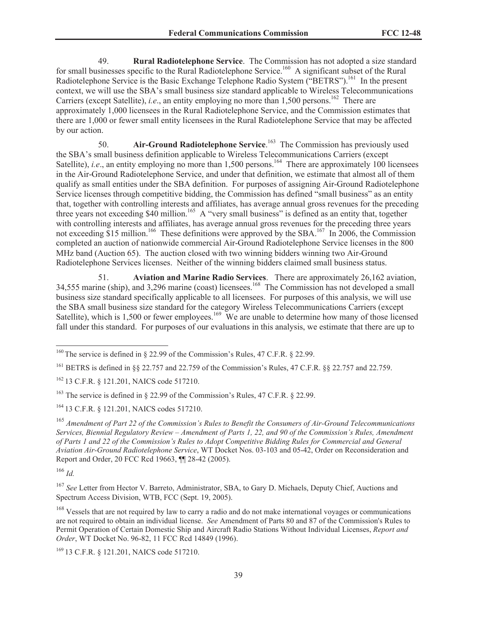49. **Rural Radiotelephone Service**. The Commission has not adopted a size standard for small businesses specific to the Rural Radiotelephone Service.<sup>160</sup> A significant subset of the Rural Radiotelephone Service is the Basic Exchange Telephone Radio System ("BETRS").<sup>161</sup> In the present context, we will use the SBA's small business size standard applicable to Wireless Telecommunications Carriers (except Satellite), *i.e.*, an entity employing no more than 1,500 persons.<sup>162</sup> There are approximately 1,000 licensees in the Rural Radiotelephone Service, and the Commission estimates that there are 1,000 or fewer small entity licensees in the Rural Radiotelephone Service that may be affected by our action.

50. **Air-Ground Radiotelephone Service**. <sup>163</sup> The Commission has previously used the SBA's small business definition applicable to Wireless Telecommunications Carriers (except Satellite), *i.e.*, an entity employing no more than 1,500 persons.<sup>164</sup> There are approximately 100 licensees in the Air-Ground Radiotelephone Service, and under that definition, we estimate that almost all of them qualify as small entities under the SBA definition. For purposes of assigning Air-Ground Radiotelephone Service licenses through competitive bidding, the Commission has defined "small business" as an entity that, together with controlling interests and affiliates, has average annual gross revenues for the preceding three years not exceeding  $$40$  million.<sup>165</sup> A "very small business" is defined as an entity that, together with controlling interests and affiliates, has average annual gross revenues for the preceding three years not exceeding \$15 million.<sup>166</sup> These definitions were approved by the SBA.<sup>167</sup> In 2006, the Commission completed an auction of nationwide commercial Air-Ground Radiotelephone Service licenses in the 800 MHz band (Auction 65). The auction closed with two winning bidders winning two Air-Ground Radiotelephone Services licenses. Neither of the winning bidders claimed small business status.

51. **Aviation and Marine Radio Services**. There are approximately 26,162 aviation, 34,555 marine (ship), and 3,296 marine (coast) licensees.<sup>168</sup> The Commission has not developed a small business size standard specifically applicable to all licensees. For purposes of this analysis, we will use the SBA small business size standard for the category Wireless Telecommunications Carriers (except Satellite), which is 1,500 or fewer employees.<sup>169</sup> We are unable to determine how many of those licensed fall under this standard. For purposes of our evaluations in this analysis, we estimate that there are up to

<sup>164</sup> 13 C.F.R. § 121.201, NAICS codes 517210.

<sup>166</sup> *Id.*

<sup>&</sup>lt;sup>160</sup> The service is defined in § 22.99 of the Commission's Rules, 47 C.F.R. § 22.99.

<sup>161</sup> BETRS is defined in §§ 22.757 and 22.759 of the Commission's Rules, 47 C.F.R. §§ 22.757 and 22.759.

<sup>162</sup> 13 C.F.R. § 121.201, NAICS code 517210.

<sup>&</sup>lt;sup>163</sup> The service is defined in § 22.99 of the Commission's Rules, 47 C.F.R. § 22.99.

<sup>165</sup> *Amendment of Part 22 of the Commission's Rules to Benefit the Consumers of Air-Ground Telecommunications Services, Biennial Regulatory Review – Amendment of Parts 1, 22, and 90 of the Commission's Rules, Amendment of Parts 1 and 22 of the Commission's Rules to Adopt Competitive Bidding Rules for Commercial and General Aviation Air-Ground Radiotelephone Service*, WT Docket Nos. 03-103 and 05-42, Order on Reconsideration and Report and Order, 20 FCC Rcd 19663, ¶¶ 28-42 (2005).

<sup>167</sup> *See* Letter from Hector V. Barreto, Administrator, SBA, to Gary D. Michaels, Deputy Chief, Auctions and Spectrum Access Division, WTB, FCC (Sept. 19, 2005).

<sup>&</sup>lt;sup>168</sup> Vessels that are not required by law to carry a radio and do not make international voyages or communications are not required to obtain an individual license. *See* Amendment of Parts 80 and 87 of the Commission's Rules to Permit Operation of Certain Domestic Ship and Aircraft Radio Stations Without Individual Licenses, *Report and Order*, WT Docket No. 96-82, 11 FCC Rcd 14849 (1996).

<sup>169</sup> 13 C.F.R. § 121.201, NAICS code 517210.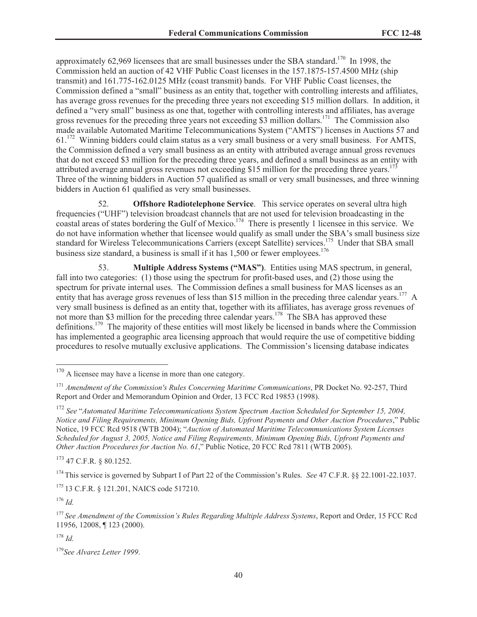approximately 62,969 licensees that are small businesses under the SBA standard.<sup>170</sup> In 1998, the Commission held an auction of 42 VHF Public Coast licenses in the 157.1875-157.4500 MHz (ship transmit) and 161.775-162.0125 MHz (coast transmit) bands. For VHF Public Coast licenses, the Commission defined a "small" business as an entity that, together with controlling interests and affiliates, has average gross revenues for the preceding three years not exceeding \$15 million dollars. In addition, it defined a "very small" business as one that, together with controlling interests and affiliates, has average gross revenues for the preceding three years not exceeding \$3 million dollars.<sup>171</sup> The Commission also made available Automated Maritime Telecommunications System ("AMTS") licenses in Auctions 57 and  $61<sup>172</sup>$  Winning bidders could claim status as a very small business or a very small business. For AMTS, the Commission defined a very small business as an entity with attributed average annual gross revenues that do not exceed \$3 million for the preceding three years, and defined a small business as an entity with attributed average annual gross revenues not exceeding \$15 million for the preceding three years.<sup>173</sup> Three of the winning bidders in Auction 57 qualified as small or very small businesses, and three winning bidders in Auction 61 qualified as very small businesses.

52. **Offshore Radiotelephone Service**. This service operates on several ultra high frequencies ("UHF") television broadcast channels that are not used for television broadcasting in the coastal areas of states bordering the Gulf of Mexico.<sup>174</sup> There is presently 1 licensee in this service. We do not have information whether that licensee would qualify as small under the SBA's small business size standard for Wireless Telecommunications Carriers (except Satellite) services.<sup>175</sup> Under that SBA small business size standard, a business is small if it has 1,500 or fewer employees.<sup>176</sup>

53. **Multiple Address Systems ("MAS")**. Entities using MAS spectrum, in general, fall into two categories: (1) those using the spectrum for profit-based uses, and (2) those using the spectrum for private internal uses. The Commission defines a small business for MAS licenses as an entity that has average gross revenues of less than \$15 million in the preceding three calendar years.<sup>177</sup> A very small business is defined as an entity that, together with its affiliates, has average gross revenues of not more than \$3 million for the preceding three calendar years.<sup>178</sup> The SBA has approved these definitions.<sup>179</sup> The majority of these entities will most likely be licensed in bands where the Commission has implemented a geographic area licensing approach that would require the use of competitive bidding procedures to resolve mutually exclusive applications. The Commission's licensing database indicates

<sup>173</sup> 47 C.F.R. § 80.1252.

<sup>174</sup> This service is governed by Subpart I of Part 22 of the Commission's Rules. *See* 47 C.F.R. §§ 22.1001-22.1037.

<sup>175</sup> 13 C.F.R. § 121.201, NAICS code 517210.

<sup>176</sup> *Id.*

<sup>178</sup> *Id.*

<sup>179</sup>*See Alvarez Letter 1999*.

<sup>&</sup>lt;sup>170</sup> A licensee may have a license in more than one category.

<sup>171</sup> *Amendment of the Commission's Rules Concerning Maritime Communications*, PR Docket No. 92-257, Third Report and Order and Memorandum Opinion and Order, 13 FCC Rcd 19853 (1998).

<sup>172</sup> *See* "*Automated Maritime Telecommunications System Spectrum Auction Scheduled for September 15, 2004, Notice and Filing Requirements, Minimum Opening Bids, Upfront Payments and Other Auction Procedures*," Public Notice, 19 FCC Rcd 9518 (WTB 2004); "*Auction of Automated Maritime Telecommunications System Licenses Scheduled for August 3, 2005, Notice and Filing Requirements, Minimum Opening Bids, Upfront Payments and Other Auction Procedures for Auction No. 61*," Public Notice, 20 FCC Rcd 7811 (WTB 2005).

<sup>177</sup> *See Amendment of the Commission's Rules Regarding Multiple Address Systems*, Report and Order, 15 FCC Rcd 11956, 12008, ¶ 123 (2000).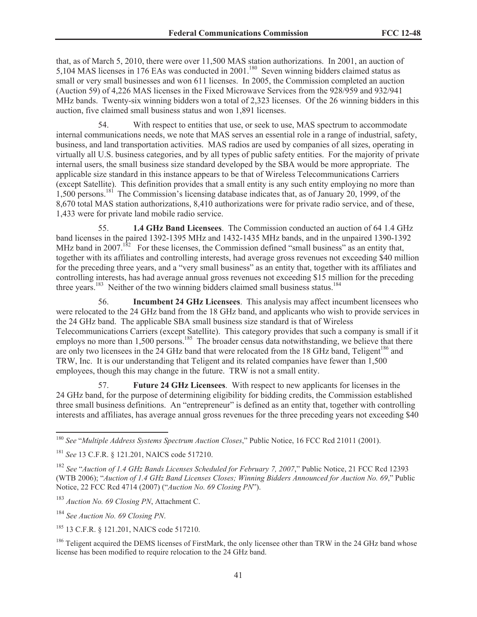that, as of March 5, 2010, there were over 11,500 MAS station authorizations. In 2001, an auction of 5,104 MAS licenses in 176 EAs was conducted in 2001.<sup>180</sup> Seven winning bidders claimed status as small or very small businesses and won 611 licenses. In 2005, the Commission completed an auction (Auction 59) of 4,226 MAS licenses in the Fixed Microwave Services from the 928/959 and 932/941 MHz bands. Twenty-six winning bidders won a total of 2,323 licenses. Of the 26 winning bidders in this auction, five claimed small business status and won 1,891 licenses.

54. With respect to entities that use, or seek to use, MAS spectrum to accommodate internal communications needs, we note that MAS serves an essential role in a range of industrial, safety, business, and land transportation activities. MAS radios are used by companies of all sizes, operating in virtually all U.S. business categories, and by all types of public safety entities. For the majority of private internal users, the small business size standard developed by the SBA would be more appropriate. The applicable size standard in this instance appears to be that of Wireless Telecommunications Carriers (except Satellite). This definition provides that a small entity is any such entity employing no more than 1,500 persons.<sup>181</sup> The Commission's licensing database indicates that, as of January 20, 1999, of the 8,670 total MAS station authorizations, 8,410 authorizations were for private radio service, and of these, 1,433 were for private land mobile radio service.

55. **1.4 GHz Band Licensees**. The Commission conducted an auction of 64 1.4 GHz band licenses in the paired 1392-1395 MHz and 1432-1435 MHz bands, and in the unpaired 1390-1392 MHz band in 2007.<sup>182</sup> For these licenses, the Commission defined "small business" as an entity that, together with its affiliates and controlling interests, had average gross revenues not exceeding \$40 million for the preceding three years, and a "very small business" as an entity that, together with its affiliates and controlling interests, has had average annual gross revenues not exceeding \$15 million for the preceding three years.<sup>183</sup> Neither of the two winning bidders claimed small business status.<sup>184</sup>

56. **Incumbent 24 GHz Licensees**. This analysis may affect incumbent licensees who were relocated to the 24 GHz band from the 18 GHz band, and applicants who wish to provide services in the 24 GHz band. The applicable SBA small business size standard is that of Wireless Telecommunications Carriers (except Satellite). This category provides that such a company is small if it employs no more than 1,500 persons.<sup>185</sup> The broader census data notwithstanding, we believe that there are only two licensees in the  $24$  GHz band that were relocated from the 18 GHz band, Teligent<sup>186</sup> and TRW, Inc. It is our understanding that Teligent and its related companies have fewer than 1,500 employees, though this may change in the future. TRW is not a small entity.

57. **Future 24 GHz Licensees**. With respect to new applicants for licenses in the 24 GHz band, for the purpose of determining eligibility for bidding credits, the Commission established three small business definitions. An "entrepreneur" is defined as an entity that, together with controlling interests and affiliates, has average annual gross revenues for the three preceding years not exceeding \$40

<sup>183</sup> *Auction No. 69 Closing PN*, Attachment C.

<sup>180</sup> *See* "*Multiple Address Systems Spectrum Auction Closes*," Public Notice, 16 FCC Rcd 21011 (2001).

<sup>181</sup> *See* 13 C.F.R. § 121.201, NAICS code 517210.

<sup>182</sup> *See* "*Auction of 1.4 GHz Bands Licenses Scheduled for February 7, 2007*," Public Notice, 21 FCC Rcd 12393 (WTB 2006); "*Auction of 1.4 GHz Band Licenses Closes; Winning Bidders Announced for Auction No. 69*," Public Notice, 22 FCC Rcd 4714 (2007) ("*Auction No. 69 Closing PN*").

<sup>184</sup> *See Auction No. 69 Closing PN*.

<sup>&</sup>lt;sup>185</sup> 13 C.F.R. § 121.201, NAICS code 517210.

<sup>&</sup>lt;sup>186</sup> Teligent acquired the DEMS licenses of FirstMark, the only licensee other than TRW in the 24 GHz band whose license has been modified to require relocation to the 24 GHz band.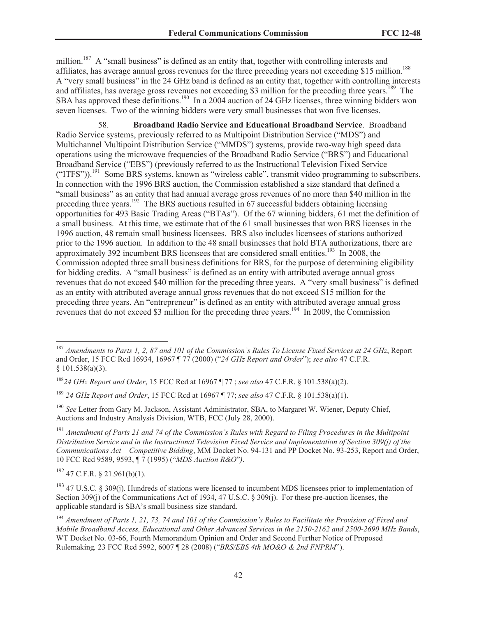million.<sup>187</sup> A "small business" is defined as an entity that, together with controlling interests and affiliates, has average annual gross revenues for the three preceding years not exceeding \$15 million.<sup>188</sup> A "very small business" in the 24 GHz band is defined as an entity that, together with controlling interests and affiliates, has average gross revenues not exceeding \$3 million for the preceding three years.<sup>189</sup> The SBA has approved these definitions.<sup>190</sup> In a 2004 auction of 24 GHz licenses, three winning bidders won seven licenses. Two of the winning bidders were very small businesses that won five licenses.

58. **Broadband Radio Service and Educational Broadband Service**. Broadband Radio Service systems, previously referred to as Multipoint Distribution Service ("MDS") and Multichannel Multipoint Distribution Service ("MMDS") systems, provide two-way high speed data operations using the microwave frequencies of the Broadband Radio Service ("BRS") and Educational Broadband Service ("EBS") (previously referred to as the Instructional Television Fixed Service ("ITFS")).<sup>191</sup> Some BRS systems, known as "wireless cable", transmit video programming to subscribers. In connection with the 1996 BRS auction, the Commission established a size standard that defined a "small business" as an entity that had annual average gross revenues of no more than \$40 million in the preceding three years.<sup>192</sup> The BRS auctions resulted in 67 successful bidders obtaining licensing opportunities for 493 Basic Trading Areas ("BTAs"). Of the 67 winning bidders, 61 met the definition of a small business. At this time, we estimate that of the 61 small businesses that won BRS licenses in the 1996 auction, 48 remain small business licensees. BRS also includes licensees of stations authorized prior to the 1996 auction. In addition to the 48 small businesses that hold BTA authorizations, there are approximately 392 incumbent BRS licensees that are considered small entities.<sup>193</sup> In 2008, the Commission adopted three small business definitions for BRS, for the purpose of determining eligibility for bidding credits. A "small business" is defined as an entity with attributed average annual gross revenues that do not exceed \$40 million for the preceding three years. A "very small business" is defined as an entity with attributed average annual gross revenues that do not exceed \$15 million for the preceding three years. An "entrepreneur" is defined as an entity with attributed average annual gross revenues that do not exceed \$3 million for the preceding three years.<sup>194</sup> In 2009, the Commission

<sup>189</sup> *24 GHz Report and Order*, 15 FCC Rcd at 16967 ¶ 77; *see also* 47 C.F.R. § 101.538(a)(1).

<sup>190</sup> *See* Letter from Gary M. Jackson, Assistant Administrator, SBA, to Margaret W. Wiener, Deputy Chief, Auctions and Industry Analysis Division, WTB, FCC (July 28, 2000).

<sup>191</sup> *Amendment of Parts 21 and 74 of the Commission's Rules with Regard to Filing Procedures in the Multipoint Distribution Service and in the Instructional Television Fixed Service and Implementation of Section 309(j) of the Communications Act – Competitive Bidding*, MM Docket No. 94-131 and PP Docket No. 93-253, Report and Order, 10 FCC Rcd 9589, 9593, ¶ 7 (1995) ("*MDS Auction R&O*"*)*.

 $192$  47 C.F.R. § 21.961(b)(1).

<sup>187</sup> *Amendments to Parts 1, 2, 87 and 101 of the Commission's Rules To License Fixed Services at 24 GHz*, Report and Order, 15 FCC Rcd 16934, 16967 ¶ 77 (2000) ("*24 GHz Report and Order*"); *see also* 47 C.F.R. § 101.538(a)(3).

<sup>188</sup>*24 GHz Report and Order*, 15 FCC Rcd at 16967 ¶ 77 ; *see also* 47 C.F.R. § 101.538(a)(2).

<sup>&</sup>lt;sup>193</sup> 47 U.S.C. § 309(j). Hundreds of stations were licensed to incumbent MDS licensees prior to implementation of Section 309(j) of the Communications Act of 1934, 47 U.S.C. § 309(j). For these pre-auction licenses, the applicable standard is SBA's small business size standard.

<sup>194</sup> *Amendment of Parts 1, 21, 73, 74 and 101 of the Commission's Rules to Facilitate the Provision of Fixed and Mobile Broadband Access, Educational and Other Advanced Services in the 2150-2162 and 2500-2690 MHz Bands*, WT Docket No. 03-66, Fourth Memorandum Opinion and Order and Second Further Notice of Proposed Rulemaking*,* 23 FCC Rcd 5992, 6007 ¶ 28 (2008) ("*BRS/EBS 4th MO&O & 2nd FNPRM*").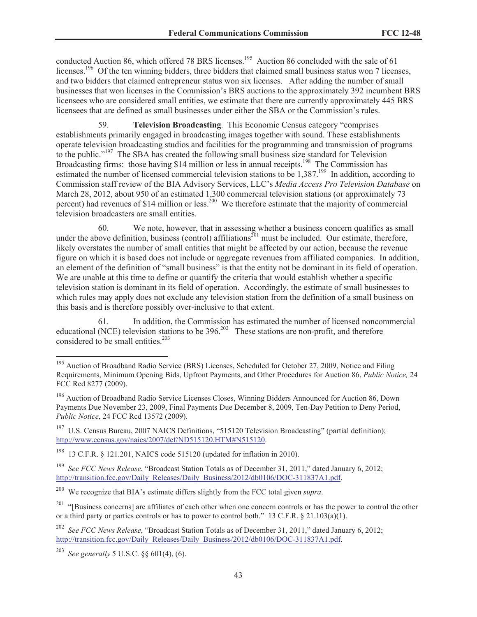conducted Auction 86, which offered 78 BRS licenses.<sup>195</sup> Auction 86 concluded with the sale of 61 licenses.<sup>196</sup> Of the ten winning bidders, three bidders that claimed small business status won 7 licenses, and two bidders that claimed entrepreneur status won six licenses. After adding the number of small businesses that won licenses in the Commission's BRS auctions to the approximately 392 incumbent BRS licensees who are considered small entities, we estimate that there are currently approximately 445 BRS licensees that are defined as small businesses under either the SBA or the Commission's rules.

59. **Television Broadcasting**. This Economic Census category "comprises establishments primarily engaged in broadcasting images together with sound. These establishments operate television broadcasting studios and facilities for the programming and transmission of programs to the public."<sup>197</sup> The SBA has created the following small business size standard for Television Broadcasting firms: those having \$14 million or less in annual receipts.<sup>198</sup> The Commission has estimated the number of licensed commercial television stations to be 1,387.<sup>199</sup> In addition, according to Commission staff review of the BIA Advisory Services, LLC's *Media Access Pro Television Database* on March 28, 2012, about 950 of an estimated 1,300 commercial television stations (or approximately 73 percent) had revenues of \$14 million or less.<sup>200</sup> We therefore estimate that the majority of commercial television broadcasters are small entities.

60. We note, however, that in assessing whether a business concern qualifies as small under the above definition, business (control) affiliations<sup> $201$ </sup> must be included. Our estimate, therefore, likely overstates the number of small entities that might be affected by our action, because the revenue figure on which it is based does not include or aggregate revenues from affiliated companies. In addition, an element of the definition of "small business" is that the entity not be dominant in its field of operation. We are unable at this time to define or quantify the criteria that would establish whether a specific television station is dominant in its field of operation. Accordingly, the estimate of small businesses to which rules may apply does not exclude any television station from the definition of a small business on this basis and is therefore possibly over-inclusive to that extent.

61. In addition, the Commission has estimated the number of licensed noncommercial educational (NCE) television stations to be  $396.<sup>202</sup>$  These stations are non-profit, and therefore considered to be small entities.<sup>203</sup>

<sup>&</sup>lt;sup>195</sup> Auction of Broadband Radio Service (BRS) Licenses, Scheduled for October 27, 2009, Notice and Filing Requirements, Minimum Opening Bids, Upfront Payments, and Other Procedures for Auction 86, *Public Notice,* 24 FCC Rcd 8277 (2009).

<sup>&</sup>lt;sup>196</sup> Auction of Broadband Radio Service Licenses Closes, Winning Bidders Announced for Auction 86, Down Payments Due November 23, 2009, Final Payments Due December 8, 2009, Ten-Day Petition to Deny Period, *Public Notice*, 24 FCC Rcd 13572 (2009).

<sup>&</sup>lt;sup>197</sup> U.S. Census Bureau, 2007 NAICS Definitions, "515120 Television Broadcasting" (partial definition); http://www.census.gov/naics/2007/def/ND515120.HTM#N515120.

<sup>198</sup> 13 C.F.R. § 121.201, NAICS code 515120 (updated for inflation in 2010).

<sup>199</sup> *See FCC News Release*, "Broadcast Station Totals as of December 31, 2011," dated January 6, 2012; http://transition.fcc.gov/Daily\_Releases/Daily\_Business/2012/db0106/DOC-311837A1.pdf.

<sup>200</sup> We recognize that BIA's estimate differs slightly from the FCC total given *supra*.

<sup>&</sup>lt;sup>201</sup> "[Business concerns] are affiliates of each other when one concern controls or has the power to control the other or a third party or parties controls or has to power to control both." 13 C.F.R. § 21.103(a)(1).

<sup>202</sup> *See FCC News Release*, "Broadcast Station Totals as of December 31, 2011," dated January 6, 2012; http://transition.fcc.gov/Daily\_Releases/Daily\_Business/2012/db0106/DOC-311837A1.pdf.

<sup>203</sup> *See generally* 5 U.S.C. §§ 601(4), (6).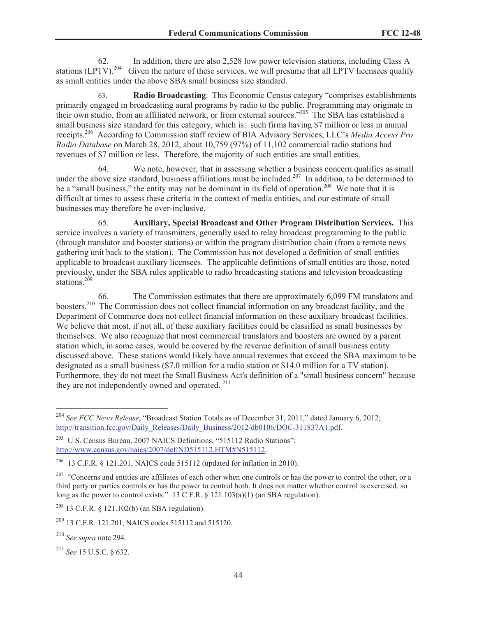62. In addition, there are also 2,528 low power television stations, including Class A stations (LPTV).<sup>204</sup> Given the nature of these services, we will presume that all LPTV licensees qualify as small entities under the above SBA small business size standard.

63. **Radio Broadcasting**. This Economic Census category "comprises establishments primarily engaged in broadcasting aural programs by radio to the public. Programming may originate in their own studio, from an affiliated network, or from external sources."<sup>205</sup> The SBA has established a small business size standard for this category, which is: such firms having \$7 million or less in annual receipts.<sup>206</sup> According to Commission staff review of BIA Advisory Services, LLC's *Media Access Pro Radio Database* on March 28, 2012, about 10,759 (97%) of 11,102 commercial radio stations had revenues of \$7 million or less. Therefore, the majority of such entities are small entities.

64. We note, however, that in assessing whether a business concern qualifies as small under the above size standard, business affiliations must be included.<sup>207</sup> In addition, to be determined to be a "small business," the entity may not be dominant in its field of operation.<sup>208</sup> We note that it is difficult at times to assess these criteria in the context of media entities, and our estimate of small businesses may therefore be over-inclusive.

65. **Auxiliary, Special Broadcast and Other Program Distribution Services.** This service involves a variety of transmitters, generally used to relay broadcast programming to the public (through translator and booster stations) or within the program distribution chain (from a remote news gathering unit back to the station). The Commission has not developed a definition of small entities applicable to broadcast auxiliary licensees. The applicable definitions of small entities are those, noted previously, under the SBA rules applicable to radio broadcasting stations and television broadcasting stations. $209$ 

66. The Commission estimates that there are approximately 6,099 FM translators and boosters.<sup>210</sup> The Commission does not collect financial information on any broadcast facility, and the Department of Commerce does not collect financial information on these auxiliary broadcast facilities. We believe that most, if not all, of these auxiliary facilities could be classified as small businesses by themselves. We also recognize that most commercial translators and boosters are owned by a parent station which, in some cases, would be covered by the revenue definition of small business entity discussed above. These stations would likely have annual revenues that exceed the SBA maximum to be designated as a small business (\$7.0 million for a radio station or \$14.0 million for a TV station). Furthermore, they do not meet the Small Business Act's definition of a "small business concern" because they are not independently owned and operated.  $211$ 

 $208$  13 C.F.R. § 121.102(b) (an SBA regulation).

<sup>204</sup> *See FCC News Release*, "Broadcast Station Totals as of December 31, 2011," dated January 6, 2012; http://transition.fcc.gov/Daily\_Releases/Daily\_Business/2012/db0106/DOC-311837A1.pdf.

<sup>&</sup>lt;sup>205</sup> U.S. Census Bureau, 2007 NAICS Definitions, "515112 Radio Stations"; http://www.census.gov/naics/2007/def/ND515112.HTM#N515112.

<sup>&</sup>lt;sup>206</sup> 13 C.F.R. § 121.201, NAICS code 515112 (updated for inflation in 2010).

 $207$  "Concerns and entities are affiliates of each other when one controls or has the power to control the other, or a third party or parties controls or has the power to control both. It does not matter whether control is exercised, so long as the power to control exists." 13 C.F.R. § 121.103(a)(1) (an SBA regulation).

<sup>&</sup>lt;sup>209</sup> 13 C.F.R. 121.201, NAICS codes 515112 and 515120.

<sup>210</sup> *See supra* note 294.

<sup>211</sup> *See* 15 U.S.C. § 632.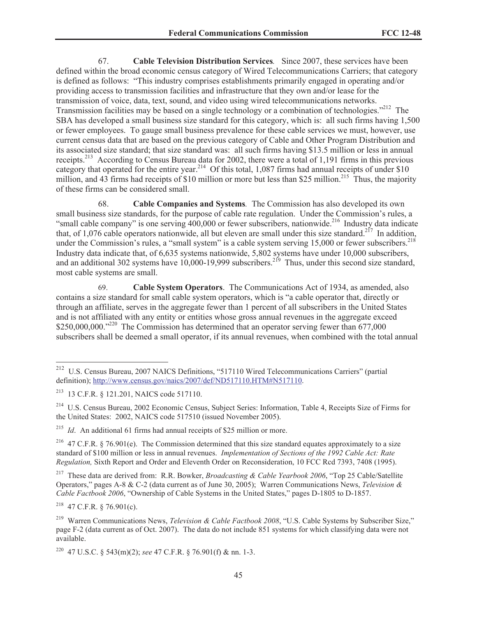67. **Cable Television Distribution Services***.* Since 2007, these services have been defined within the broad economic census category of Wired Telecommunications Carriers; that category is defined as follows: "This industry comprises establishments primarily engaged in operating and/or providing access to transmission facilities and infrastructure that they own and/or lease for the transmission of voice, data, text, sound, and video using wired telecommunications networks. Transmission facilities may be based on a single technology or a combination of technologies."<sup>212</sup> The SBA has developed a small business size standard for this category, which is: all such firms having 1,500 or fewer employees. To gauge small business prevalence for these cable services we must, however, use current census data that are based on the previous category of Cable and Other Program Distribution and its associated size standard; that size standard was: all such firms having \$13.5 million or less in annual receipts.<sup>213</sup> According to Census Bureau data for 2002, there were a total of 1,191 firms in this previous category that operated for the entire year.<sup>214</sup> Of this total, 1,087 firms had annual receipts of under \$10 million, and  $\overline{43}$  firms had receipts of \$10 million or more but less than \$25 million.<sup>215</sup> Thus, the majority of these firms can be considered small.

68. **Cable Companies and Systems***.* The Commission has also developed its own small business size standards, for the purpose of cable rate regulation. Under the Commission's rules, a "small cable company" is one serving  $400,000$  or fewer subscribers, nationwide.<sup>216</sup> Industry data indicate that, of 1,076 cable operators nationwide, all but eleven are small under this size standard.<sup>217</sup> In addition, under the Commission's rules, a "small system" is a cable system serving 15,000 or fewer subscribers.<sup>218</sup> Industry data indicate that, of 6,635 systems nationwide, 5,802 systems have under 10,000 subscribers, and an additional 302 systems have  $10,000-19,999$  subscribers.<sup>219</sup> Thus, under this second size standard, most cable systems are small.

69. **Cable System Operators**. The Communications Act of 1934, as amended, also contains a size standard for small cable system operators, which is "a cable operator that, directly or through an affiliate, serves in the aggregate fewer than 1 percent of all subscribers in the United States and is not affiliated with any entity or entities whose gross annual revenues in the aggregate exceed  $$250,000,000.^{220}$  The Commission has determined that an operator serving fewer than 677,000 subscribers shall be deemed a small operator, if its annual revenues, when combined with the total annual

<sup>215</sup> *Id*. An additional 61 firms had annual receipts of \$25 million or more.

<sup>217</sup> These data are derived from: R.R. Bowker, *Broadcasting & Cable Yearbook 2006*, "Top 25 Cable/Satellite Operators," pages A-8 & C-2 (data current as of June 30, 2005); Warren Communications News, *Television & Cable Factbook 2006*, "Ownership of Cable Systems in the United States," pages D-1805 to D-1857.

<sup>218</sup> 47 C.F.R. § 76.901(c).

<sup>212</sup> U.S. Census Bureau, 2007 NAICS Definitions, "517110 Wired Telecommunications Carriers" (partial definition); http://www.census.gov/naics/2007/def/ND517110.HTM#N517110.

<sup>213</sup> 13 C.F.R. § 121.201, NAICS code 517110.

<sup>214</sup> U.S. Census Bureau, 2002 Economic Census, Subject Series: Information, Table 4, Receipts Size of Firms for the United States: 2002, NAICS code 517510 (issued November 2005).

<sup>&</sup>lt;sup>216</sup> 47 C.F.R. § 76.901(e). The Commission determined that this size standard equates approximately to a size standard of \$100 million or less in annual revenues. *Implementation of Sections of the 1992 Cable Act: Rate Regulation,* Sixth Report and Order and Eleventh Order on Reconsideration, 10 FCC Rcd 7393, 7408 (1995).

<sup>219</sup> Warren Communications News, *Television & Cable Factbook 2008*, "U.S. Cable Systems by Subscriber Size," page F-2 (data current as of Oct. 2007). The data do not include 851 systems for which classifying data were not available.

<sup>220</sup> 47 U.S.C. § 543(m)(2); *see* 47 C.F.R. § 76.901(f) & nn. 1-3.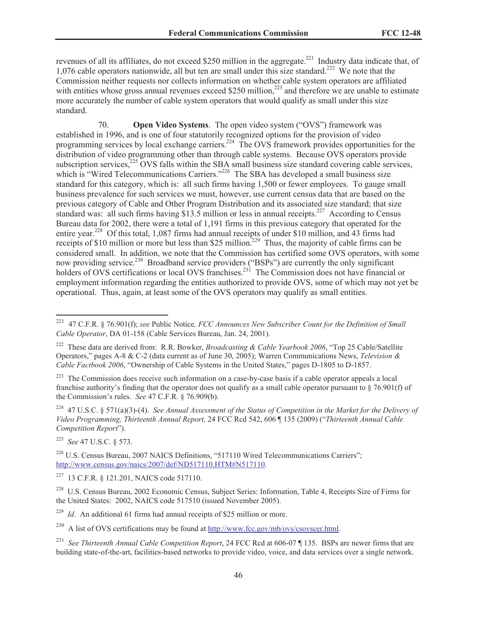revenues of all its affiliates, do not exceed \$250 million in the aggregate.<sup>221</sup> Industry data indicate that, of 1,076 cable operators nationwide, all but ten are small under this size standard.<sup>222</sup> We note that the Commission neither requests nor collects information on whether cable system operators are affiliated with entities whose gross annual revenues exceed \$250 million, $^{223}$  and therefore we are unable to estimate more accurately the number of cable system operators that would qualify as small under this size standard.

70. **Open Video Systems**. The open video system ("OVS") framework was established in 1996, and is one of four statutorily recognized options for the provision of video programming services by local exchange carriers.<sup>224</sup> The OVS framework provides opportunities for the distribution of video programming other than through cable systems. Because OVS operators provide subscription services, $225$  OVS falls within the SBA small business size standard covering cable services, which is "Wired Telecommunications Carriers."<sup>226</sup> The SBA has developed a small business size standard for this category, which is: all such firms having 1,500 or fewer employees. To gauge small business prevalence for such services we must, however, use current census data that are based on the previous category of Cable and Other Program Distribution and its associated size standard; that size standard was: all such firms having \$13.5 million or less in annual receipts.<sup>227</sup> According to Census Bureau data for 2002, there were a total of 1,191 firms in this previous category that operated for the entire year.<sup>228</sup> Of this total, 1,087 firms had annual receipts of under \$10 million, and 43 firms had receipts of \$10 million or more but less than \$25 million.<sup>229</sup> Thus, the majority of cable firms can be considered small. In addition, we note that the Commission has certified some OVS operators, with some now providing service.<sup>230</sup> Broadband service providers ("BSPs") are currently the only significant holders of OVS certifications or local OVS franchises.<sup>231</sup> The Commission does not have financial or employment information regarding the entities authorized to provide OVS, some of which may not yet be operational. Thus, again, at least some of the OVS operators may qualify as small entities.

<sup>225</sup> *See* 47 U.S.C. § 573.

<sup>221</sup> 47 C.F.R. § 76.901(f); *see* Public Notice*, FCC Announces New Subscriber Count for the Definition of Small Cable Operator*, DA 01-158 (Cable Services Bureau, Jan. 24, 2001).

<sup>222</sup> These data are derived from: R.R. Bowker, *Broadcasting & Cable Yearbook 2006*, "Top 25 Cable/Satellite Operators," pages A-8 & C-2 (data current as of June 30, 2005); Warren Communications News, *Television & Cable Factbook 2006*, "Ownership of Cable Systems in the United States," pages D-1805 to D-1857.

<sup>&</sup>lt;sup>223</sup> The Commission does receive such information on a case-by-case basis if a cable operator appeals a local franchise authority's finding that the operator does not qualify as a small cable operator pursuant to  $\S$  76.901(f) of the Commission's rules. *See* 47 C.F.R. § 76.909(b).

<sup>224</sup> 47 U.S.C. § 571(a)(3)-(4). *See Annual Assessment of the Status of Competition in the Market for the Delivery of Video Programming, Thirteenth Annual Report,* 24 FCC Rcd 542, 606 ¶ 135 (2009) ("*Thirteenth Annual Cable Competition Report*").

<sup>&</sup>lt;sup>226</sup> U.S. Census Bureau, 2007 NAICS Definitions, "517110 Wired Telecommunications Carriers"; http://www.census.gov/naics/2007/def/ND517110.HTM#N517110.

<sup>227</sup> 13 C.F.R. § 121.201, NAICS code 517110.

<sup>&</sup>lt;sup>228</sup> U.S. Census Bureau, 2002 Economic Census, Subject Series: Information, Table 4, Receipts Size of Firms for the United States: 2002, NAICS code 517510 (issued November 2005).

<sup>&</sup>lt;sup>229</sup> *Id*. An additional 61 firms had annual receipts of \$25 million or more.

<sup>&</sup>lt;sup>230</sup> A list of OVS certifications may be found at http://www.fcc.gov/mb/ovs/csovscer.html.

<sup>231</sup> *See Thirteenth Annual Cable Competition Report*, 24 FCC Rcd at 606-07 ¶ 135. BSPs are newer firms that are building state-of-the-art, facilities-based networks to provide video, voice, and data services over a single network.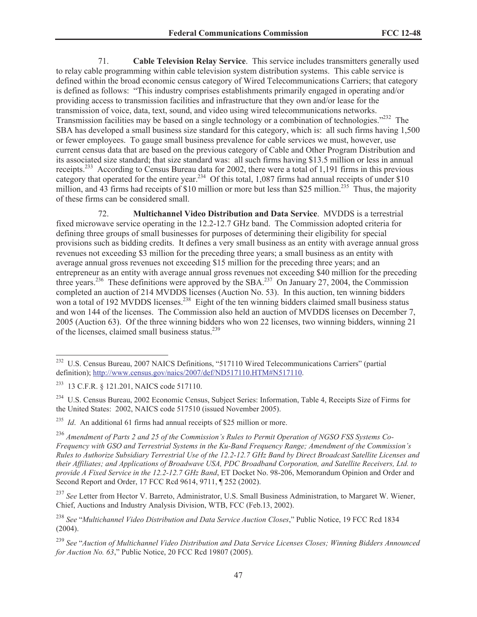71. **Cable Television Relay Service**. This service includes transmitters generally used to relay cable programming within cable television system distribution systems. This cable service is defined within the broad economic census category of Wired Telecommunications Carriers; that category is defined as follows: "This industry comprises establishments primarily engaged in operating and/or providing access to transmission facilities and infrastructure that they own and/or lease for the transmission of voice, data, text, sound, and video using wired telecommunications networks. Transmission facilities may be based on a single technology or a combination of technologies."<sup>232</sup> The SBA has developed a small business size standard for this category, which is: all such firms having 1,500 or fewer employees. To gauge small business prevalence for cable services we must, however, use current census data that are based on the previous category of Cable and Other Program Distribution and its associated size standard; that size standard was: all such firms having \$13.5 million or less in annual receipts.<sup>233</sup> According to Census Bureau data for 2002, there were a total of 1,191 firms in this previous category that operated for the entire year.<sup>234</sup> Of this total, 1,087 firms had annual receipts of under \$10 million, and  $\overline{43}$  firms had receipts of \$10 million or more but less than \$25 million.<sup>235</sup> Thus, the majority of these firms can be considered small.

72. **Multichannel Video Distribution and Data Service**. MVDDS is a terrestrial fixed microwave service operating in the 12.2-12.7 GHz band. The Commission adopted criteria for defining three groups of small businesses for purposes of determining their eligibility for special provisions such as bidding credits. It defines a very small business as an entity with average annual gross revenues not exceeding \$3 million for the preceding three years; a small business as an entity with average annual gross revenues not exceeding \$15 million for the preceding three years; and an entrepreneur as an entity with average annual gross revenues not exceeding \$40 million for the preceding three years.<sup>236</sup> These definitions were approved by the SBA.<sup>237</sup> On January 27, 2004, the Commission completed an auction of 214 MVDDS licenses (Auction No. 53). In this auction, ten winning bidders won a total of 192 MVDDS licenses.<sup>238</sup> Eight of the ten winning bidders claimed small business status and won 144 of the licenses. The Commission also held an auction of MVDDS licenses on December 7, 2005 (Auction 63). Of the three winning bidders who won 22 licenses, two winning bidders, winning 21 of the licenses, claimed small business status.<sup>239</sup>

<sup>&</sup>lt;sup>232</sup> U.S. Census Bureau, 2007 NAICS Definitions, "517110 Wired Telecommunications Carriers" (partial definition); http://www.census.gov/naics/2007/def/ND517110.HTM#N517110.

<sup>233</sup> 13 C.F.R. § 121.201, NAICS code 517110.

<sup>&</sup>lt;sup>234</sup> U.S. Census Bureau, 2002 Economic Census, Subject Series: Information, Table 4, Receipts Size of Firms for the United States: 2002, NAICS code 517510 (issued November 2005).

<sup>&</sup>lt;sup>235</sup> *Id.* An additional 61 firms had annual receipts of \$25 million or more.

<sup>236</sup> *Amendment of Parts 2 and 25 of the Commission's Rules to Permit Operation of NGSO FSS Systems Co-Frequency with GSO and Terrestrial Systems in the Ku-Band Frequency Range; Amendment of the Commission's Rules to Authorize Subsidiary Terrestrial Use of the 12.2-12.7 GHz Band by Direct Broadcast Satellite Licenses and their Affiliates; and Applications of Broadwave USA, PDC Broadband Corporation, and Satellite Receivers, Ltd. to provide A Fixed Service in the 12.2-12.7 GHz Band*, ET Docket No. 98-206, Memorandum Opinion and Order and Second Report and Order, 17 FCC Rcd 9614, 9711, ¶ 252 (2002).

<sup>237</sup> *See* Letter from Hector V. Barreto, Administrator, U.S. Small Business Administration, to Margaret W. Wiener, Chief, Auctions and Industry Analysis Division, WTB, FCC (Feb.13, 2002).

<sup>238</sup> *See* "*Multichannel Video Distribution and Data Service Auction Closes*," Public Notice, 19 FCC Rcd 1834 (2004).

<sup>239</sup> *See* "*Auction of Multichannel Video Distribution and Data Service Licenses Closes; Winning Bidders Announced for Auction No. 63*," Public Notice, 20 FCC Rcd 19807 (2005).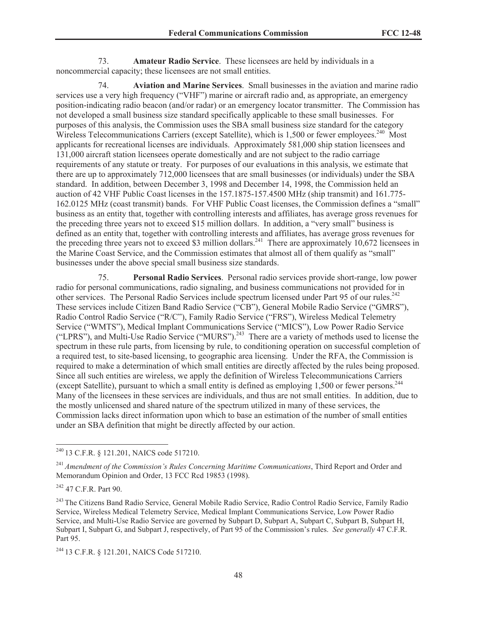73. **Amateur Radio Service**. These licensees are held by individuals in a noncommercial capacity; these licensees are not small entities.

74. **Aviation and Marine Services**. Small businesses in the aviation and marine radio services use a very high frequency ("VHF") marine or aircraft radio and, as appropriate, an emergency position-indicating radio beacon (and/or radar) or an emergency locator transmitter. The Commission has not developed a small business size standard specifically applicable to these small businesses. For purposes of this analysis, the Commission uses the SBA small business size standard for the category Wireless Telecommunications Carriers (except Satellite), which is 1,500 or fewer employees.<sup>240</sup> Most applicants for recreational licenses are individuals. Approximately 581,000 ship station licensees and 131,000 aircraft station licensees operate domestically and are not subject to the radio carriage requirements of any statute or treaty. For purposes of our evaluations in this analysis, we estimate that there are up to approximately 712,000 licensees that are small businesses (or individuals) under the SBA standard. In addition, between December 3, 1998 and December 14, 1998, the Commission held an auction of 42 VHF Public Coast licenses in the 157.1875-157.4500 MHz (ship transmit) and 161.775- 162.0125 MHz (coast transmit) bands. For VHF Public Coast licenses, the Commission defines a "small" business as an entity that, together with controlling interests and affiliates, has average gross revenues for the preceding three years not to exceed \$15 million dollars. In addition, a "very small" business is defined as an entity that, together with controlling interests and affiliates, has average gross revenues for the preceding three years not to exceed \$3 million dollars.<sup>241</sup> There are approximately 10,672 licensees in the Marine Coast Service, and the Commission estimates that almost all of them qualify as "small" businesses under the above special small business size standards.

75. **Personal Radio Services**. Personal radio services provide short-range, low power radio for personal communications, radio signaling, and business communications not provided for in other services. The Personal Radio Services include spectrum licensed under Part 95 of our rules. $^{242}$ These services include Citizen Band Radio Service ("CB"), General Mobile Radio Service ("GMRS"), Radio Control Radio Service ("R/C"), Family Radio Service ("FRS"), Wireless Medical Telemetry Service ("WMTS"), Medical Implant Communications Service ("MICS"), Low Power Radio Service ("LPRS"), and Multi-Use Radio Service ("MURS").<sup>243</sup> There are a variety of methods used to license the spectrum in these rule parts, from licensing by rule, to conditioning operation on successful completion of a required test, to site-based licensing, to geographic area licensing. Under the RFA, the Commission is required to make a determination of which small entities are directly affected by the rules being proposed. Since all such entities are wireless, we apply the definition of Wireless Telecommunications Carriers (except Satellite), pursuant to which a small entity is defined as employing 1,500 or fewer persons.<sup>244</sup> Many of the licensees in these services are individuals, and thus are not small entities. In addition, due to the mostly unlicensed and shared nature of the spectrum utilized in many of these services, the Commission lacks direct information upon which to base an estimation of the number of small entities under an SBA definition that might be directly affected by our action.

<sup>240</sup> 13 C.F.R. § 121.201, NAICS code 517210.

<sup>241</sup> *Amendment of the Commission's Rules Concerning Maritime Communications*, Third Report and Order and Memorandum Opinion and Order, 13 FCC Rcd 19853 (1998).

<sup>242</sup> 47 C.F.R. Part 90.

<sup>&</sup>lt;sup>243</sup> The Citizens Band Radio Service, General Mobile Radio Service, Radio Control Radio Service, Family Radio Service, Wireless Medical Telemetry Service, Medical Implant Communications Service, Low Power Radio Service, and Multi-Use Radio Service are governed by Subpart D, Subpart A, Subpart C, Subpart B, Subpart H, Subpart I, Subpart G, and Subpart J, respectively, of Part 95 of the Commission's rules. *See generally* 47 C.F.R. Part 95.

<sup>244</sup> 13 C.F.R. § 121.201, NAICS Code 517210.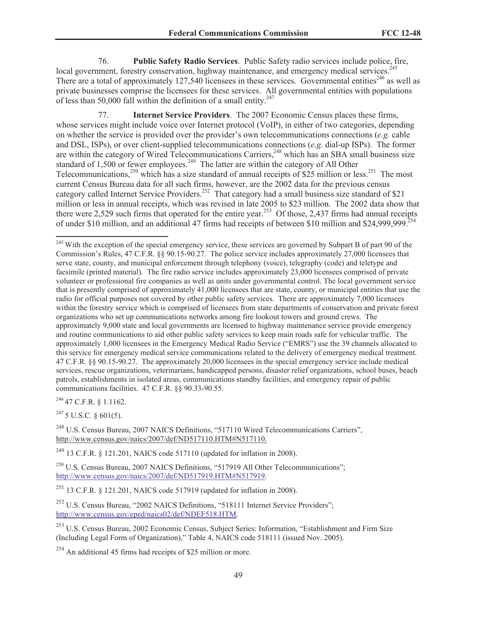76. **Public Safety Radio Services**. Public Safety radio services include police, fire, local government, forestry conservation, highway maintenance, and emergency medical services.<sup>245</sup> There are a total of approximately  $127,540$  licensees in these services. Governmental entities<sup>246</sup> as well as private businesses comprise the licensees for these services. All governmental entities with populations of less than 50,000 fall within the definition of a small entity.<sup>247</sup>

77. **Internet Service Providers**. The 2007 Economic Census places these firms, whose services might include voice over Internet protocol (VoIP), in either of two categories, depending on whether the service is provided over the provider's own telecommunications connections (*e.g.* cable and DSL, ISPs), or over client-supplied telecommunications connections (*e.g.* dial-up ISPs). The former are within the category of Wired Telecommunications Carriers,<sup>248</sup> which has an SBA small business size standard of 1,500 or fewer employees.<sup>249</sup> The latter are within the category of All Other Telecommunications,<sup>250</sup> which has a size standard of annual receipts of \$25 million or less.<sup>251</sup> The most current Census Bureau data for all such firms, however, are the 2002 data for the previous census category called Internet Service Providers.<sup>252</sup> That category had a small business size standard of \$21 million or less in annual receipts, which was revised in late 2005 to \$23 million. The 2002 data show that there were 2,529 such firms that operated for the entire year.<sup>253</sup> Of those, 2,437 firms had annual receipts of under \$10 million, and an additional 47 firms had receipts of between \$10 million and \$24,999,999.<sup>254</sup>

 $^{246}$  47 C.F.R. § 1.1162.

 $247$  5 U.S.C. § 601(5).

<sup>248</sup> U.S. Census Bureau, 2007 NAICS Definitions, "517110 Wired Telecommunications Carriers", http://www.census.gov/naics/2007/def/ND517110.HTM#N517110.

<sup>249</sup> 13 C.F.R. § 121.201, NAICS code 517110 (updated for inflation in 2008).

<sup>250</sup> U.S. Census Bureau, 2007 NAICS Definitions, "517919 All Other Telecommunications"; http://www.census.gov/naics/2007/def/ND517919.HTM#N517919.

<sup>251</sup> 13 C.F.R. § 121.201, NAICS code 517919 (updated for inflation in 2008).

<sup>252</sup> U.S. Census Bureau, "2002 NAICS Definitions, "518111 Internet Service Providers"; http://www.census.gov/eped/naics02/def/NDEF518.HTM.

<sup>253</sup> U.S. Census Bureau, 2002 Economic Census, Subject Series: Information, "Establishment and Firm Size (Including Legal Form of Organization)," Table 4, NAICS code 518111 (issued Nov. 2005).

 $254$  An additional 45 firms had receipts of \$25 million or more.

<sup>&</sup>lt;sup>245</sup> With the exception of the special emergency service, these services are governed by Subpart B of part 90 of the Commission's Rules, 47 C.F.R. §§ 90.15-90.27. The police service includes approximately 27,000 licensees that serve state, county, and municipal enforcement through telephony (voice), telegraphy (code) and teletype and facsimile (printed material). The fire radio service includes approximately 23,000 licensees comprised of private volunteer or professional fire companies as well as units under governmental control. The local government service that is presently comprised of approximately 41,000 licensees that are state, county, or municipal entities that use the radio for official purposes not covered by other public safety services. There are approximately 7,000 licensees within the forestry service which is comprised of licensees from state departments of conservation and private forest organizations who set up communications networks among fire lookout towers and ground crews. The approximately 9,000 state and local governments are licensed to highway maintenance service provide emergency and routine communications to aid other public safety services to keep main roads safe for vehicular traffic. The approximately 1,000 licensees in the Emergency Medical Radio Service ("EMRS") use the 39 channels allocated to this service for emergency medical service communications related to the delivery of emergency medical treatment. 47 C.F.R. §§ 90.15-90.27. The approximately 20,000 licensees in the special emergency service include medical services, rescue organizations, veterinarians, handicapped persons, disaster relief organizations, school buses, beach patrols, establishments in isolated areas, communications standby facilities, and emergency repair of public communications facilities. 47 C.F.R. §§ 90.33-90.55.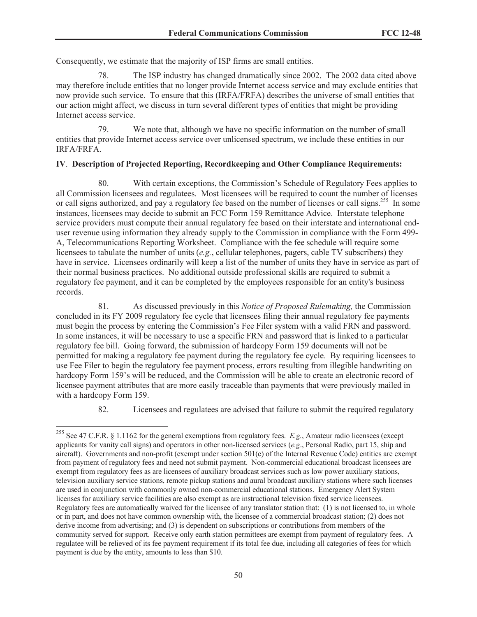Consequently, we estimate that the majority of ISP firms are small entities.

78. The ISP industry has changed dramatically since 2002. The 2002 data cited above may therefore include entities that no longer provide Internet access service and may exclude entities that now provide such service. To ensure that this (IRFA/FRFA) describes the universe of small entities that our action might affect, we discuss in turn several different types of entities that might be providing Internet access service.

79. We note that, although we have no specific information on the number of small entities that provide Internet access service over unlicensed spectrum, we include these entities in our IRFA/FRFA.

#### **IV**. **Description of Projected Reporting, Recordkeeping and Other Compliance Requirements:**

80. With certain exceptions, the Commission's Schedule of Regulatory Fees applies to all Commission licensees and regulatees. Most licensees will be required to count the number of licenses or call signs authorized, and pay a regulatory fee based on the number of licenses or call signs.<sup>255</sup> In some instances, licensees may decide to submit an FCC Form 159 Remittance Advice. Interstate telephone service providers must compute their annual regulatory fee based on their interstate and international enduser revenue using information they already supply to the Commission in compliance with the Form 499- A, Telecommunications Reporting Worksheet. Compliance with the fee schedule will require some licensees to tabulate the number of units (*e.g.*, cellular telephones, pagers, cable TV subscribers) they have in service. Licensees ordinarily will keep a list of the number of units they have in service as part of their normal business practices. No additional outside professional skills are required to submit a regulatory fee payment, and it can be completed by the employees responsible for an entity's business records.

81. As discussed previously in this *Notice of Proposed Rulemaking,* the Commission concluded in its FY 2009 regulatory fee cycle that licensees filing their annual regulatory fee payments must begin the process by entering the Commission's Fee Filer system with a valid FRN and password. In some instances, it will be necessary to use a specific FRN and password that is linked to a particular regulatory fee bill. Going forward, the submission of hardcopy Form 159 documents will not be permitted for making a regulatory fee payment during the regulatory fee cycle. By requiring licensees to use Fee Filer to begin the regulatory fee payment process, errors resulting from illegible handwriting on hardcopy Form 159's will be reduced, and the Commission will be able to create an electronic record of licensee payment attributes that are more easily traceable than payments that were previously mailed in with a hardcopy Form 159.

82. Licensees and regulatees are advised that failure to submit the required regulatory

<sup>255</sup> See 47 C.F.R. § 1.1162 for the general exemptions from regulatory fees. *E.g.*, Amateur radio licensees (except applicants for vanity call signs) and operators in other non-licensed services (*e.g*., Personal Radio, part 15, ship and aircraft). Governments and non-profit (exempt under section 501(c) of the Internal Revenue Code) entities are exempt from payment of regulatory fees and need not submit payment. Non-commercial educational broadcast licensees are exempt from regulatory fees as are licensees of auxiliary broadcast services such as low power auxiliary stations, television auxiliary service stations, remote pickup stations and aural broadcast auxiliary stations where such licenses are used in conjunction with commonly owned non-commercial educational stations. Emergency Alert System licenses for auxiliary service facilities are also exempt as are instructional television fixed service licensees. Regulatory fees are automatically waived for the licensee of any translator station that: (1) is not licensed to, in whole or in part, and does not have common ownership with, the licensee of a commercial broadcast station; (2) does not derive income from advertising; and (3) is dependent on subscriptions or contributions from members of the community served for support. Receive only earth station permittees are exempt from payment of regulatory fees. A regulatee will be relieved of its fee payment requirement if its total fee due, including all categories of fees for which payment is due by the entity, amounts to less than \$10.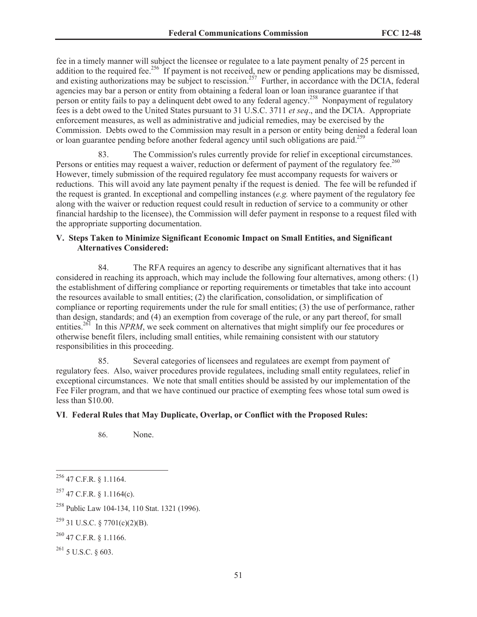fee in a timely manner will subject the licensee or regulatee to a late payment penalty of 25 percent in addition to the required fee.<sup>256</sup> If payment is not received, new or pending applications may be dismissed, and existing authorizations may be subject to rescission.<sup>257</sup> Further, in accordance with the DCIA, federal agencies may bar a person or entity from obtaining a federal loan or loan insurance guarantee if that person or entity fails to pay a delinquent debt owed to any federal agency.<sup>258</sup> Nonpayment of regulatory fees is a debt owed to the United States pursuant to 31 U.S.C. 3711 *et seq*., and the DCIA. Appropriate enforcement measures, as well as administrative and judicial remedies, may be exercised by the Commission. Debts owed to the Commission may result in a person or entity being denied a federal loan or loan guarantee pending before another federal agency until such obligations are paid.<sup>259</sup>

83. The Commission's rules currently provide for relief in exceptional circumstances. Persons or entities may request a waiver, reduction or deferment of payment of the regulatory fee.<sup>260</sup> However, timely submission of the required regulatory fee must accompany requests for waivers or reductions. This will avoid any late payment penalty if the request is denied. The fee will be refunded if the request is granted. In exceptional and compelling instances (*e.g.* where payment of the regulatory fee along with the waiver or reduction request could result in reduction of service to a community or other financial hardship to the licensee), the Commission will defer payment in response to a request filed with the appropriate supporting documentation.

#### **V. Steps Taken to Minimize Significant Economic Impact on Small Entities, and Significant Alternatives Considered:**

84. The RFA requires an agency to describe any significant alternatives that it has considered in reaching its approach, which may include the following four alternatives, among others: (1) the establishment of differing compliance or reporting requirements or timetables that take into account the resources available to small entities; (2) the clarification, consolidation, or simplification of compliance or reporting requirements under the rule for small entities; (3) the use of performance, rather than design, standards; and (4) an exemption from coverage of the rule, or any part thereof, for small entities.<sup>261</sup> In this *NPRM*, we seek comment on alternatives that might simplify our fee procedures or otherwise benefit filers, including small entities, while remaining consistent with our statutory responsibilities in this proceeding.

85. Several categories of licensees and regulatees are exempt from payment of regulatory fees. Also, waiver procedures provide regulatees, including small entity regulatees, relief in exceptional circumstances. We note that small entities should be assisted by our implementation of the Fee Filer program, and that we have continued our practice of exempting fees whose total sum owed is less than \$10.00.

#### **VI**. **Federal Rules that May Duplicate, Overlap, or Conflict with the Proposed Rules:**

86. None.

<sup>256</sup> 47 C.F.R. § 1.1164.

 $^{257}$  47 C.F.R. § 1.1164(c).

<sup>258</sup> Public Law 104-134, 110 Stat. 1321 (1996).

 $^{259}$  31 U.S.C. § 7701(c)(2)(B).

 $^{260}$  47 C.F.R. § 1.1166.

 $^{261}$  5 U.S.C. § 603.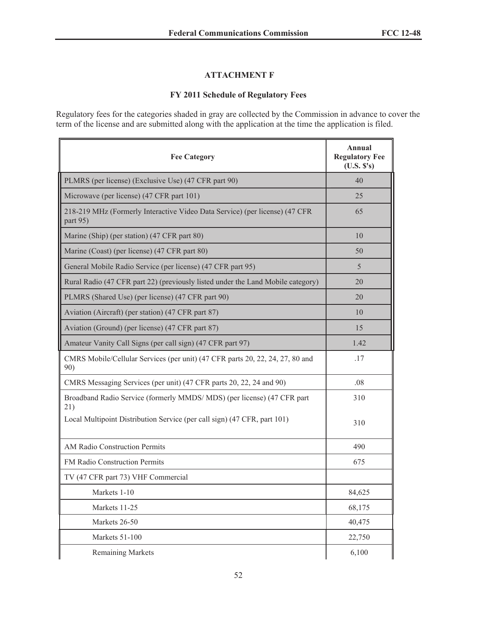### **ATTACHMENT F**

### **FY 2011 Schedule of Regulatory Fees**

Regulatory fees for the categories shaded in gray are collected by the Commission in advance to cover the term of the license and are submitted along with the application at the time the application is filed.

| <b>Fee Category</b>                                                                     | Annual<br><b>Regulatory Fee</b><br>(U.S. S's) |
|-----------------------------------------------------------------------------------------|-----------------------------------------------|
| PLMRS (per license) (Exclusive Use) (47 CFR part 90)                                    | 40                                            |
| Microwave (per license) (47 CFR part 101)                                               | 25                                            |
| 218-219 MHz (Formerly Interactive Video Data Service) (per license) (47 CFR<br>part 95) | 65                                            |
| Marine (Ship) (per station) (47 CFR part 80)                                            | 10                                            |
| Marine (Coast) (per license) (47 CFR part 80)                                           | 50                                            |
| General Mobile Radio Service (per license) (47 CFR part 95)                             | 5                                             |
| Rural Radio (47 CFR part 22) (previously listed under the Land Mobile category)         | 20                                            |
| PLMRS (Shared Use) (per license) (47 CFR part 90)                                       | 20                                            |
| Aviation (Aircraft) (per station) (47 CFR part 87)                                      | 10                                            |
| Aviation (Ground) (per license) (47 CFR part 87)                                        | 15                                            |
| Amateur Vanity Call Signs (per call sign) (47 CFR part 97)                              | 1.42                                          |
| CMRS Mobile/Cellular Services (per unit) (47 CFR parts 20, 22, 24, 27, 80 and<br>90)    | .17                                           |
| CMRS Messaging Services (per unit) (47 CFR parts 20, 22, 24 and 90)                     | .08                                           |
| Broadband Radio Service (formerly MMDS/MDS) (per license) (47 CFR part<br>21)           | 310                                           |
| Local Multipoint Distribution Service (per call sign) (47 CFR, part 101)                | 310                                           |
| AM Radio Construction Permits                                                           | 490                                           |
| FM Radio Construction Permits                                                           | 675                                           |
| TV (47 CFR part 73) VHF Commercial                                                      |                                               |
| Markets 1-10                                                                            | 84,625                                        |
| Markets 11-25                                                                           | 68,175                                        |
| Markets 26-50                                                                           | 40,475                                        |
| Markets 51-100                                                                          | 22,750                                        |
| <b>Remaining Markets</b>                                                                | 6,100                                         |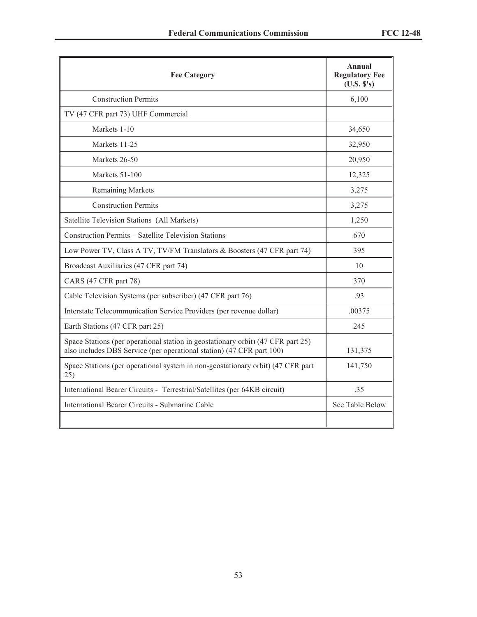| <b>Fee Category</b>                                                                                                                                       | Annual<br><b>Regulatory Fee</b><br>(U.S. S's) |
|-----------------------------------------------------------------------------------------------------------------------------------------------------------|-----------------------------------------------|
| <b>Construction Permits</b>                                                                                                                               | 6,100                                         |
| TV (47 CFR part 73) UHF Commercial                                                                                                                        |                                               |
| Markets 1-10                                                                                                                                              | 34,650                                        |
| Markets 11-25                                                                                                                                             | 32,950                                        |
| Markets 26-50                                                                                                                                             | 20,950                                        |
| Markets 51-100                                                                                                                                            | 12,325                                        |
| <b>Remaining Markets</b>                                                                                                                                  | 3,275                                         |
| <b>Construction Permits</b>                                                                                                                               | 3,275                                         |
| Satellite Television Stations (All Markets)                                                                                                               | 1,250                                         |
| Construction Permits - Satellite Television Stations                                                                                                      | 670                                           |
| Low Power TV, Class A TV, TV/FM Translators & Boosters (47 CFR part 74)                                                                                   | 395                                           |
| Broadcast Auxiliaries (47 CFR part 74)                                                                                                                    | 10                                            |
| CARS (47 CFR part 78)                                                                                                                                     | 370                                           |
| Cable Television Systems (per subscriber) (47 CFR part 76)                                                                                                | .93                                           |
| Interstate Telecommunication Service Providers (per revenue dollar)                                                                                       | .00375                                        |
| Earth Stations (47 CFR part 25)                                                                                                                           | 245                                           |
| Space Stations (per operational station in geostationary orbit) (47 CFR part 25)<br>also includes DBS Service (per operational station) (47 CFR part 100) | 131,375                                       |
| Space Stations (per operational system in non-geostationary orbit) (47 CFR part<br>25)                                                                    | 141,750                                       |
| International Bearer Circuits - Terrestrial/Satellites (per 64KB circuit)                                                                                 | .35                                           |
| International Bearer Circuits - Submarine Cable                                                                                                           | See Table Below                               |